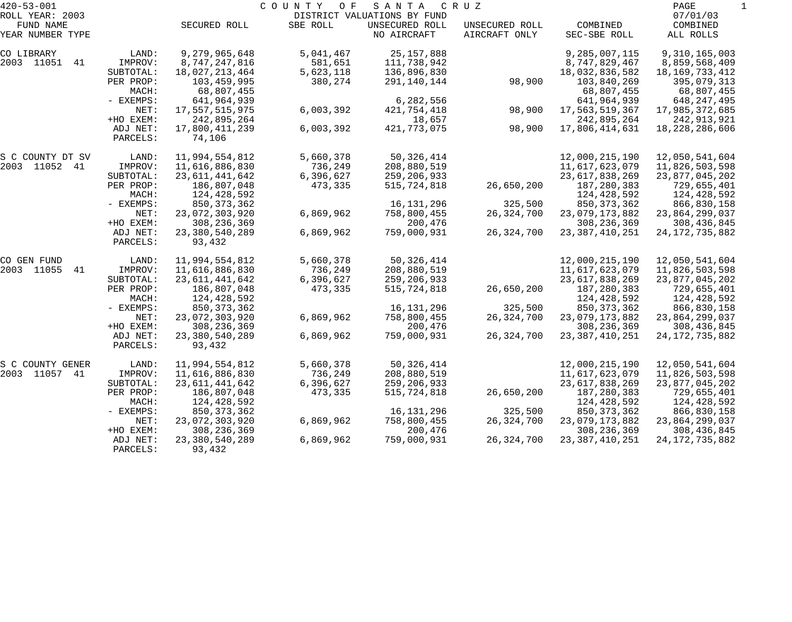| $420 - 53 - 001$             |                      |                             | COUNTY<br>O F | SANTA                                         | CRUZ           |                   | PAGE                 |  |
|------------------------------|----------------------|-----------------------------|---------------|-----------------------------------------------|----------------|-------------------|----------------------|--|
| ROLL YEAR: 2003<br>FUND NAME |                      | SECURED ROLL                | SBE ROLL      | DISTRICT VALUATIONS BY FUND<br>UNSECURED ROLL | UNSECURED ROLL | COMBINED          | 07/01/03<br>COMBINED |  |
| YEAR NUMBER TYPE             |                      |                             |               | NO AIRCRAFT                                   | AIRCRAFT ONLY  | SEC-SBE ROLL      | ALL ROLLS            |  |
| CO LIBRARY                   | LAND:                | 9,279,965,648               | 5,041,467     | 25, 157, 888                                  |                | 9,285,007,115     | 9,310,165,003        |  |
| 2003 11051 41                | IMPROV:              | 8,747,247,816               | 581,651       | 111,738,942                                   |                | 8,747,829,467     | 8,859,568,409        |  |
|                              | SUBTOTAL:            | 18,027,213,464              | 5,623,118     | 136,896,830                                   |                | 18,032,836,582    | 18, 169, 733, 412    |  |
|                              | PER PROP:            | 103,459,995                 | 380,274       | 291,140,144                                   | 98,900         | 103,840,269       | 395,079,313          |  |
|                              | MACH:                | 68,807,455                  |               |                                               |                | 68,807,455        | 68,807,455           |  |
|                              | - EXEMPS:            | 641,964,939                 |               | 6,282,556                                     |                | 641,964,939       | 648,247,495          |  |
|                              | NET:                 | 17,557,515,975              | 6,003,392     | 421,754,418                                   | 98,900         | 17,563,519,367    | 17,985,372,685       |  |
|                              | +HO EXEM:            | 242,895,264                 |               | 18,657                                        |                | 242,895,264       | 242,913,921          |  |
|                              | ADJ NET:<br>PARCELS: | 17,800,411,239<br>74,106    | 6,003,392     | 421,773,075                                   | 98,900         | 17,806,414,631    | 18, 228, 286, 606    |  |
| S C COUNTY DT SV             | LAND:                | 11,994,554,812              | 5,660,378     | 50, 326, 414                                  |                | 12,000,215,190    | 12,050,541,604       |  |
| 2003 11052 41                | IMPROV:              | 11,616,886,830              | 736,249       | 208,880,519                                   |                | 11,617,623,079    | 11,826,503,598       |  |
|                              | SUBTOTAL:            | 23,611,441,642              | 6,396,627     | 259,206,933                                   |                | 23, 617, 838, 269 | 23,877,045,202       |  |
|                              | PER PROP:            | 186,807,048                 | 473,335       | 515,724,818                                   | 26,650,200     | 187,280,383       | 729,655,401          |  |
|                              | MACH:                | 124,428,592                 |               |                                               |                | 124,428,592       | 124,428,592          |  |
|                              | - EXEMPS:            | 850, 373, 362               |               | 16, 131, 296                                  | 325,500        | 850, 373, 362     | 866,830,158          |  |
|                              | NET:                 | 23,072,303,920              | 6,869,962     | 758,800,455                                   | 26, 324, 700   | 23,079,173,882    | 23,864,299,037       |  |
|                              | +HO EXEM:            | 308, 236, 369               |               | 200,476                                       |                | 308, 236, 369     | 308, 436, 845        |  |
|                              | ADJ NET:<br>PARCELS: | 23,380,540,289<br>93,432    | 6,869,962     | 759,000,931                                   | 26,324,700     | 23, 387, 410, 251 | 24, 172, 735, 882    |  |
| CO GEN FUND                  | LAND:                | 11,994,554,812              | 5,660,378     | 50, 326, 414                                  |                | 12,000,215,190    | 12,050,541,604       |  |
| 2003 11055<br>41             | IMPROV:              | 11,616,886,830              | 736,249       | 208,880,519                                   |                | 11,617,623,079    | 11,826,503,598       |  |
|                              | SUBTOTAL:            | 23,611,441,642              | 6,396,627     | 259,206,933                                   |                | 23, 617, 838, 269 | 23,877,045,202       |  |
|                              | PER PROP:            | 186,807,048                 | 473,335       | 515,724,818                                   | 26,650,200     | 187,280,383       | 729,655,401          |  |
|                              | MACH:                | 124,428,592                 |               |                                               |                | 124,428,592       | 124,428,592          |  |
|                              | - EXEMPS:            | 850, 373, 362               |               | 16,131,296                                    | 325,500        | 850, 373, 362     | 866,830,158          |  |
|                              | NET:                 | 23,072,303,920              | 6,869,962     | 758,800,455                                   | 26, 324, 700   | 23,079,173,882    | 23,864,299,037       |  |
|                              | +HO EXEM:            | 308, 236, 369               |               | 200,476                                       |                | 308, 236, 369     | 308, 436, 845        |  |
|                              | ADJ NET:<br>PARCELS: | 23, 380, 540, 289<br>93,432 | 6,869,962     | 759,000,931                                   | 26,324,700     | 23, 387, 410, 251 | 24, 172, 735, 882    |  |
| S C COUNTY GENER             | LAND:                | 11,994,554,812              | 5,660,378     | 50, 326, 414                                  |                | 12,000,215,190    | 12,050,541,604       |  |
| 2003 11057 41                | IMPROV:              | 11,616,886,830              | 736,249       | 208,880,519                                   |                | 11,617,623,079    | 11,826,503,598       |  |
|                              | SUBTOTAL:            | 23, 611, 441, 642           | 6,396,627     | 259,206,933                                   |                | 23, 617, 838, 269 | 23,877,045,202       |  |
|                              | PER PROP:            | 186,807,048                 | 473,335       | 515,724,818                                   | 26,650,200     | 187,280,383       | 729,655,401          |  |
|                              | MACH:                | 124,428,592                 |               |                                               |                | 124,428,592       | 124,428,592          |  |
|                              | $-$ EXEMPS:          | 850, 373, 362               |               | 16,131,296                                    | 325,500        | 850, 373, 362     | 866,830,158          |  |
|                              | NET:                 | 23,072,303,920              | 6,869,962     | 758,800,455                                   | 26,324,700     | 23,079,173,882    | 23,864,299,037       |  |
|                              | +HO EXEM:            | 308, 236, 369               |               | 200,476                                       |                | 308, 236, 369     | 308,436,845          |  |
|                              | ADJ NET:             | 23, 380, 540, 289           | 6,869,962     | 759,000,931                                   | 26, 324, 700   | 23, 387, 410, 251 | 24, 172, 735, 882    |  |
|                              | PARCELS:             | 93,432                      |               |                                               |                |                   |                      |  |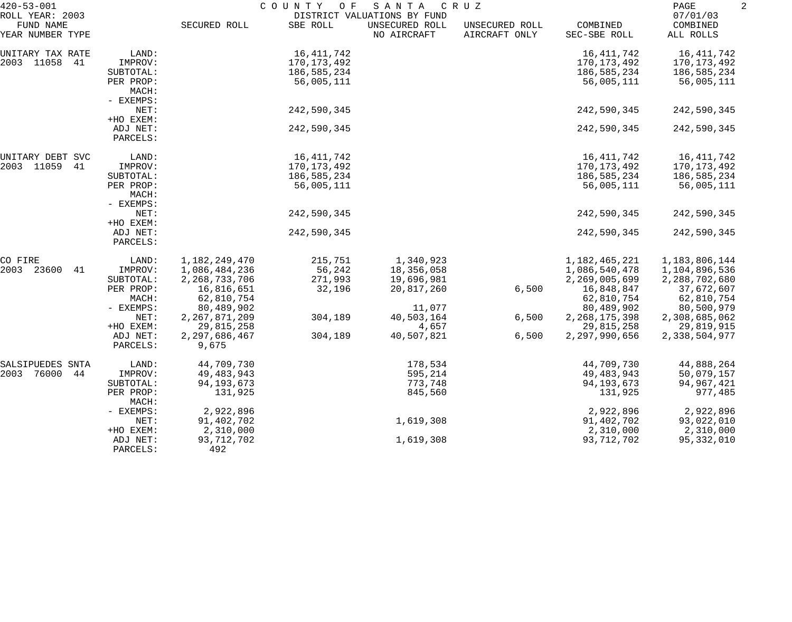| $420 - 53 - 001$                                 |                    | COUNTY<br>O F<br>SANTA<br>C R U Z<br>DISTRICT VALUATIONS BY FUND |             |                               |                                 |                          |                                   |  |
|--------------------------------------------------|--------------------|------------------------------------------------------------------|-------------|-------------------------------|---------------------------------|--------------------------|-----------------------------------|--|
| ROLL YEAR: 2003<br>FUND NAME<br>YEAR NUMBER TYPE |                    | SECURED ROLL                                                     | SBE ROLL    | UNSECURED ROLL<br>NO AIRCRAFT | UNSECURED ROLL<br>AIRCRAFT ONLY | COMBINED<br>SEC-SBE ROLL | 07/01/03<br>COMBINED<br>ALL ROLLS |  |
| UNITARY TAX RATE                                 | LAND:              |                                                                  | 16,411,742  |                               |                                 | 16,411,742               | 16,411,742                        |  |
| 2003 11058<br>41                                 | IMPROV:            |                                                                  | 170,173,492 |                               |                                 | 170,173,492              | 170,173,492                       |  |
|                                                  | SUBTOTAL:          |                                                                  | 186,585,234 |                               |                                 | 186,585,234              | 186,585,234                       |  |
|                                                  | PER PROP:<br>MACH: |                                                                  | 56,005,111  |                               |                                 | 56,005,111               | 56,005,111                        |  |
|                                                  | - EXEMPS:          |                                                                  |             |                               |                                 |                          |                                   |  |
|                                                  | NET:               |                                                                  | 242,590,345 |                               |                                 | 242,590,345              | 242,590,345                       |  |
|                                                  | +HO EXEM:          |                                                                  |             |                               |                                 |                          |                                   |  |
|                                                  | ADJ NET:           |                                                                  | 242,590,345 |                               |                                 | 242,590,345              | 242,590,345                       |  |
|                                                  | PARCELS:           |                                                                  |             |                               |                                 |                          |                                   |  |
| UNITARY DEBT SVC                                 | LAND:              |                                                                  | 16,411,742  |                               |                                 | 16,411,742               | 16,411,742                        |  |
| 2003 11059<br>41                                 | IMPROV:            |                                                                  | 170,173,492 |                               |                                 | 170, 173, 492            | 170,173,492                       |  |
|                                                  | SUBTOTAL:          |                                                                  | 186,585,234 |                               |                                 | 186,585,234              | 186,585,234                       |  |
|                                                  | PER PROP:          |                                                                  | 56,005,111  |                               |                                 | 56,005,111               | 56,005,111                        |  |
|                                                  | MACH:              |                                                                  |             |                               |                                 |                          |                                   |  |
|                                                  | - EXEMPS:          |                                                                  |             |                               |                                 |                          |                                   |  |
|                                                  | NET:               |                                                                  | 242,590,345 |                               |                                 | 242,590,345              | 242,590,345                       |  |
|                                                  | +HO EXEM:          |                                                                  |             |                               |                                 |                          |                                   |  |
|                                                  | ADJ NET:           |                                                                  | 242,590,345 |                               |                                 | 242,590,345              | 242,590,345                       |  |
|                                                  | PARCELS:           |                                                                  |             |                               |                                 |                          |                                   |  |
| CO FIRE                                          | LAND:              | 1,182,249,470                                                    | 215,751     | 1,340,923                     |                                 | 1,182,465,221            | 1,183,806,144                     |  |
| 2003<br>23600<br>41                              | IMPROV:            | 1,086,484,236                                                    | 56,242      | 18,356,058                    |                                 | 1,086,540,478            | 1,104,896,536                     |  |
|                                                  | SUBTOTAL:          | 2, 268, 733, 706                                                 | 271,993     | 19,696,981                    |                                 | 2,269,005,699            | 2,288,702,680                     |  |
|                                                  | PER PROP:          | 16,816,651                                                       | 32,196      | 20,817,260                    | 6,500                           | 16,848,847               | 37,672,607                        |  |
|                                                  | MACH:              | 62,810,754                                                       |             |                               |                                 | 62,810,754               | 62,810,754                        |  |
|                                                  | - EXEMPS:          | 80,489,902                                                       |             | 11,077                        |                                 | 80,489,902               | 80,500,979                        |  |
|                                                  | NET:               | 2, 267, 871, 209                                                 | 304,189     | 40,503,164                    | 6,500                           | 2, 268, 175, 398         | 2,308,685,062                     |  |
|                                                  | +HO EXEM:          | 29,815,258                                                       |             | 4,657                         |                                 | 29,815,258               | 29,819,915                        |  |
|                                                  | ADJ NET:           | 2,297,686,467                                                    | 304,189     | 40,507,821                    | 6,500                           | 2,297,990,656            | 2,338,504,977                     |  |
|                                                  | PARCELS:           | 9,675                                                            |             |                               |                                 |                          |                                   |  |
| SALSIPUEDES SNTA                                 | LAND:              | 44,709,730                                                       |             | 178,534                       |                                 | 44,709,730               | 44,888,264                        |  |
| 76000<br>2003<br>44                              | IMPROV:            | 49, 483, 943                                                     |             | 595,214                       |                                 | 49, 483, 943             | 50,079,157                        |  |
|                                                  | SUBTOTAL:          | 94, 193, 673                                                     |             | 773,748                       |                                 | 94, 193, 673             | 94,967,421                        |  |
|                                                  | PER PROP:<br>MACH: | 131,925                                                          |             | 845,560                       |                                 | 131,925                  | 977,485                           |  |
|                                                  | - EXEMPS:          | 2,922,896                                                        |             |                               |                                 | 2,922,896                | 2,922,896                         |  |
|                                                  | NET:               | 91,402,702                                                       |             | 1,619,308                     |                                 | 91,402,702               | 93,022,010                        |  |
|                                                  | +HO EXEM:          | 2,310,000                                                        |             |                               |                                 | 2,310,000                | 2,310,000                         |  |
|                                                  | ADJ NET:           | 93,712,702                                                       |             | 1,619,308                     |                                 | 93,712,702               | 95,332,010                        |  |
|                                                  | PARCELS:           | 492                                                              |             |                               |                                 |                          |                                   |  |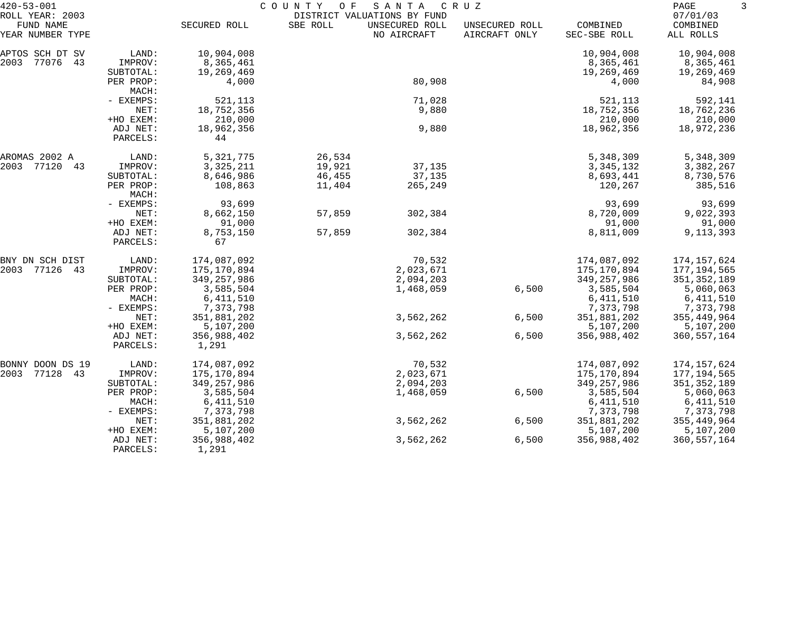| $420 - 53 - 001$                                 |                      | COUNTY<br>O F<br>SANTA<br>C R U Z<br>DISTRICT VALUATIONS BY FUND |          |                               |                                 |                          |                                   | 3 |
|--------------------------------------------------|----------------------|------------------------------------------------------------------|----------|-------------------------------|---------------------------------|--------------------------|-----------------------------------|---|
| ROLL YEAR: 2003<br>FUND NAME<br>YEAR NUMBER TYPE |                      | SECURED ROLL                                                     | SBE ROLL | UNSECURED ROLL<br>NO AIRCRAFT | UNSECURED ROLL<br>AIRCRAFT ONLY | COMBINED<br>SEC-SBE ROLL | 07/01/03<br>COMBINED<br>ALL ROLLS |   |
| APTOS SCH DT SV                                  | LAND:                | 10,904,008                                                       |          |                               |                                 | 10,904,008               | 10,904,008                        |   |
| 2003<br>77076 43                                 | IMPROV:              | 8,365,461                                                        |          |                               |                                 | 8,365,461                | 8,365,461                         |   |
|                                                  | SUBTOTAL:            | 19,269,469                                                       |          |                               |                                 | 19,269,469               | 19,269,469                        |   |
|                                                  | PER PROP:<br>MACH:   | 4,000                                                            |          | 80,908                        |                                 | 4,000                    | 84,908                            |   |
|                                                  | - EXEMPS:            | 521,113                                                          |          | 71,028                        |                                 | 521,113                  | 592,141                           |   |
|                                                  | NET:                 | 18,752,356                                                       |          | 9,880                         |                                 | 18,752,356               | 18,762,236                        |   |
|                                                  | +HO EXEM:            | 210,000                                                          |          |                               |                                 | 210,000                  | 210,000                           |   |
|                                                  | ADJ NET:<br>PARCELS: | 18,962,356<br>44                                                 |          | 9,880                         |                                 | 18,962,356               | 18,972,236                        |   |
| AROMAS 2002 A                                    | LAND:                | 5,321,775                                                        | 26,534   |                               |                                 | 5,348,309                | 5,348,309                         |   |
| 2003<br>77120 43                                 | IMPROV:              | 3, 325, 211                                                      | 19,921   | 37,135                        |                                 | 3, 345, 132              | 3,382,267                         |   |
|                                                  | SUBTOTAL:            | 8,646,986                                                        | 46,455   | 37,135                        |                                 | 8,693,441                | 8,730,576                         |   |
|                                                  | PER PROP:<br>MACH:   | 108,863                                                          | 11,404   | 265,249                       |                                 | 120,267                  | 385,516                           |   |
|                                                  | - EXEMPS:            | 93,699                                                           |          |                               |                                 | 93,699                   | 93,699                            |   |
|                                                  | NET:                 | 8,662,150                                                        | 57,859   | 302,384                       |                                 | 8,720,009                | 9,022,393                         |   |
|                                                  | +HO EXEM:            | 91,000                                                           |          |                               |                                 | 91,000                   | 91,000                            |   |
|                                                  | ADJ NET:<br>PARCELS: | 8,753,150<br>67                                                  | 57,859   | 302,384                       |                                 | 8,811,009                | 9, 113, 393                       |   |
| BNY DN SCH DIST                                  | LAND:                | 174,087,092                                                      |          | 70,532                        |                                 | 174,087,092              | 174,157,624                       |   |
| 2003<br>77126 43                                 | IMPROV:              | 175,170,894                                                      |          | 2,023,671                     |                                 | 175,170,894              | 177,194,565                       |   |
|                                                  | SUBTOTAL:            | 349, 257, 986                                                    |          | 2,094,203                     |                                 | 349,257,986              | 351, 352, 189                     |   |
|                                                  | PER PROP:            | 3,585,504                                                        |          | 1,468,059                     | 6,500                           | 3,585,504                | 5,060,063                         |   |
|                                                  | MACH:                | 6,411,510                                                        |          |                               |                                 | 6,411,510                | 6,411,510                         |   |
|                                                  | - EXEMPS:            | 7,373,798                                                        |          |                               |                                 | 7,373,798                | 7,373,798                         |   |
|                                                  | NET:                 | 351,881,202                                                      |          | 3,562,262                     | 6,500                           | 351,881,202              | 355, 449, 964                     |   |
|                                                  | +HO EXEM:            | 5,107,200                                                        |          |                               |                                 | 5,107,200                | 5,107,200                         |   |
|                                                  | ADJ NET:<br>PARCELS: | 356,988,402<br>1,291                                             |          | 3,562,262                     | 6,500                           | 356,988,402              | 360,557,164                       |   |
| BONNY DOON DS 19                                 | LAND:                | 174,087,092                                                      |          | 70,532                        |                                 | 174,087,092              | 174,157,624                       |   |
| 2003<br>77128<br>43                              | IMPROV:              | 175,170,894                                                      |          | 2,023,671                     |                                 | 175,170,894              | 177,194,565                       |   |
|                                                  | SUBTOTAL:            | 349, 257, 986                                                    |          | 2,094,203                     |                                 | 349, 257, 986            | 351, 352, 189                     |   |
|                                                  | PER PROP:            | 3,585,504                                                        |          | 1,468,059                     | 6,500                           | 3,585,504                | 5,060,063                         |   |
|                                                  | MACH:                | 6,411,510                                                        |          |                               |                                 | 6,411,510                | 6,411,510                         |   |
|                                                  | - EXEMPS:            | 7,373,798                                                        |          |                               |                                 | 7,373,798                | 7,373,798                         |   |
|                                                  | NET:                 | 351,881,202                                                      |          | 3,562,262                     | 6,500                           | 351,881,202              | 355, 449, 964                     |   |
|                                                  | +HO EXEM:            | 5,107,200                                                        |          |                               |                                 | 5,107,200                | 5,107,200                         |   |
|                                                  | ADJ NET:             | 356,988,402                                                      |          | 3,562,262                     | 6,500                           | 356,988,402              | 360, 557, 164                     |   |
|                                                  | PARCELS:             | 1,291                                                            |          |                               |                                 |                          |                                   |   |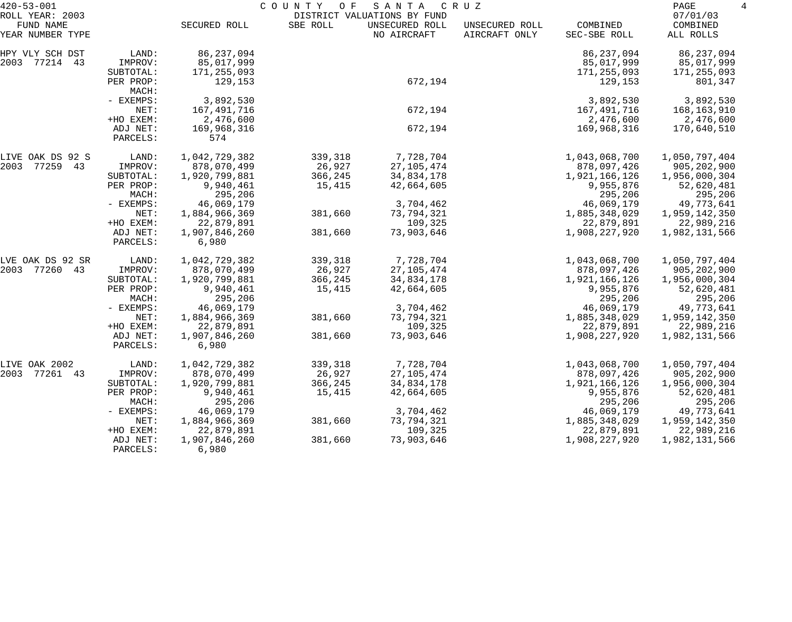| $420 - 53 - 001$                                 |                        | COUNTY<br>SANTA<br>O F<br>C R U Z<br>DISTRICT VALUATIONS BY FUND |          |                               |                                 |                          |                                   |
|--------------------------------------------------|------------------------|------------------------------------------------------------------|----------|-------------------------------|---------------------------------|--------------------------|-----------------------------------|
| ROLL YEAR: 2003<br>FUND NAME<br>YEAR NUMBER TYPE |                        | SECURED ROLL                                                     | SBE ROLL | UNSECURED ROLL<br>NO AIRCRAFT | UNSECURED ROLL<br>AIRCRAFT ONLY | COMBINED<br>SEC-SBE ROLL | 07/01/03<br>COMBINED<br>ALL ROLLS |
| HPY VLY SCH DST                                  | LAND:                  | 86, 237, 094                                                     |          |                               |                                 | 86, 237, 094             | 86, 237, 094                      |
| 2003 77214 43                                    | IMPROV:                | 85,017,999                                                       |          |                               |                                 | 85,017,999               | 85,017,999                        |
|                                                  | SUBTOTAL:<br>PER PROP: | 171,255,093<br>129,153                                           |          | 672,194                       |                                 | 171,255,093<br>129,153   | 171,255,093<br>801,347            |
|                                                  | MACH:<br>- EXEMPS:     | 3,892,530                                                        |          |                               |                                 | 3,892,530                | 3,892,530                         |
|                                                  | NET:                   | 167,491,716                                                      |          | 672,194                       |                                 | 167,491,716              | 168,163,910                       |
|                                                  | +HO EXEM:              | 2,476,600                                                        |          |                               |                                 | 2,476,600                | 2,476,600                         |
|                                                  | ADJ NET:<br>PARCELS:   | 169,968,316<br>574                                               |          | 672,194                       |                                 | 169,968,316              | 170,640,510                       |
| LIVE OAK DS 92 S                                 | LAND:                  | 1,042,729,382                                                    | 339,318  | 7,728,704                     |                                 | 1,043,068,700            | 1,050,797,404                     |
| 2003 77259 43                                    | IMPROV:                | 878,070,499                                                      | 26,927   | 27, 105, 474                  |                                 | 878,097,426              | 905, 202, 900                     |
|                                                  | SUBTOTAL:              | 1,920,799,881                                                    | 366,245  | 34,834,178                    |                                 | 1,921,166,126            | 1,956,000,304                     |
|                                                  | PER PROP:              | 9,940,461                                                        | 15,415   | 42,664,605                    |                                 | 9,955,876                | 52,620,481                        |
|                                                  | MACH:                  | 295,206                                                          |          |                               |                                 | 295,206                  | 295,206                           |
|                                                  | - EXEMPS:              | 46,069,179                                                       |          | 3,704,462                     |                                 | 46,069,179               | 49,773,641                        |
|                                                  | NET:                   | 1,884,966,369                                                    | 381,660  | 73,794,321                    |                                 | 1,885,348,029            | 1,959,142,350                     |
|                                                  | +HO EXEM:              | 22,879,891                                                       |          | 109,325                       |                                 | 22,879,891               | 22,989,216                        |
|                                                  | ADJ NET:<br>PARCELS:   | 1,907,846,260<br>6,980                                           | 381,660  | 73,903,646                    |                                 | 1,908,227,920            | 1,982,131,566                     |
| LVE OAK DS 92 SR                                 | LAND:                  | 1,042,729,382                                                    | 339,318  | 7,728,704                     |                                 | 1,043,068,700            | 1,050,797,404                     |
| 2003 77260 43                                    | IMPROV:                | 878,070,499                                                      | 26,927   | 27, 105, 474                  |                                 | 878,097,426              | 905, 202, 900                     |
|                                                  | SUBTOTAL:              | 1,920,799,881                                                    | 366,245  | 34,834,178                    |                                 | 1,921,166,126            | 1,956,000,304                     |
|                                                  | PER PROP:              | 9,940,461                                                        | 15,415   | 42,664,605                    |                                 | 9,955,876                | 52,620,481                        |
|                                                  | MACH:                  | 295,206                                                          |          |                               |                                 | 295,206                  | 295,206                           |
|                                                  | - EXEMPS:              | 46,069,179                                                       |          | 3,704,462                     |                                 | 46,069,179               | 49,773,641                        |
|                                                  | NET:                   | 1,884,966,369                                                    | 381,660  | 73,794,321                    |                                 | 1,885,348,029            | 1,959,142,350                     |
|                                                  | +HO EXEM:              | 22,879,891                                                       |          | 109,325                       |                                 | 22,879,891               | 22,989,216                        |
|                                                  | ADJ NET:<br>PARCELS:   | 1,907,846,260<br>6,980                                           | 381,660  | 73,903,646                    |                                 | 1,908,227,920            | 1,982,131,566                     |
| LIVE OAK 2002                                    | LAND:                  | 1,042,729,382                                                    | 339,318  | 7,728,704                     |                                 | 1,043,068,700            | 1,050,797,404                     |
| 2003<br>77261 43                                 | IMPROV:                | 878,070,499                                                      | 26,927   | 27, 105, 474                  |                                 | 878,097,426              | 905, 202, 900                     |
|                                                  | SUBTOTAL:              | 1,920,799,881                                                    | 366,245  | 34,834,178                    |                                 | 1,921,166,126            | 1,956,000,304                     |
|                                                  | PER PROP:              | 9,940,461                                                        | 15,415   | 42,664,605                    |                                 | 9,955,876                | 52,620,481                        |
|                                                  | MACH:                  | 295,206                                                          |          |                               |                                 | 295,206                  | 295,206                           |
|                                                  | - EXEMPS:              | 46,069,179                                                       |          | 3,704,462                     |                                 | 46,069,179               | 49,773,641                        |
|                                                  | NET:                   | 1,884,966,369                                                    | 381,660  | 73,794,321                    |                                 | 1,885,348,029            | 1,959,142,350                     |
|                                                  | +HO EXEM:              | 22,879,891                                                       |          | 109,325                       |                                 | 22,879,891               | 22,989,216                        |
|                                                  | ADJ NET:<br>PARCELS:   | 1,907,846,260<br>6,980                                           | 381,660  | 73,903,646                    |                                 | 1,908,227,920            | 1,982,131,566                     |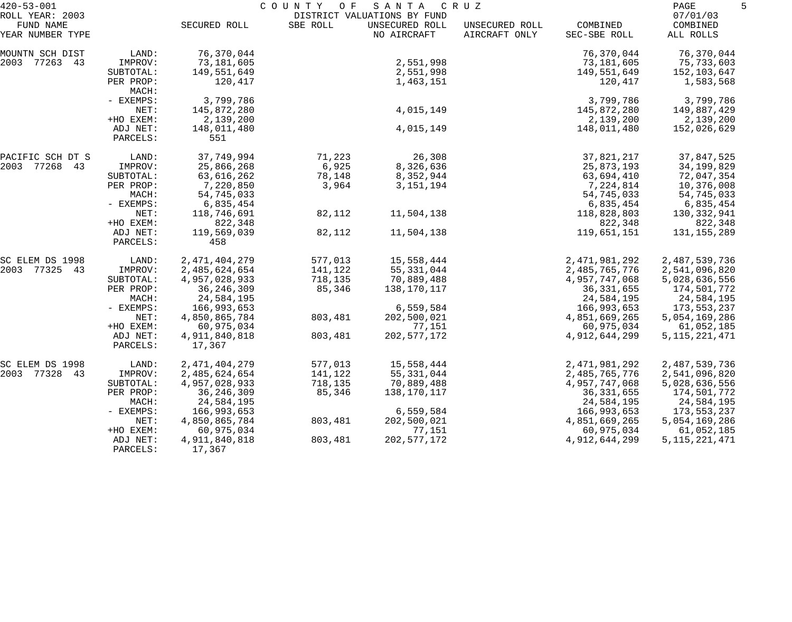| $420 - 53 - 001$                                 |                      | COUNTY<br>SANTA<br>C R U Z<br>O F<br>DISTRICT VALUATIONS BY FUND |          |                               |                                 |                          |                                   | 5 |
|--------------------------------------------------|----------------------|------------------------------------------------------------------|----------|-------------------------------|---------------------------------|--------------------------|-----------------------------------|---|
| ROLL YEAR: 2003<br>FUND NAME<br>YEAR NUMBER TYPE |                      | SECURED ROLL                                                     | SBE ROLL | UNSECURED ROLL<br>NO AIRCRAFT | UNSECURED ROLL<br>AIRCRAFT ONLY | COMBINED<br>SEC-SBE ROLL | 07/01/03<br>COMBINED<br>ALL ROLLS |   |
| MOUNTN SCH DIST                                  | LAND:                | 76,370,044                                                       |          |                               |                                 | 76,370,044               | 76,370,044                        |   |
| 2003 77263 43                                    | IMPROV:              | 73,181,605                                                       |          | 2,551,998                     |                                 | 73,181,605               | 75,733,603                        |   |
|                                                  | SUBTOTAL:            | 149,551,649                                                      |          | 2,551,998                     |                                 | 149,551,649              | 152,103,647                       |   |
|                                                  | PER PROP:<br>MACH:   | 120,417                                                          |          | 1,463,151                     |                                 | 120,417                  | 1,583,568                         |   |
|                                                  | - EXEMPS:            | 3,799,786                                                        |          |                               |                                 | 3,799,786                | 3,799,786                         |   |
|                                                  | NET:                 | 145,872,280                                                      |          | 4,015,149                     |                                 | 145,872,280              | 149,887,429                       |   |
|                                                  | +HO EXEM:            | 2,139,200                                                        |          |                               |                                 | 2,139,200                | 2,139,200                         |   |
|                                                  | ADJ NET:<br>PARCELS: | 148,011,480<br>551                                               |          | 4,015,149                     |                                 | 148,011,480              | 152,026,629                       |   |
| PACIFIC SCH DT S                                 | LAND:                | 37,749,994                                                       | 71,223   | 26,308                        |                                 | 37,821,217               | 37,847,525                        |   |
| 2003 77268 43                                    | IMPROV:              | 25,866,268                                                       | 6,925    | 8,326,636                     |                                 | 25,873,193               | 34, 199, 829                      |   |
|                                                  | SUBTOTAL:            | 63,616,262                                                       | 78,148   | 8,352,944                     |                                 | 63,694,410               | 72,047,354                        |   |
|                                                  | PER PROP:            | 7,220,850                                                        | 3,964    | 3, 151, 194                   |                                 | 7,224,814                | 10,376,008                        |   |
|                                                  | MACH:                | 54,745,033                                                       |          |                               |                                 | 54,745,033               | 54,745,033                        |   |
|                                                  | - EXEMPS:            | 6,835,454                                                        |          |                               |                                 | 6,835,454                | 6,835,454                         |   |
|                                                  | NET:                 | 118,746,691                                                      | 82,112   | 11,504,138                    |                                 | 118,828,803              | 130,332,941                       |   |
|                                                  | +HO EXEM:            | 822,348                                                          |          |                               |                                 | 822,348                  | 822,348                           |   |
|                                                  | ADJ NET:<br>PARCELS: | 119,569,039<br>458                                               | 82,112   | 11,504,138                    |                                 | 119,651,151              | 131, 155, 289                     |   |
| SC ELEM DS 1998                                  | LAND:                | 2, 471, 404, 279                                                 | 577,013  | 15,558,444                    |                                 | 2, 471, 981, 292         | 2,487,539,736                     |   |
| 2003 77325 43                                    | IMPROV:              | 2,485,624,654                                                    | 141,122  | 55, 331, 044                  |                                 | 2,485,765,776            | 2,541,096,820                     |   |
|                                                  | SUBTOTAL:            | 4,957,028,933                                                    | 718,135  | 70,889,488                    |                                 | 4,957,747,068            | 5,028,636,556                     |   |
|                                                  | PER PROP:            | 36, 246, 309                                                     | 85,346   | 138,170,117                   |                                 | 36, 331, 655             | 174,501,772                       |   |
|                                                  | MACH:                | 24,584,195                                                       |          |                               |                                 | 24,584,195               | 24,584,195                        |   |
|                                                  | - EXEMPS:            | 166,993,653                                                      |          | 6,559,584                     |                                 | 166,993,653              | 173,553,237                       |   |
|                                                  | NET:                 | 4,850,865,784                                                    | 803,481  | 202,500,021                   |                                 | 4,851,669,265            | 5,054,169,286                     |   |
|                                                  | +HO EXEM:            | 60,975,034                                                       |          | 77,151                        |                                 | 60,975,034               | 61,052,185                        |   |
|                                                  | ADJ NET:<br>PARCELS: | 4,911,840,818<br>17,367                                          | 803,481  | 202, 577, 172                 |                                 | 4, 912, 644, 299         | 5, 115, 221, 471                  |   |
| SC ELEM DS 1998                                  | LAND:                | 2, 471, 404, 279                                                 | 577,013  | 15,558,444                    |                                 | 2,471,981,292            | 2,487,539,736                     |   |
| 2003 77328 43                                    | IMPROV:              | 2,485,624,654                                                    | 141,122  | 55, 331, 044                  |                                 | 2,485,765,776            | 2,541,096,820                     |   |
|                                                  | SUBTOTAL:            | 4,957,028,933                                                    | 718,135  | 70,889,488                    |                                 | 4,957,747,068            | 5,028,636,556                     |   |
|                                                  | PER PROP:            | 36, 246, 309                                                     | 85,346   | 138,170,117                   |                                 | 36, 331, 655             | 174,501,772                       |   |
|                                                  | MACH:                | 24,584,195                                                       |          |                               |                                 | 24,584,195               | 24,584,195                        |   |
|                                                  | - EXEMPS:            | 166,993,653                                                      |          | 6,559,584                     |                                 | 166,993,653              | 173,553,237                       |   |
|                                                  | NET:                 | 4,850,865,784                                                    | 803,481  | 202,500,021                   |                                 | 4,851,669,265            | 5,054,169,286                     |   |
|                                                  | +HO EXEM:            | 60,975,034                                                       |          | 77,151                        |                                 | 60,975,034               | 61,052,185                        |   |
|                                                  | ADJ NET:<br>PARCELS: | 4,911,840,818<br>17,367                                          | 803,481  | 202, 577, 172                 |                                 | 4,912,644,299            | 5, 115, 221, 471                  |   |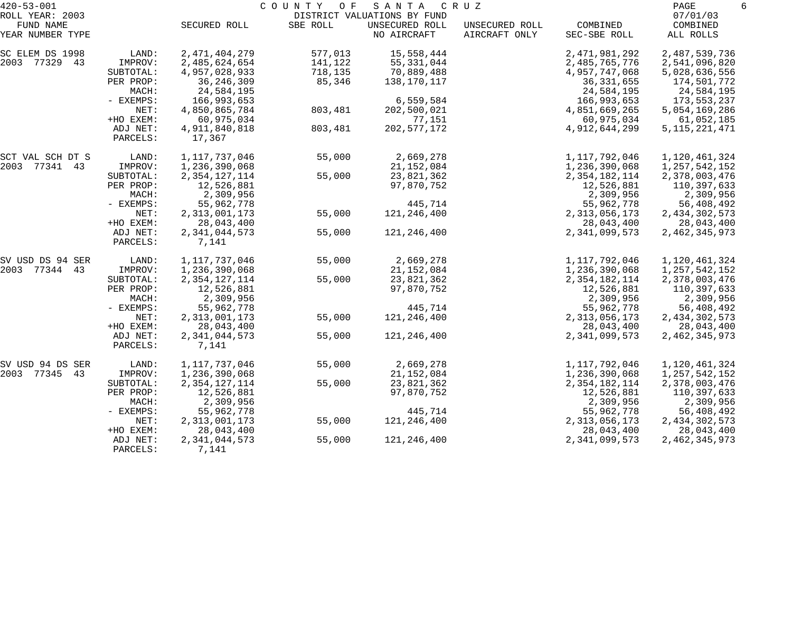| $420 - 53 - 001$                                 |                      |                                   | COUNTY<br>O F      | SANTA                                                        | C R U Z                         |                                | PAGE<br>6                         |  |
|--------------------------------------------------|----------------------|-----------------------------------|--------------------|--------------------------------------------------------------|---------------------------------|--------------------------------|-----------------------------------|--|
| ROLL YEAR: 2003<br>FUND NAME<br>YEAR NUMBER TYPE |                      | SECURED ROLL                      | SBE ROLL           | DISTRICT VALUATIONS BY FUND<br>UNSECURED ROLL<br>NO AIRCRAFT | UNSECURED ROLL<br>AIRCRAFT ONLY | COMBINED<br>SEC-SBE ROLL       | 07/01/03<br>COMBINED<br>ALL ROLLS |  |
|                                                  |                      |                                   |                    |                                                              |                                 |                                |                                   |  |
| SC ELEM DS 1998<br>2003 77329 43                 | LAND:<br>IMPROV:     | 2, 471, 404, 279<br>2,485,624,654 | 577,013<br>141,122 | 15,558,444                                                   |                                 | 2, 471, 981, 292               | 2,487,539,736                     |  |
|                                                  | SUBTOTAL:            | 4,957,028,933                     | 718,135            | 55, 331, 044<br>70,889,488                                   |                                 | 2,485,765,776<br>4,957,747,068 | 2,541,096,820<br>5,028,636,556    |  |
|                                                  | PER PROP:            | 36, 246, 309                      | 85,346             | 138,170,117                                                  |                                 | 36, 331, 655                   | 174,501,772                       |  |
|                                                  | MACH:                | 24,584,195                        |                    |                                                              |                                 | 24,584,195                     | 24,584,195                        |  |
|                                                  | - EXEMPS:            | 166,993,653                       |                    | 6,559,584                                                    |                                 | 166,993,653                    | 173,553,237                       |  |
|                                                  | NET:                 | 4,850,865,784                     | 803,481            | 202,500,021                                                  |                                 | 4,851,669,265                  | 5,054,169,286                     |  |
|                                                  | +HO EXEM:            | 60,975,034                        |                    | 77,151                                                       |                                 | 60,975,034                     | 61,052,185                        |  |
|                                                  | ADJ NET:             | 4,911,840,818                     | 803,481            | 202, 577, 172                                                |                                 | 4,912,644,299                  | 5, 115, 221, 471                  |  |
|                                                  | PARCELS:             | 17,367                            |                    |                                                              |                                 |                                |                                   |  |
| SCT VAL SCH DT S                                 | LAND:                | 1, 117, 737, 046                  | 55,000             | 2,669,278                                                    |                                 | 1,117,792,046                  | 1,120,461,324                     |  |
| 2003 77341 43                                    | IMPROV:              | 1,236,390,068                     |                    | 21, 152, 084                                                 |                                 | 1,236,390,068                  | 1, 257, 542, 152                  |  |
|                                                  | SUBTOTAL:            | 2, 354, 127, 114                  | 55,000             | 23,821,362                                                   |                                 | 2, 354, 182, 114               | 2,378,003,476                     |  |
|                                                  | PER PROP:            | 12,526,881                        |                    | 97,870,752                                                   |                                 | 12,526,881                     | 110,397,633                       |  |
|                                                  | MACH:                | 2,309,956                         |                    |                                                              |                                 | 2,309,956                      | 2,309,956                         |  |
|                                                  | - EXEMPS:            | 55,962,778                        |                    | 445,714                                                      |                                 | 55,962,778                     | 56,408,492                        |  |
|                                                  | NET:                 | 2, 313, 001, 173                  | 55,000             | 121,246,400                                                  |                                 | 2,313,056,173                  | 2, 434, 302, 573                  |  |
|                                                  | +HO EXEM:            | 28,043,400                        |                    |                                                              |                                 | 28,043,400                     | 28,043,400                        |  |
|                                                  | ADJ NET:<br>PARCELS: | 2,341,044,573<br>7,141            | 55,000             | 121,246,400                                                  |                                 | 2,341,099,573                  | 2, 462, 345, 973                  |  |
| SV USD DS 94 SER                                 | LAND:                | 1, 117, 737, 046                  | 55,000             | 2,669,278                                                    |                                 | 1,117,792,046                  | 1,120,461,324                     |  |
| 2003 77344 43                                    | IMPROV:              | 1,236,390,068                     |                    | 21, 152, 084                                                 |                                 | 1,236,390,068                  | 1, 257, 542, 152                  |  |
|                                                  | SUBTOTAL:            | 2, 354, 127, 114                  | 55,000             | 23,821,362                                                   |                                 | 2,354,182,114                  | 2,378,003,476                     |  |
|                                                  | PER PROP:            | 12,526,881                        |                    | 97,870,752                                                   |                                 | 12,526,881                     | 110,397,633                       |  |
|                                                  | MACH:                | 2,309,956                         |                    |                                                              |                                 | 2,309,956                      | 2,309,956                         |  |
|                                                  | - EXEMPS:            | 55,962,778                        |                    | 445,714                                                      |                                 | 55,962,778                     | 56,408,492                        |  |
|                                                  | NET:                 | 2, 313, 001, 173                  | 55,000             | 121,246,400                                                  |                                 | 2, 313, 056, 173               | 2, 434, 302, 573                  |  |
|                                                  | +HO EXEM:            | 28,043,400                        |                    |                                                              |                                 | 28,043,400                     | 28,043,400                        |  |
|                                                  | ADJ NET:<br>PARCELS: | 2,341,044,573<br>7,141            | 55,000             | 121,246,400                                                  |                                 | 2,341,099,573                  | 2, 462, 345, 973                  |  |
| SV USD 94 DS SER                                 | LAND:                | 1, 117, 737, 046                  | 55,000             | 2,669,278                                                    |                                 | 1,117,792,046                  | 1,120,461,324                     |  |
| 2003 77345 43                                    | IMPROV:              | 1,236,390,068                     |                    | 21, 152, 084                                                 |                                 | 1,236,390,068                  | 1,257,542,152                     |  |
|                                                  | SUBTOTAL:            | 2, 354, 127, 114                  | 55,000             | 23,821,362                                                   |                                 | 2, 354, 182, 114               | 2,378,003,476                     |  |
|                                                  | PER PROP:            | 12,526,881                        |                    | 97,870,752                                                   |                                 | 12,526,881                     | 110,397,633                       |  |
|                                                  | MACH:                | 2,309,956                         |                    |                                                              |                                 | 2,309,956                      | 2,309,956                         |  |
|                                                  | - EXEMPS:            | 55,962,778                        |                    | 445,714                                                      |                                 | 55,962,778                     | 56,408,492                        |  |
|                                                  | NET:                 | 2, 313, 001, 173                  | 55,000             | 121,246,400                                                  |                                 | 2, 313, 056, 173               | 2, 434, 302, 573                  |  |
|                                                  | +HO EXEM:            | 28,043,400                        |                    |                                                              |                                 | 28,043,400                     | 28,043,400                        |  |
|                                                  | ADJ NET:<br>PARCELS: | 2,341,044,573<br>7,141            | 55,000             | 121, 246, 400                                                |                                 | 2,341,099,573                  | 2, 462, 345, 973                  |  |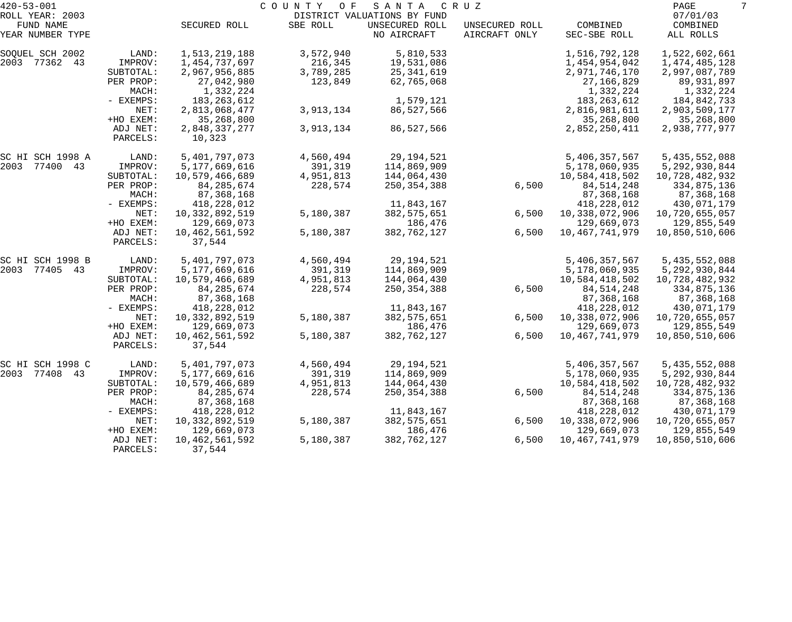| $420 - 53 - 001$             |                      |                             | COUNTY<br>O F | SANTA                                         | C R U Z        |                           | PAGE<br>7               |
|------------------------------|----------------------|-----------------------------|---------------|-----------------------------------------------|----------------|---------------------------|-------------------------|
| ROLL YEAR: 2003<br>FUND NAME |                      | SECURED ROLL                | SBE ROLL      | DISTRICT VALUATIONS BY FUND<br>UNSECURED ROLL | UNSECURED ROLL | COMBINED                  | 07/01/03<br>COMBINED    |
| YEAR NUMBER TYPE             |                      |                             |               | NO AIRCRAFT                                   | AIRCRAFT ONLY  | SEC-SBE ROLL              | ALL ROLLS               |
| SOQUEL SCH 2002              | LAND:                | 1,513,219,188               | 3,572,940     | 5,810,533                                     |                | 1,516,792,128             | 1,522,602,661           |
| 2003 77362 43                | IMPROV:              | 1,454,737,697               | 216,345       | 19,531,086                                    |                | 1,454,954,042             | 1, 474, 485, 128        |
|                              | SUBTOTAL:            | 2,967,956,885               | 3,789,285     | 25,341,619                                    |                | 2,971,746,170             | 2,997,087,789           |
|                              | PER PROP:<br>MACH:   | 27,042,980<br>1,332,224     | 123,849       | 62,765,068                                    |                | 27, 166, 829<br>1,332,224 | 89,931,897<br>1,332,224 |
|                              | - EXEMPS:            | 183, 263, 612               |               | 1,579,121                                     |                | 183, 263, 612             | 184,842,733             |
|                              | NET:                 | 2,813,068,477               | 3,913,134     | 86,527,566                                    |                | 2,816,981,611             | 2,903,509,177           |
|                              | +HO EXEM:            | 35,268,800                  |               |                                               |                | 35,268,800                | 35,268,800              |
|                              | ADJ NET:<br>PARCELS: | 2,848,337,277<br>10,323     | 3,913,134     | 86,527,566                                    |                | 2,852,250,411             | 2,938,777,977           |
| SC HI SCH 1998 A             | LAND:                | 5,401,797,073               | 4,560,494     | 29,194,521                                    |                | 5,406,357,567             | 5,435,552,088           |
| 2003 77400 43                | IMPROV:              | 5,177,669,616               | 391,319       | 114,869,909                                   |                | 5,178,060,935             | 5, 292, 930, 844        |
|                              | SUBTOTAL:            | 10,579,466,689              | 4,951,813     | 144,064,430                                   |                | 10,584,418,502            | 10,728,482,932          |
|                              | PER PROP:            | 84, 285, 674                | 228,574       | 250, 354, 388                                 | 6,500          | 84, 514, 248              | 334,875,136             |
|                              | MACH:                | 87,368,168                  |               |                                               |                | 87,368,168                | 87,368,168              |
|                              | - EXEMPS:            | 418,228,012                 |               | 11,843,167                                    |                | 418, 228, 012             | 430,071,179             |
|                              | NET:                 | 10, 332, 892, 519           | 5,180,387     | 382, 575, 651                                 | 6,500          | 10,338,072,906            | 10,720,655,057          |
|                              | +HO EXEM:            | 129,669,073                 |               | 186,476                                       |                | 129,669,073               | 129,855,549             |
|                              | ADJ NET:<br>PARCELS: | 10, 462, 561, 592<br>37,544 | 5,180,387     | 382,762,127                                   | 6,500          | 10, 467, 741, 979         | 10,850,510,606          |
| SC HI SCH 1998 B             | LAND:                | 5,401,797,073               | 4,560,494     | 29, 194, 521                                  |                | 5,406,357,567             | 5,435,552,088           |
| 2003 77405 43                | IMPROV:              | 5,177,669,616               | 391,319       | 114,869,909                                   |                | 5,178,060,935             | 5, 292, 930, 844        |
|                              | SUBTOTAL:            | 10,579,466,689              | 4,951,813     | 144,064,430                                   |                | 10,584,418,502            | 10,728,482,932          |
|                              | PER PROP:            | 84, 285, 674                | 228,574       | 250, 354, 388                                 | 6,500          | 84, 514, 248              | 334,875,136             |
|                              | MACH:                | 87,368,168                  |               |                                               |                | 87,368,168                | 87,368,168              |
|                              | - EXEMPS:            | 418,228,012                 |               | 11,843,167                                    |                | 418, 228, 012             | 430,071,179             |
|                              | NET:                 | 10, 332, 892, 519           | 5,180,387     | 382, 575, 651                                 | 6,500          | 10,338,072,906            | 10,720,655,057          |
|                              | +HO EXEM:            | 129,669,073                 |               | 186,476                                       |                | 129,669,073               | 129,855,549             |
|                              | ADJ NET:<br>PARCELS: | 10, 462, 561, 592<br>37,544 | 5,180,387     | 382,762,127                                   | 6,500          | 10, 467, 741, 979         | 10,850,510,606          |
| SC HI SCH 1998 C             | LAND:                | 5,401,797,073               | 4,560,494     | 29,194,521                                    |                | 5,406,357,567             | 5,435,552,088           |
| 2003 77408 43                | IMPROV:              | 5,177,669,616               | 391,319       | 114,869,909                                   |                | 5,178,060,935             | 5, 292, 930, 844        |
|                              | SUBTOTAL:            | 10,579,466,689              | 4,951,813     | 144,064,430                                   |                | 10,584,418,502            | 10,728,482,932          |
|                              | PER PROP:            | 84, 285, 674                | 228,574       | 250, 354, 388                                 | 6,500          | 84, 514, 248              | 334,875,136             |
|                              | MACH:                | 87,368,168                  |               |                                               |                | 87,368,168                | 87,368,168              |
|                              | - EXEMPS:            | 418,228,012                 |               | 11,843,167                                    |                | 418,228,012               | 430,071,179             |
|                              | NET:                 | 10, 332, 892, 519           | 5,180,387     | 382, 575, 651                                 | 6,500          | 10,338,072,906            | 10,720,655,057          |
|                              | +HO EXEM:            | 129,669,073                 |               | 186,476                                       |                | 129,669,073               | 129,855,549             |
|                              | ADJ NET:<br>PARCELS: | 10, 462, 561, 592<br>37,544 | 5,180,387     | 382,762,127                                   | 6,500          | 10, 467, 741, 979         | 10,850,510,606          |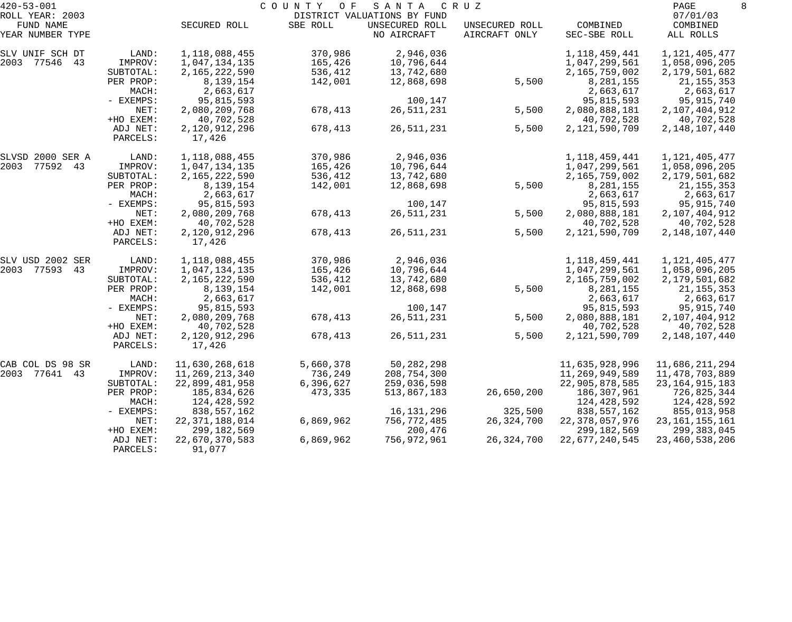| $420 - 53 - 001$             |                      |                          | COUNTY<br>O F | SANTA                                         | C R U Z        |                   | PAGE<br>8            |
|------------------------------|----------------------|--------------------------|---------------|-----------------------------------------------|----------------|-------------------|----------------------|
| ROLL YEAR: 2003<br>FUND NAME |                      | SECURED ROLL             | SBE ROLL      | DISTRICT VALUATIONS BY FUND<br>UNSECURED ROLL | UNSECURED ROLL | COMBINED          | 07/01/03<br>COMBINED |
| YEAR NUMBER TYPE             |                      |                          |               | NO AIRCRAFT                                   | AIRCRAFT ONLY  | SEC-SBE ROLL      | ALL ROLLS            |
| SLV UNIF SCH DT              | LAND:                | 1,118,088,455            | 370,986       | 2,946,036                                     |                | 1,118,459,441     | 1, 121, 405, 477     |
| 2003 77546 43                | IMPROV:              | 1,047,134,135            | 165,426       | 10,796,644                                    |                | 1,047,299,561     | 1,058,096,205        |
|                              | SUBTOTAL:            | 2,165,222,590            | 536,412       | 13,742,680                                    |                | 2,165,759,002     | 2,179,501,682        |
|                              | PER PROP:            | 8,139,154                | 142,001       | 12,868,698                                    | 5,500          | 8,281,155         | 21, 155, 353         |
|                              | MACH:                | 2,663,617                |               |                                               |                | 2,663,617         | 2,663,617            |
|                              | - EXEMPS:            | 95,815,593               |               | 100,147                                       |                | 95,815,593        | 95,915,740           |
|                              | NET:                 | 2,080,209,768            | 678,413       | 26, 511, 231                                  | 5,500          | 2,080,888,181     | 2,107,404,912        |
|                              | +HO EXEM:            | 40,702,528               |               |                                               |                | 40,702,528        | 40,702,528           |
|                              | ADJ NET:<br>PARCELS: | 2,120,912,296<br>17,426  | 678,413       | 26, 511, 231                                  | 5,500          | 2,121,590,709     | 2, 148, 107, 440     |
| SLVSD 2000 SER A             | LAND:                | 1, 118, 088, 455         | 370,986       | 2,946,036                                     |                | 1,118,459,441     | 1, 121, 405, 477     |
| 2003 77592 43                | IMPROV:              | 1,047,134,135            | 165,426       | 10,796,644                                    |                | 1,047,299,561     | 1,058,096,205        |
|                              | SUBTOTAL:            | 2,165,222,590            | 536,412       | 13,742,680                                    |                | 2,165,759,002     | 2,179,501,682        |
|                              | PER PROP:            | 8,139,154                | 142,001       | 12,868,698                                    | 5,500          | 8,281,155         | 21, 155, 353         |
|                              | MACH:                | 2,663,617                |               |                                               |                | 2,663,617         | 2,663,617            |
|                              | - EXEMPS:            | 95,815,593               |               | 100,147                                       |                | 95,815,593        | 95,915,740           |
|                              | NET:                 | 2,080,209,768            | 678,413       | 26, 511, 231                                  | 5,500          | 2,080,888,181     | 2,107,404,912        |
|                              | +HO EXEM:            | 40,702,528               |               |                                               |                | 40,702,528        | 40,702,528           |
|                              | ADJ NET:<br>PARCELS: | 2,120,912,296<br>17,426  | 678,413       | 26, 511, 231                                  | 5,500          | 2,121,590,709     | 2, 148, 107, 440     |
| SLV USD 2002 SER             | LAND:                | 1, 118, 088, 455         | 370,986       | 2,946,036                                     |                | 1,118,459,441     | 1, 121, 405, 477     |
| 2003 77593 43                | IMPROV:              | 1,047,134,135            | 165,426       | 10,796,644                                    |                | 1,047,299,561     | 1,058,096,205        |
|                              | SUBTOTAL:            | 2,165,222,590            | 536,412       | 13,742,680                                    |                | 2,165,759,002     | 2,179,501,682        |
|                              | PER PROP:            | 8,139,154                | 142,001       | 12,868,698                                    | 5,500          | 8,281,155         | 21, 155, 353         |
|                              | MACH:                | 2,663,617                |               |                                               |                | 2,663,617         | 2,663,617            |
|                              | - EXEMPS:            | 95,815,593               |               | 100,147                                       |                | 95,815,593        | 95,915,740           |
|                              | NET:                 | 2,080,209,768            | 678,413       | 26, 511, 231                                  | 5,500          | 2,080,888,181     | 2,107,404,912        |
|                              | +HO EXEM:            | 40,702,528               |               |                                               |                | 40,702,528        | 40,702,528           |
|                              | ADJ NET:<br>PARCELS: | 2,120,912,296<br>17,426  | 678,413       | 26, 511, 231                                  | 5,500          | 2,121,590,709     | 2, 148, 107, 440     |
| CAB COL DS 98 SR             | LAND:                | 11,630,268,618           | 5,660,378     | 50, 282, 298                                  |                | 11,635,928,996    | 11,686,211,294       |
| 2003 77641<br>43             | IMPROV:              | 11,269,213,340           | 736,249       | 208,754,300                                   |                | 11,269,949,589    | 11,478,703,889       |
|                              | SUBTOTAL:            | 22,899,481,958           | 6,396,627     | 259,036,598                                   |                | 22,905,878,585    | 23, 164, 915, 183    |
|                              | PER PROP:            | 185,834,626              | 473,335       | 513,867,183                                   | 26,650,200     | 186,307,961       | 726,825,344          |
|                              | MACH:                | 124,428,592              |               |                                               |                | 124,428,592       | 124,428,592          |
|                              | $-$ EXEMPS:          | 838,557,162              |               | 16,131,296                                    | 325,500        | 838,557,162       | 855,013,958          |
|                              | NET:                 | 22, 371, 188, 014        | 6,869,962     | 756,772,485                                   | 26,324,700     | 22, 378, 057, 976 | 23, 161, 155, 161    |
|                              | +HO EXEM:            | 299, 182, 569            |               | 200,476                                       |                | 299, 182, 569     | 299,383,045          |
|                              | ADJ NET:<br>PARCELS: | 22,670,370,583<br>91,077 | 6,869,962     | 756,972,961                                   | 26, 324, 700   | 22,677,240,545    | 23, 460, 538, 206    |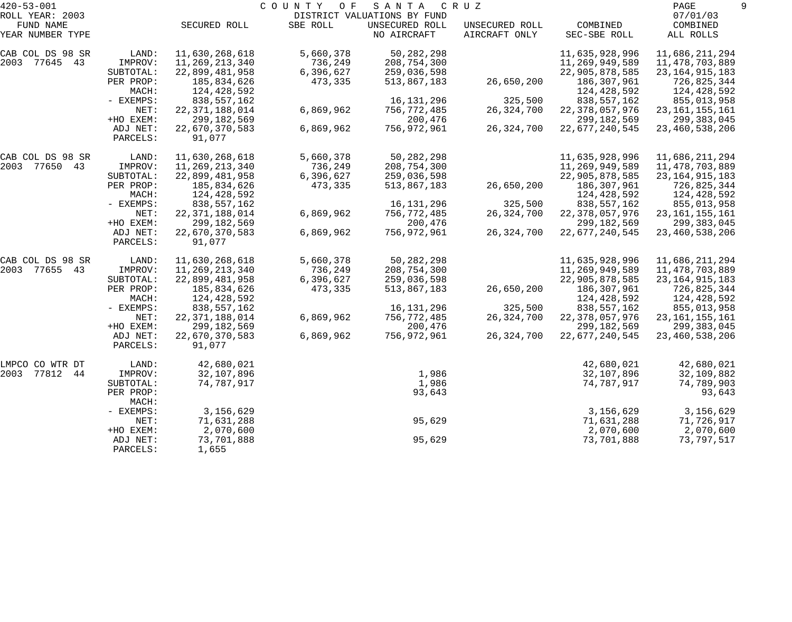| $420 - 53 - 001$<br>ROLL YEAR: 2003 |                      |                          | C O U N T Y<br>O F | SANTA<br>DISTRICT VALUATIONS BY FUND | C R U Z        |                   | PAGE<br>07/01/03  |  |
|-------------------------------------|----------------------|--------------------------|--------------------|--------------------------------------|----------------|-------------------|-------------------|--|
| FUND NAME                           |                      | SECURED ROLL             | SBE ROLL           | UNSECURED ROLL                       | UNSECURED ROLL | COMBINED          | COMBINED          |  |
| YEAR NUMBER TYPE                    |                      |                          |                    | NO AIRCRAFT                          | AIRCRAFT ONLY  | SEC-SBE ROLL      | ALL ROLLS         |  |
| CAB COL DS 98 SR                    | LAND:                | 11,630,268,618           | 5,660,378          | 50, 282, 298                         |                | 11,635,928,996    | 11,686,211,294    |  |
| 2003 77645 43                       | IMPROV:              | 11,269,213,340           | 736,249            | 208,754,300                          |                | 11,269,949,589    | 11,478,703,889    |  |
|                                     | SUBTOTAL:            | 22,899,481,958           | 6,396,627          | 259,036,598                          |                | 22,905,878,585    | 23, 164, 915, 183 |  |
|                                     | PER PROP:            | 185,834,626              | 473,335            | 513,867,183                          | 26,650,200     | 186,307,961       | 726,825,344       |  |
|                                     | MACH:                | 124,428,592              |                    |                                      |                | 124,428,592       | 124,428,592       |  |
|                                     | - EXEMPS:            | 838,557,162              |                    | 16, 131, 296                         | 325,500        | 838,557,162       | 855,013,958       |  |
|                                     | NET:                 | 22, 371, 188, 014        | 6,869,962          | 756,772,485                          | 26, 324, 700   | 22, 378, 057, 976 | 23, 161, 155, 161 |  |
|                                     | +HO EXEM:            | 299, 182, 569            |                    | 200,476                              |                | 299, 182, 569     | 299,383,045       |  |
|                                     | ADJ NET:<br>PARCELS: | 22,670,370,583<br>91,077 | 6,869,962          | 756,972,961                          | 26, 324, 700   | 22,677,240,545    | 23, 460, 538, 206 |  |
|                                     |                      |                          |                    |                                      |                |                   |                   |  |
| CAB COL DS 98 SR                    | LAND:                | 11,630,268,618           | 5,660,378          | 50, 282, 298                         |                | 11,635,928,996    | 11,686,211,294    |  |
| 2003 77650 43                       | IMPROV:              | 11,269,213,340           | 736,249            | 208,754,300                          |                | 11,269,949,589    | 11,478,703,889    |  |
|                                     | SUBTOTAL:            | 22,899,481,958           | 6,396,627          | 259,036,598                          |                | 22,905,878,585    | 23, 164, 915, 183 |  |
|                                     | PER PROP:            | 185,834,626              | 473,335            | 513,867,183                          | 26,650,200     | 186,307,961       | 726,825,344       |  |
|                                     | MACH:                | 124,428,592              |                    |                                      |                | 124,428,592       | 124,428,592       |  |
|                                     | - EXEMPS:            | 838,557,162              |                    | 16, 131, 296                         | 325,500        | 838,557,162       | 855,013,958       |  |
|                                     | NET:                 | 22, 371, 188, 014        | 6,869,962          | 756,772,485                          | 26, 324, 700   | 22, 378, 057, 976 | 23, 161, 155, 161 |  |
|                                     | +HO EXEM:            | 299, 182, 569            |                    | 200,476                              |                | 299, 182, 569     | 299,383,045       |  |
|                                     | ADJ NET:             | 22,670,370,583           | 6,869,962          | 756,972,961                          | 26, 324, 700   | 22,677,240,545    | 23, 460, 538, 206 |  |
|                                     | PARCELS:             | 91,077                   |                    |                                      |                |                   |                   |  |
| CAB COL DS 98 SR                    | LAND:                | 11,630,268,618           | 5,660,378          | 50, 282, 298                         |                | 11,635,928,996    | 11,686,211,294    |  |
| 2003 77655 43                       | IMPROV:              | 11,269,213,340           | 736,249            | 208,754,300                          |                | 11,269,949,589    | 11,478,703,889    |  |
|                                     | SUBTOTAL:            | 22,899,481,958           | 6,396,627          | 259,036,598                          |                | 22,905,878,585    | 23, 164, 915, 183 |  |
|                                     | PER PROP:            | 185,834,626              | 473,335            | 513,867,183                          | 26,650,200     | 186,307,961       | 726,825,344       |  |
|                                     | MACH:                | 124,428,592              |                    |                                      |                | 124,428,592       | 124,428,592       |  |
|                                     | - EXEMPS:            | 838,557,162              |                    | 16, 131, 296                         | 325,500        | 838, 557, 162     | 855,013,958       |  |
|                                     | NET:                 | 22, 371, 188, 014        | 6,869,962          | 756,772,485                          | 26, 324, 700   | 22, 378, 057, 976 | 23, 161, 155, 161 |  |
|                                     | +HO EXEM:            | 299, 182, 569            |                    | 200,476                              |                | 299,182,569       | 299,383,045       |  |
|                                     | ADJ NET:             | 22,670,370,583           | 6,869,962          | 756,972,961                          | 26, 324, 700   | 22,677,240,545    | 23, 460, 538, 206 |  |
|                                     | PARCELS:             | 91,077                   |                    |                                      |                |                   |                   |  |
| LMPCO CO WTR DT                     | LAND:                | 42,680,021               |                    |                                      |                | 42,680,021        | 42,680,021        |  |
| 2003<br>77812 44                    | IMPROV:              | 32,107,896               |                    | 1,986                                |                | 32,107,896        | 32,109,882        |  |
|                                     | SUBTOTAL:            | 74,787,917               |                    | 1,986                                |                | 74,787,917        | 74,789,903        |  |
|                                     | PER PROP:            |                          |                    | 93,643                               |                |                   | 93,643            |  |
|                                     | MACH:                |                          |                    |                                      |                |                   |                   |  |
|                                     | - EXEMPS:            | 3,156,629                |                    |                                      |                | 3,156,629         | 3,156,629         |  |
|                                     | NET:                 | 71,631,288               |                    | 95,629                               |                | 71,631,288        | 71,726,917        |  |
|                                     | +HO EXEM:            | 2,070,600                |                    |                                      |                | 2,070,600         | 2,070,600         |  |
|                                     | ADJ NET:             | 73,701,888               |                    | 95,629                               |                | 73,701,888        | 73,797,517        |  |
|                                     | PARCELS:             | 1,655                    |                    |                                      |                |                   |                   |  |
|                                     |                      |                          |                    |                                      |                |                   |                   |  |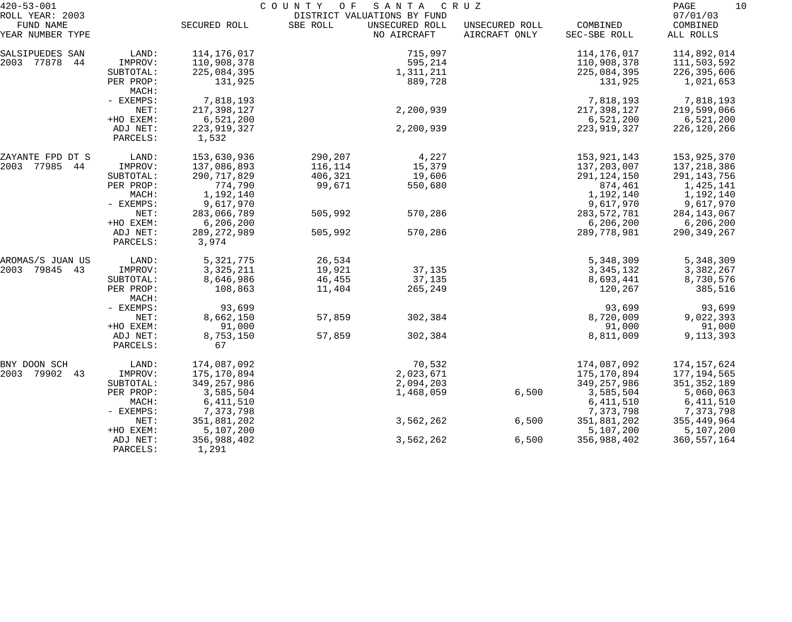| $420 - 53 - 001$                                 |                      | COUNTY OF SANTA<br>C R U Z<br>DISTRICT VALUATIONS BY FUND |          |                               |                                 |                          |                                   |  |  |
|--------------------------------------------------|----------------------|-----------------------------------------------------------|----------|-------------------------------|---------------------------------|--------------------------|-----------------------------------|--|--|
| ROLL YEAR: 2003<br>FUND NAME<br>YEAR NUMBER TYPE |                      | SECURED ROLL                                              | SBE ROLL | UNSECURED ROLL<br>NO AIRCRAFT | UNSECURED ROLL<br>AIRCRAFT ONLY | COMBINED<br>SEC-SBE ROLL | 07/01/03<br>COMBINED<br>ALL ROLLS |  |  |
| SALSIPUEDES SAN                                  | LAND:                | 114,176,017                                               |          | 715,997                       |                                 | 114,176,017              | 114,892,014                       |  |  |
| 2003 77878<br>44                                 | IMPROV:              | 110,908,378                                               |          | 595,214                       |                                 | 110,908,378              | 111,503,592                       |  |  |
|                                                  | SUBTOTAL:            | 225,084,395                                               |          | 1,311,211                     |                                 | 225,084,395              | 226,395,606                       |  |  |
|                                                  | PER PROP:<br>MACH:   | 131,925                                                   |          | 889,728                       |                                 | 131,925                  | 1,021,653                         |  |  |
|                                                  | - EXEMPS:            | 7,818,193                                                 |          |                               |                                 | 7,818,193                | 7,818,193                         |  |  |
|                                                  | NET:                 | 217,398,127                                               |          | 2,200,939                     |                                 | 217,398,127              | 219,599,066                       |  |  |
|                                                  | +HO EXEM:            | 6,521,200                                                 |          |                               |                                 | 6,521,200                | 6,521,200                         |  |  |
|                                                  | ADJ NET:<br>PARCELS: | 223, 919, 327<br>1,532                                    |          | 2,200,939                     |                                 | 223, 919, 327            | 226,120,266                       |  |  |
| ZAYANTE FPD DT S                                 | LAND:                | 153,630,936                                               | 290,207  | 4,227                         |                                 | 153,921,143              | 153,925,370                       |  |  |
| 2003 77985 44                                    | IMPROV:              | 137,086,893                                               | 116,114  | 15,379                        |                                 | 137,203,007              | 137,218,386                       |  |  |
|                                                  | SUBTOTAL:            | 290, 717, 829                                             | 406,321  | 19,606                        |                                 | 291, 124, 150            | 291,143,756                       |  |  |
|                                                  | PER PROP:            | 774,790                                                   | 99,671   | 550,680                       |                                 | 874,461                  | 1,425,141                         |  |  |
|                                                  | MACH:                | 1,192,140                                                 |          |                               |                                 | 1,192,140                | 1,192,140                         |  |  |
|                                                  | $-$ EXEMPS:          | 9,617,970                                                 |          |                               |                                 | 9,617,970                | 9,617,970                         |  |  |
|                                                  | NET:                 | 283,066,789                                               | 505,992  | 570,286                       |                                 | 283, 572, 781            | 284,143,067                       |  |  |
|                                                  | +HO EXEM:            | 6, 206, 200                                               |          |                               |                                 | 6, 206, 200              | 6,206,200                         |  |  |
|                                                  | ADJ NET:<br>PARCELS: | 289, 272, 989<br>3,974                                    | 505,992  | 570,286                       |                                 | 289,778,981              | 290, 349, 267                     |  |  |
| AROMAS/S JUAN US                                 | LAND:                | 5,321,775                                                 | 26,534   |                               |                                 | 5,348,309                | 5,348,309                         |  |  |
| 2003 79845 43                                    | IMPROV:              | 3, 325, 211                                               | 19,921   | 37,135                        |                                 | 3, 345, 132              | 3,382,267                         |  |  |
|                                                  | SUBTOTAL:            | 8,646,986                                                 | 46,455   | 37,135                        |                                 | 8,693,441                | 8,730,576                         |  |  |
|                                                  | PER PROP:<br>MACH:   | 108,863                                                   | 11,404   | 265,249                       |                                 | 120,267                  | 385,516                           |  |  |
|                                                  | $-$ EXEMPS:          | 93,699                                                    |          |                               |                                 | 93,699                   | 93,699                            |  |  |
|                                                  | NET:                 | 8,662,150                                                 | 57,859   | 302,384                       |                                 | 8,720,009                | 9,022,393                         |  |  |
|                                                  | +HO EXEM:            | 91,000                                                    |          |                               |                                 | 91,000                   | 91,000                            |  |  |
|                                                  | ADJ NET:<br>PARCELS: | 8,753,150<br>67                                           | 57,859   | 302,384                       |                                 | 8,811,009                | 9, 113, 393                       |  |  |
| BNY DOON SCH                                     | LAND:                | 174,087,092                                               |          | 70,532                        |                                 | 174,087,092              | 174,157,624                       |  |  |
| 2003<br>79902<br>43                              | IMPROV:              | 175,170,894                                               |          | 2,023,671                     |                                 | 175,170,894              | 177,194,565                       |  |  |
|                                                  | SUBTOTAL:            | 349, 257, 986                                             |          | 2,094,203                     |                                 | 349, 257, 986            | 351, 352, 189                     |  |  |
|                                                  | PER PROP:            | 3,585,504                                                 |          | 1,468,059                     | 6,500                           | 3,585,504                | 5,060,063                         |  |  |
|                                                  | MACH:                | 6, 411, 510                                               |          |                               |                                 | 6, 411, 510              | 6,411,510                         |  |  |
|                                                  | - EXEMPS:            | 7,373,798                                                 |          |                               |                                 | 7,373,798                | 7,373,798                         |  |  |
|                                                  | NET:                 | 351,881,202                                               |          | 3,562,262                     | 6,500                           | 351,881,202              | 355, 449, 964                     |  |  |
|                                                  | +HO EXEM:            | 5,107,200                                                 |          |                               |                                 | 5,107,200                | 5,107,200                         |  |  |
|                                                  | ADJ NET:<br>PARCELS: | 356,988,402<br>1,291                                      |          | 3,562,262                     | 6,500                           | 356,988,402              | 360,557,164                       |  |  |
|                                                  |                      |                                                           |          |                               |                                 |                          |                                   |  |  |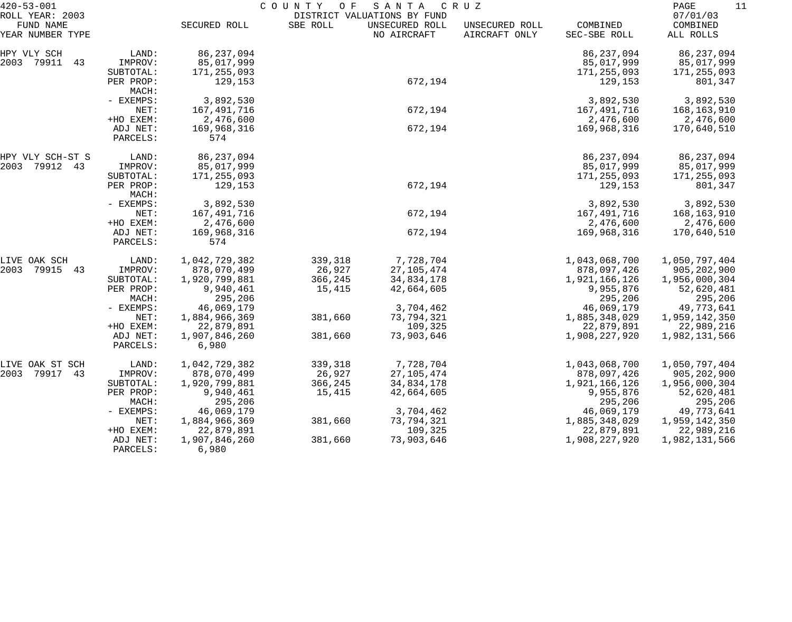| $420 - 53 - 001$                                 |                      | COUNTY<br>SANTA<br>C R U Z<br>O F |          |                                                              |                                 |                          |                                   |  |
|--------------------------------------------------|----------------------|-----------------------------------|----------|--------------------------------------------------------------|---------------------------------|--------------------------|-----------------------------------|--|
| ROLL YEAR: 2003<br>FUND NAME<br>YEAR NUMBER TYPE |                      | SECURED ROLL                      | SBE ROLL | DISTRICT VALUATIONS BY FUND<br>UNSECURED ROLL<br>NO AIRCRAFT | UNSECURED ROLL<br>AIRCRAFT ONLY | COMBINED<br>SEC-SBE ROLL | 07/01/03<br>COMBINED<br>ALL ROLLS |  |
|                                                  |                      |                                   |          |                                                              |                                 |                          |                                   |  |
| HPY VLY SCH                                      | LAND:                | 86, 237, 094                      |          |                                                              |                                 | 86, 237, 094             | 86, 237, 094                      |  |
| 2003 79911<br>43                                 | IMPROV:              | 85,017,999                        |          |                                                              |                                 | 85,017,999               | 85,017,999                        |  |
|                                                  | SUBTOTAL:            | 171, 255, 093                     |          |                                                              |                                 | 171, 255, 093            | 171,255,093                       |  |
|                                                  | PER PROP:<br>MACH:   | 129,153                           |          | 672,194                                                      |                                 | 129,153                  | 801,347                           |  |
|                                                  | - EXEMPS:            | 3,892,530                         |          |                                                              |                                 | 3,892,530                | 3,892,530                         |  |
|                                                  | NET:                 | 167, 491, 716                     |          | 672,194                                                      |                                 | 167,491,716              | 168,163,910                       |  |
|                                                  | +HO EXEM:            | 2,476,600                         |          |                                                              |                                 | 2,476,600                | 2,476,600                         |  |
|                                                  | ADJ NET:             | 169,968,316                       |          | 672,194                                                      |                                 | 169,968,316              | 170,640,510                       |  |
|                                                  | PARCELS:             | 574                               |          |                                                              |                                 |                          |                                   |  |
| HPY VLY SCH-ST S                                 | LAND:                | 86, 237, 094                      |          |                                                              |                                 | 86, 237, 094             | 86, 237, 094                      |  |
| 2003 79912 43                                    | IMPROV:              | 85,017,999                        |          |                                                              |                                 | 85,017,999               | 85,017,999                        |  |
|                                                  | SUBTOTAL:            | 171, 255, 093                     |          |                                                              |                                 | 171, 255, 093            | 171,255,093                       |  |
|                                                  | PER PROP:            | 129,153                           |          | 672,194                                                      |                                 | 129,153                  | 801,347                           |  |
|                                                  | MACH:                |                                   |          |                                                              |                                 |                          |                                   |  |
|                                                  | - EXEMPS:            | 3,892,530                         |          |                                                              |                                 | 3,892,530                | 3,892,530                         |  |
|                                                  | NET:                 | 167,491,716                       |          | 672,194                                                      |                                 | 167,491,716              | 168,163,910                       |  |
|                                                  | +HO EXEM:            | 2,476,600                         |          |                                                              |                                 | 2,476,600                | 2,476,600                         |  |
|                                                  | ADJ NET:             | 169,968,316                       |          | 672,194                                                      |                                 | 169,968,316              | 170,640,510                       |  |
|                                                  | PARCELS:             | 574                               |          |                                                              |                                 |                          |                                   |  |
| LIVE OAK SCH                                     | LAND:                | 1,042,729,382                     | 339,318  | 7,728,704                                                    |                                 | 1,043,068,700            | 1,050,797,404                     |  |
| 2003<br>79915<br>43                              | IMPROV:              | 878,070,499                       | 26,927   | 27, 105, 474                                                 |                                 | 878,097,426              | 905, 202, 900                     |  |
|                                                  | SUBTOTAL:            | 1,920,799,881                     | 366,245  | 34,834,178                                                   |                                 | 1,921,166,126            | 1,956,000,304                     |  |
|                                                  | PER PROP:            | 9,940,461                         | 15,415   | 42,664,605                                                   |                                 | 9,955,876                | 52,620,481                        |  |
|                                                  | MACH:                | 295,206                           |          |                                                              |                                 | 295,206                  | 295,206                           |  |
|                                                  | - EXEMPS:            | 46,069,179                        |          | 3,704,462                                                    |                                 | 46,069,179               | 49,773,641                        |  |
|                                                  | NET:                 | 1,884,966,369                     | 381,660  | 73,794,321                                                   |                                 | 1,885,348,029            | 1,959,142,350                     |  |
|                                                  | +HO EXEM:            | 22,879,891                        |          | 109,325                                                      |                                 | 22,879,891               | 22,989,216                        |  |
|                                                  | ADJ NET:             | 1,907,846,260                     | 381,660  | 73,903,646                                                   |                                 | 1,908,227,920            | 1,982,131,566                     |  |
|                                                  | PARCELS:             | 6,980                             |          |                                                              |                                 |                          |                                   |  |
| LIVE OAK ST SCH                                  | LAND:                | 1,042,729,382                     | 339,318  | 7,728,704                                                    |                                 | 1,043,068,700            | 1,050,797,404                     |  |
| 2003<br>79917<br>43                              | IMPROV:              | 878,070,499                       | 26,927   | 27, 105, 474                                                 |                                 | 878,097,426              | 905, 202, 900                     |  |
|                                                  | SUBTOTAL:            | 1,920,799,881                     | 366,245  | 34,834,178                                                   |                                 | 1,921,166,126            | 1,956,000,304                     |  |
|                                                  | PER PROP:            | 9,940,461                         | 15,415   | 42,664,605                                                   |                                 | 9,955,876                | 52,620,481                        |  |
|                                                  | MACH:                | 295,206                           |          |                                                              |                                 | 295,206                  | 295,206                           |  |
|                                                  | - EXEMPS:            | 46,069,179                        |          | 3,704,462                                                    |                                 | 46,069,179               | 49,773,641                        |  |
|                                                  | NET:                 | 1,884,966,369                     | 381,660  | 73,794,321                                                   |                                 | 1,885,348,029            | 1,959,142,350                     |  |
|                                                  | +HO EXEM:            | 22,879,891                        |          | 109,325                                                      |                                 | 22,879,891               | 22,989,216                        |  |
|                                                  | ADJ NET:<br>PARCELS: | 1,907,846,260<br>6,980            | 381,660  | 73,903,646                                                   |                                 | 1,908,227,920            | 1,982,131,566                     |  |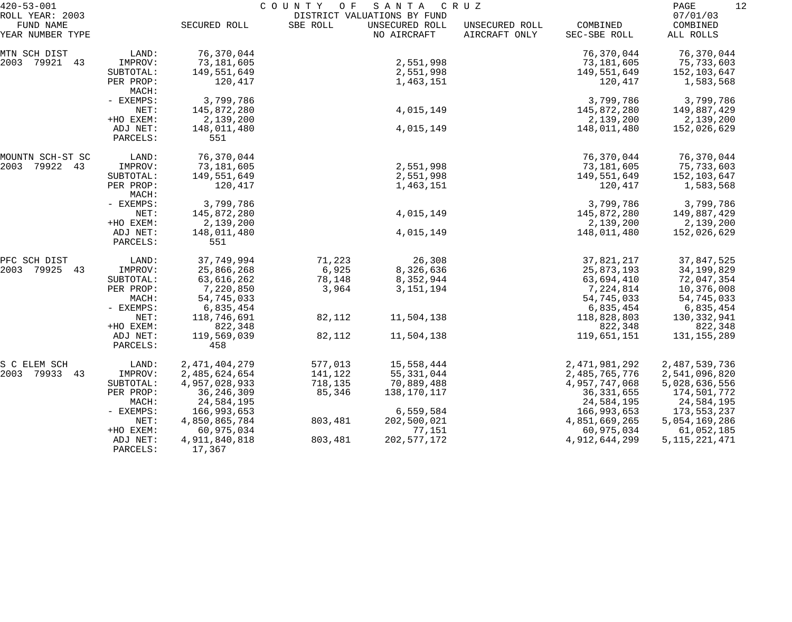| $420 - 53 - 001$                                 |                      | C O U N T Y<br>O F<br>SANTA<br>C R U Z<br>DISTRICT VALUATIONS BY FUND |          |                               |                                 |                          |                                   |  |
|--------------------------------------------------|----------------------|-----------------------------------------------------------------------|----------|-------------------------------|---------------------------------|--------------------------|-----------------------------------|--|
| ROLL YEAR: 2003<br>FUND NAME<br>YEAR NUMBER TYPE |                      | SECURED ROLL                                                          | SBE ROLL | UNSECURED ROLL<br>NO AIRCRAFT | UNSECURED ROLL<br>AIRCRAFT ONLY | COMBINED<br>SEC-SBE ROLL | 07/01/03<br>COMBINED<br>ALL ROLLS |  |
| MTN SCH DIST                                     | LAND:                | 76,370,044                                                            |          |                               |                                 | 76,370,044               | 76,370,044                        |  |
| 2003 79921 43                                    | IMPROV:              | 73,181,605                                                            |          | 2,551,998                     |                                 | 73,181,605               | 75,733,603                        |  |
|                                                  | SUBTOTAL:            | 149,551,649                                                           |          | 2,551,998                     |                                 | 149,551,649              | 152,103,647                       |  |
|                                                  | PER PROP:<br>MACH:   | 120,417                                                               |          | 1,463,151                     |                                 | 120,417                  | 1,583,568                         |  |
|                                                  | - EXEMPS:            | 3,799,786                                                             |          |                               |                                 | 3,799,786                | 3,799,786                         |  |
|                                                  | NET:                 | 145,872,280                                                           |          | 4,015,149                     |                                 | 145,872,280              | 149,887,429                       |  |
|                                                  | +HO EXEM:            | 2,139,200                                                             |          |                               |                                 | 2,139,200                | 2,139,200                         |  |
|                                                  | ADJ NET:<br>PARCELS: | 148,011,480<br>551                                                    |          | 4,015,149                     |                                 | 148,011,480              | 152,026,629                       |  |
| MOUNTN SCH-ST SC                                 | LAND:                | 76,370,044                                                            |          |                               |                                 | 76,370,044               | 76,370,044                        |  |
| 2003 79922 43                                    | IMPROV:              | 73,181,605                                                            |          | 2,551,998                     |                                 | 73,181,605               | 75,733,603                        |  |
|                                                  | SUBTOTAL:            | 149,551,649                                                           |          | 2,551,998                     |                                 | 149,551,649              | 152,103,647                       |  |
|                                                  | PER PROP:<br>MACH:   | 120,417                                                               |          | 1,463,151                     |                                 | 120,417                  | 1,583,568                         |  |
|                                                  | - EXEMPS:            | 3,799,786                                                             |          |                               |                                 | 3,799,786                | 3,799,786                         |  |
|                                                  | NET:                 | 145,872,280                                                           |          | 4,015,149                     |                                 | 145,872,280              | 149,887,429                       |  |
|                                                  | +HO EXEM:            | 2,139,200                                                             |          |                               |                                 | 2,139,200                | 2,139,200                         |  |
|                                                  | ADJ NET:<br>PARCELS: | 148,011,480<br>551                                                    |          | 4,015,149                     |                                 | 148,011,480              | 152,026,629                       |  |
| PFC SCH DIST                                     | LAND:                | 37,749,994                                                            | 71,223   | 26,308                        |                                 | 37,821,217               | 37,847,525                        |  |
| 2003 79925 43                                    | IMPROV:              | 25,866,268                                                            | 6,925    | 8,326,636                     |                                 | 25,873,193               | 34,199,829                        |  |
|                                                  | SUBTOTAL:            | 63,616,262                                                            | 78,148   | 8,352,944                     |                                 | 63,694,410               | 72,047,354                        |  |
|                                                  | PER PROP:            | 7,220,850                                                             | 3,964    | 3, 151, 194                   |                                 | 7,224,814                | 10,376,008                        |  |
|                                                  | MACH:                | 54,745,033                                                            |          |                               |                                 | 54,745,033               | 54,745,033                        |  |
|                                                  | - EXEMPS:            | 6,835,454                                                             |          |                               |                                 | 6,835,454                | 6,835,454                         |  |
|                                                  | NET:                 | 118,746,691                                                           | 82,112   | 11,504,138                    |                                 | 118,828,803              | 130,332,941                       |  |
|                                                  | +HO EXEM:            | 822,348                                                               |          |                               |                                 | 822,348                  | 822,348                           |  |
|                                                  | ADJ NET:<br>PARCELS: | 119,569,039<br>458                                                    | 82,112   | 11,504,138                    |                                 | 119,651,151              | 131, 155, 289                     |  |
| S C ELEM SCH                                     | LAND:                | 2, 471, 404, 279                                                      | 577,013  | 15,558,444                    |                                 | 2, 471, 981, 292         | 2,487,539,736                     |  |
| 2003 79933 43                                    | IMPROV:              | 2,485,624,654                                                         | 141,122  | 55, 331, 044                  |                                 | 2,485,765,776            | 2,541,096,820                     |  |
|                                                  | SUBTOTAL:            | 4,957,028,933                                                         | 718,135  | 70,889,488                    |                                 | 4,957,747,068            | 5,028,636,556                     |  |
|                                                  | PER PROP:            | 36, 246, 309                                                          | 85,346   | 138,170,117                   |                                 | 36, 331, 655             | 174,501,772                       |  |
|                                                  | MACH:                | 24,584,195                                                            |          |                               |                                 | 24,584,195               | 24,584,195                        |  |
|                                                  | $-$ EXEMPS:          | 166,993,653                                                           |          | 6,559,584                     |                                 | 166,993,653              | 173,553,237                       |  |
|                                                  | NET:                 | 4,850,865,784                                                         | 803,481  | 202,500,021                   |                                 | 4,851,669,265            | 5,054,169,286                     |  |
|                                                  | +HO EXEM:            | 60,975,034                                                            |          | 77,151                        |                                 | 60,975,034               | 61,052,185                        |  |
|                                                  | ADJ NET:<br>PARCELS: | 4,911,840,818<br>17,367                                               | 803,481  | 202, 577, 172                 |                                 | 4,912,644,299            | 5, 115, 221, 471                  |  |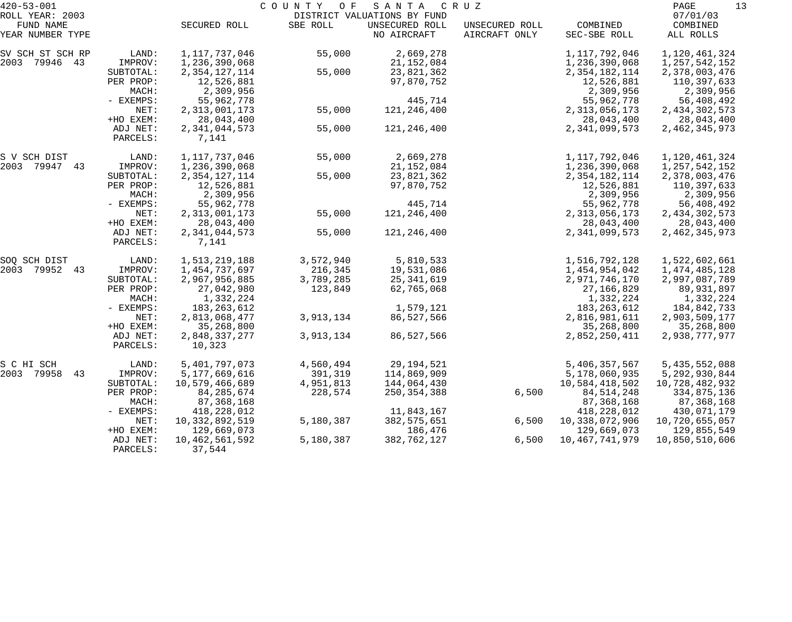| $420 - 53 - 001$              |                      |                             | COUNTY OF | SANTA                         | C R U Z                         |                          | PAGE<br>13            |
|-------------------------------|----------------------|-----------------------------|-----------|-------------------------------|---------------------------------|--------------------------|-----------------------|
| ROLL YEAR: 2003               |                      |                             |           | DISTRICT VALUATIONS BY FUND   |                                 |                          | 07/01/03              |
| FUND NAME<br>YEAR NUMBER TYPE |                      | SECURED ROLL                | SBE ROLL  | UNSECURED ROLL<br>NO AIRCRAFT | UNSECURED ROLL<br>AIRCRAFT ONLY | COMBINED<br>SEC-SBE ROLL | COMBINED<br>ALL ROLLS |
| SV SCH ST SCH RP              | LAND:                | 1,117,737,046               | 55,000    | 2,669,278                     |                                 | 1,117,792,046            | 1,120,461,324         |
| 2003 79946 43                 | IMPROV:              | 1,236,390,068               |           | 21,152,084                    |                                 | 1,236,390,068            | 1, 257, 542, 152      |
|                               | SUBTOTAL:            | 2, 354, 127, 114            | 55,000    | 23,821,362                    |                                 | 2, 354, 182, 114         | 2,378,003,476         |
|                               | PER PROP:            | 12,526,881                  |           | 97,870,752                    |                                 | 12,526,881               | 110,397,633           |
|                               | MACH:                | 2,309,956                   |           |                               |                                 | 2,309,956                | 2,309,956             |
|                               | - EXEMPS:            | 55,962,778                  |           | 445,714                       |                                 | 55,962,778               | 56,408,492            |
|                               | NET:                 | 2,313,001,173               | 55,000    | 121,246,400                   |                                 | 2, 313, 056, 173         | 2, 434, 302, 573      |
|                               | +HO EXEM:            | 28,043,400                  |           |                               |                                 | 28,043,400               | 28,043,400            |
|                               | ADJ NET:             | 2,341,044,573               | 55,000    | 121,246,400                   |                                 | 2,341,099,573            | 2, 462, 345, 973      |
|                               | PARCELS:             | 7,141                       |           |                               |                                 |                          |                       |
| S V SCH DIST                  | LAND:                | 1,117,737,046               | 55,000    | 2,669,278                     |                                 | 1,117,792,046            | 1,120,461,324         |
| 2003 79947 43                 | IMPROV:              | 1,236,390,068               |           | 21, 152, 084                  |                                 | 1,236,390,068            | 1, 257, 542, 152      |
|                               | SUBTOTAL:            | 2, 354, 127, 114            | 55,000    | 23,821,362                    |                                 | 2, 354, 182, 114         | 2,378,003,476         |
|                               | PER PROP:            | 12,526,881                  |           | 97,870,752                    |                                 | 12,526,881               | 110,397,633           |
|                               | MACH:                | 2,309,956                   |           |                               |                                 | 2,309,956                | 2,309,956             |
|                               | - EXEMPS:            | 55,962,778                  |           | 445,714                       |                                 | 55,962,778               | 56,408,492            |
|                               | NET:                 | 2,313,001,173               | 55,000    | 121,246,400                   |                                 | 2, 313, 056, 173         | 2, 434, 302, 573      |
|                               | +HO EXEM:            | 28,043,400                  |           |                               |                                 | 28,043,400               | 28,043,400            |
|                               | ADJ NET:<br>PARCELS: | 2,341,044,573<br>7,141      | 55,000    | 121,246,400                   |                                 | 2,341,099,573            | 2,462,345,973         |
| SOQ SCH DIST                  | LAND:                | 1,513,219,188               | 3,572,940 | 5,810,533                     |                                 | 1,516,792,128            | 1,522,602,661         |
| 2003 79952 43                 | IMPROV:              | 1,454,737,697               | 216,345   | 19,531,086                    |                                 | 1,454,954,042            | 1,474,485,128         |
|                               | SUBTOTAL:            | 2,967,956,885               | 3,789,285 | 25,341,619                    |                                 | 2,971,746,170            | 2,997,087,789         |
|                               | PER PROP:            | 27,042,980                  | 123,849   | 62,765,068                    |                                 | 27,166,829               | 89,931,897            |
|                               | MACH:                | 1,332,224                   |           |                               |                                 | 1,332,224                | 1,332,224             |
|                               | - EXEMPS:            | 183, 263, 612               |           | 1,579,121                     |                                 | 183, 263, 612            | 184,842,733           |
|                               | NET:                 | 2,813,068,477               | 3,913,134 | 86,527,566                    |                                 | 2,816,981,611            | 2,903,509,177         |
|                               | +HO EXEM:            | 35,268,800                  |           |                               |                                 | 35,268,800               | 35,268,800            |
|                               | ADJ NET:             | 2,848,337,277               | 3,913,134 | 86,527,566                    |                                 | 2,852,250,411            | 2,938,777,977         |
|                               | PARCELS:             | 10,323                      |           |                               |                                 |                          |                       |
| S C HI SCH                    | LAND:                | 5,401,797,073               | 4,560,494 | 29,194,521                    |                                 | 5,406,357,567            | 5,435,552,088         |
| 43<br>2003 79958              | IMPROV:              | 5, 177, 669, 616            | 391,319   | 114,869,909                   |                                 | 5,178,060,935            | 5, 292, 930, 844      |
|                               | SUBTOTAL:            | 10,579,466,689              | 4,951,813 | 144,064,430                   |                                 | 10,584,418,502           | 10,728,482,932        |
|                               | PER PROP:            | 84, 285, 674                | 228,574   | 250, 354, 388                 | 6,500                           | 84, 514, 248             | 334,875,136           |
|                               | MACH:                | 87,368,168                  |           |                               |                                 | 87, 368, 168             | 87,368,168            |
|                               | - EXEMPS:            | 418,228,012                 |           | 11,843,167                    |                                 | 418,228,012              | 430,071,179           |
|                               | NET:                 | 10,332,892,519              | 5,180,387 | 382, 575, 651                 | 6,500                           | 10,338,072,906           | 10,720,655,057        |
|                               | +HO EXEM:            | 129,669,073                 |           | 186,476                       |                                 | 129,669,073              | 129,855,549           |
|                               | ADJ NET:<br>PARCELS: | 10, 462, 561, 592<br>37,544 | 5,180,387 | 382,762,127                   | 6,500                           | 10, 467, 741, 979        | 10,850,510,606        |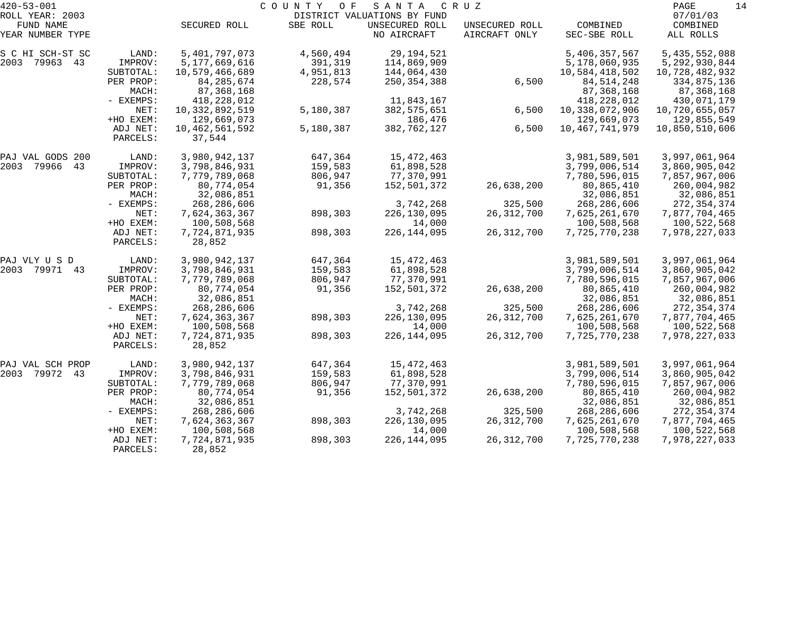| $420 - 53 - 001$              |                      |                          | COUNTY<br>O F | SANTA                                         | C R U Z                         |                          | 14<br>PAGE            |
|-------------------------------|----------------------|--------------------------|---------------|-----------------------------------------------|---------------------------------|--------------------------|-----------------------|
| ROLL YEAR: 2003               |                      |                          |               | DISTRICT VALUATIONS BY FUND<br>UNSECURED ROLL |                                 |                          | 07/01/03              |
| FUND NAME<br>YEAR NUMBER TYPE |                      | SECURED ROLL             | SBE ROLL      | NO AIRCRAFT                                   | UNSECURED ROLL<br>AIRCRAFT ONLY | COMBINED<br>SEC-SBE ROLL | COMBINED<br>ALL ROLLS |
| S C HI SCH-ST SC              | LAND:                | 5,401,797,073            | 4,560,494     | 29, 194, 521                                  |                                 | 5,406,357,567            | 5,435,552,088         |
| 2003 79963 43                 | IMPROV:              | 5,177,669,616            | 391,319       | 114,869,909                                   |                                 | 5,178,060,935            | 5, 292, 930, 844      |
|                               | SUBTOTAL:            | 10,579,466,689           | 4,951,813     | 144,064,430                                   |                                 | 10,584,418,502           | 10,728,482,932        |
|                               | PER PROP:            | 84, 285, 674             | 228,574       | 250, 354, 388                                 | 6,500                           | 84, 514, 248             | 334,875,136           |
|                               | MACH:                | 87,368,168               |               |                                               |                                 | 87, 368, 168             | 87,368,168            |
|                               | - EXEMPS:            | 418,228,012              |               | 11,843,167                                    |                                 | 418,228,012              | 430,071,179           |
|                               | NET:                 | 10,332,892,519           | 5,180,387     | 382,575,651                                   | 6,500                           | 10,338,072,906           | 10,720,655,057        |
|                               | +HO EXEM:            | 129,669,073              |               | 186,476                                       |                                 | 129,669,073              | 129,855,549           |
|                               | ADJ NET:<br>PARCELS: | 10,462,561,592<br>37,544 | 5,180,387     | 382,762,127                                   | 6,500                           | 10, 467, 741, 979        | 10,850,510,606        |
| PAJ VAL GODS 200              | LAND:                | 3,980,942,137            | 647,364       | 15, 472, 463                                  |                                 | 3,981,589,501            | 3,997,061,964         |
| 2003 79966<br>43              | IMPROV:              | 3,798,846,931            | 159,583       | 61,898,528                                    |                                 | 3,799,006,514            | 3,860,905,042         |
|                               | SUBTOTAL:            | 7,779,789,068            | 806,947       | 77,370,991                                    |                                 | 7,780,596,015            | 7,857,967,006         |
|                               | PER PROP:            | 80,774,054               | 91,356        | 152,501,372                                   | 26,638,200                      | 80,865,410               | 260,004,982           |
|                               | MACH:                | 32,086,851               |               |                                               |                                 | 32,086,851               | 32,086,851            |
|                               | - EXEMPS:            | 268,286,606              |               | 3,742,268                                     | 325,500                         | 268, 286, 606            | 272, 354, 374         |
|                               | NET:                 | 7,624,363,367            | 898,303       | 226,130,095                                   | 26, 312, 700                    | 7,625,261,670            | 7,877,704,465         |
|                               | +HO EXEM:            | 100,508,568              |               | 14,000                                        |                                 | 100,508,568              | 100,522,568           |
|                               | ADJ NET:<br>PARCELS: | 7,724,871,935<br>28,852  | 898,303       | 226, 144, 095                                 | 26, 312, 700                    | 7,725,770,238            | 7,978,227,033         |
| PAJ VLY U S D                 | LAND:                | 3,980,942,137            | 647,364       | 15,472,463                                    |                                 | 3,981,589,501            | 3,997,061,964         |
| 2003 79971 43                 | IMPROV:              | 3,798,846,931            | 159,583       | 61,898,528                                    |                                 | 3,799,006,514            | 3,860,905,042         |
|                               | SUBTOTAL:            | 7,779,789,068            | 806,947       | 77,370,991                                    |                                 | 7,780,596,015            | 7,857,967,006         |
|                               | PER PROP:            | 80,774,054               | 91,356        | 152,501,372                                   | 26,638,200                      | 80,865,410               | 260,004,982           |
|                               | MACH:                | 32,086,851               |               |                                               |                                 | 32,086,851               | 32,086,851            |
|                               | - EXEMPS:            | 268,286,606              |               | 3,742,268                                     | 325,500                         | 268, 286, 606            | 272,354,374           |
|                               | NET:                 | 7,624,363,367            | 898,303       | 226,130,095                                   | 26, 312, 700                    | 7,625,261,670            | 7,877,704,465         |
|                               | +HO EXEM:            | 100,508,568              |               | 14,000                                        |                                 | 100,508,568              | 100,522,568           |
|                               | ADJ NET:<br>PARCELS: | 7,724,871,935<br>28,852  | 898,303       | 226, 144, 095                                 | 26, 312, 700                    | 7,725,770,238            | 7,978,227,033         |
| PAJ VAL SCH PROP              | LAND:                | 3,980,942,137            | 647,364       | 15, 472, 463                                  |                                 | 3,981,589,501            | 3,997,061,964         |
| 2003<br>79972<br>43           | IMPROV:              | 3,798,846,931            | 159,583       | 61,898,528                                    |                                 | 3,799,006,514            | 3,860,905,042         |
|                               | SUBTOTAL:            | 7,779,789,068            | 806,947       | 77,370,991                                    |                                 | 7,780,596,015            | 7,857,967,006         |
|                               | PER PROP:            | 80,774,054               | 91,356        | 152,501,372                                   | 26,638,200                      | 80,865,410               | 260,004,982           |
|                               | MACH:                | 32,086,851               |               |                                               |                                 | 32,086,851               | 32,086,851            |
|                               | - EXEMPS:            | 268, 286, 606            |               | 3,742,268                                     | 325,500                         | 268, 286, 606            | 272, 354, 374         |
|                               | NET:                 | 7,624,363,367            | 898,303       | 226, 130, 095                                 | 26, 312, 700                    | 7,625,261,670            | 7,877,704,465         |
|                               | +HO EXEM:            | 100,508,568              |               | 14,000                                        |                                 | 100,508,568              | 100,522,568           |
|                               | ADJ NET:<br>PARCELS: | 7,724,871,935<br>28,852  | 898,303       | 226, 144, 095                                 | 26, 312, 700                    | 7,725,770,238            | 7,978,227,033         |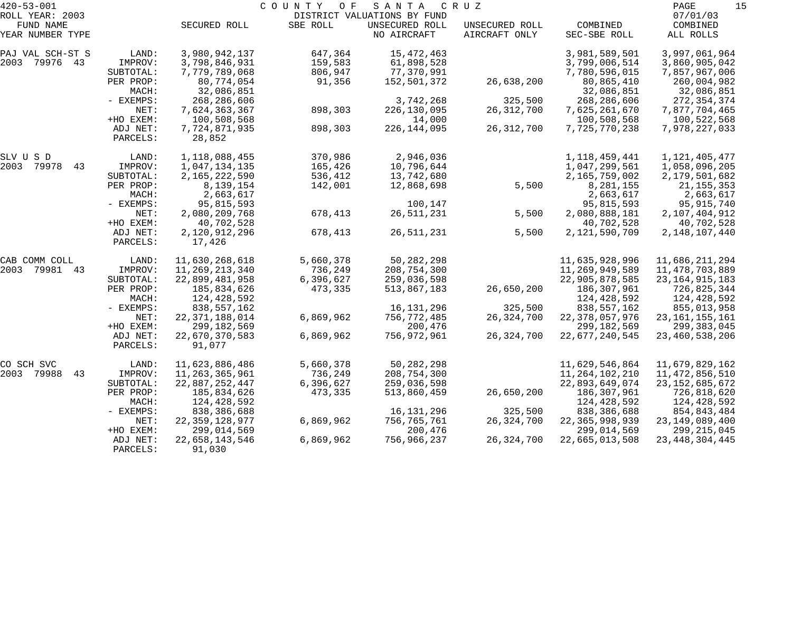| $420 - 53 - 001$    |           |                   | COUNTY<br>O F | SANTA                       | C R U Z        |                   | 15<br>PAGE        |
|---------------------|-----------|-------------------|---------------|-----------------------------|----------------|-------------------|-------------------|
| ROLL YEAR: 2003     |           |                   |               | DISTRICT VALUATIONS BY FUND |                |                   | 07/01/03          |
| FUND NAME           |           | SECURED ROLL      | SBE ROLL      | UNSECURED ROLL              | UNSECURED ROLL | COMBINED          | COMBINED          |
| YEAR NUMBER TYPE    |           |                   |               | NO AIRCRAFT                 | AIRCRAFT ONLY  | SEC-SBE ROLL      | ALL ROLLS         |
| PAJ VAL SCH-ST S    | LAND:     | 3,980,942,137     | 647,364       | 15,472,463                  |                | 3,981,589,501     | 3,997,061,964     |
| 2003 79976 43       | IMPROV:   | 3,798,846,931     | 159,583       | 61,898,528                  |                | 3,799,006,514     | 3,860,905,042     |
|                     | SUBTOTAL: | 7,779,789,068     | 806,947       | 77,370,991                  |                | 7,780,596,015     | 7,857,967,006     |
|                     | PER PROP: | 80,774,054        | 91,356        | 152,501,372                 | 26,638,200     | 80,865,410        | 260,004,982       |
|                     | MACH:     | 32,086,851        |               |                             |                | 32,086,851        | 32,086,851        |
|                     | - EXEMPS: | 268, 286, 606     |               | 3,742,268                   | 325,500        | 268, 286, 606     | 272, 354, 374     |
|                     | NET:      | 7,624,363,367     | 898,303       | 226, 130, 095               | 26, 312, 700   | 7,625,261,670     | 7,877,704,465     |
|                     | +HO EXEM: | 100,508,568       |               | 14,000                      |                | 100,508,568       | 100,522,568       |
|                     | ADJ NET:  | 7,724,871,935     | 898,303       | 226, 144, 095               | 26, 312, 700   | 7,725,770,238     | 7,978,227,033     |
|                     | PARCELS:  | 28,852            |               |                             |                |                   |                   |
| SLV U S D           | LAND:     | 1,118,088,455     | 370,986       | 2,946,036                   |                | 1, 118, 459, 441  | 1, 121, 405, 477  |
| 79978<br>2003<br>43 | IMPROV:   | 1,047,134,135     | 165,426       | 10,796,644                  |                | 1,047,299,561     | 1,058,096,205     |
|                     | SUBTOTAL: | 2,165,222,590     | 536,412       | 13,742,680                  |                | 2,165,759,002     | 2,179,501,682     |
|                     | PER PROP: | 8,139,154         | 142,001       | 12,868,698                  | 5,500          | 8,281,155         | 21, 155, 353      |
|                     | MACH:     | 2,663,617         |               |                             |                | 2,663,617         | 2,663,617         |
|                     | - EXEMPS: | 95,815,593        |               | 100,147                     |                | 95,815,593        | 95,915,740        |
|                     | NET:      | 2,080,209,768     | 678,413       | 26, 511, 231                | 5,500          | 2,080,888,181     | 2,107,404,912     |
|                     | +HO EXEM: | 40,702,528        |               |                             |                | 40,702,528        | 40,702,528        |
|                     | ADJ NET:  | 2,120,912,296     | 678,413       | 26, 511, 231                | 5,500          | 2, 121, 590, 709  | 2, 148, 107, 440  |
|                     | PARCELS:  | 17,426            |               |                             |                |                   |                   |
| CAB COMM COLL       | LAND:     | 11,630,268,618    | 5,660,378     | 50, 282, 298                |                | 11,635,928,996    | 11,686,211,294    |
| 2003<br>79981<br>43 | IMPROV:   | 11, 269, 213, 340 | 736,249       | 208,754,300                 |                | 11,269,949,589    | 11,478,703,889    |
|                     | SUBTOTAL: | 22,899,481,958    | 6,396,627     | 259,036,598                 |                | 22,905,878,585    | 23, 164, 915, 183 |
|                     | PER PROP: | 185,834,626       | 473,335       | 513,867,183                 | 26,650,200     | 186,307,961       | 726,825,344       |
|                     | MACH:     | 124, 428, 592     |               |                             |                | 124,428,592       | 124,428,592       |
|                     | - EXEMPS: | 838,557,162       |               | 16,131,296                  | 325,500        | 838,557,162       | 855,013,958       |
|                     | NET:      | 22, 371, 188, 014 | 6,869,962     | 756,772,485                 | 26,324,700     | 22, 378, 057, 976 | 23, 161, 155, 161 |
|                     | +HO EXEM: | 299, 182, 569     |               | 200,476                     |                | 299, 182, 569     | 299,383,045       |
|                     | ADJ NET:  | 22,670,370,583    | 6,869,962     | 756,972,961                 | 26, 324, 700   | 22,677,240,545    | 23, 460, 538, 206 |
|                     | PARCELS:  | 91,077            |               |                             |                |                   |                   |
| CO SCH SVC          | LAND:     | 11,623,886,486    | 5,660,378     | 50, 282, 298                |                | 11,629,546,864    | 11,679,829,162    |
| 2003 79988<br>43    | IMPROV:   | 11, 263, 365, 961 | 736,249       | 208,754,300                 |                | 11, 264, 102, 210 | 11, 472, 856, 510 |
|                     | SUBTOTAL: | 22,887,252,447    | 6,396,627     | 259,036,598                 |                | 22,893,649,074    | 23, 152, 685, 672 |
|                     | PER PROP: | 185,834,626       | 473,335       | 513,860,459                 | 26,650,200     | 186,307,961       | 726,818,620       |
|                     | MACH:     | 124,428,592       |               |                             |                | 124,428,592       | 124,428,592       |
|                     | - EXEMPS: | 838,386,688       |               | 16,131,296                  | 325,500        | 838,386,688       | 854,843,484       |
|                     | NET:      | 22, 359, 128, 977 | 6,869,962     | 756,765,761                 | 26, 324, 700   | 22, 365, 998, 939 | 23, 149, 089, 400 |
|                     | +HO EXEM: | 299,014,569       |               | 200,476                     |                | 299,014,569       | 299, 215, 045     |
|                     | ADJ NET:  | 22,658,143,546    | 6,869,962     | 756,966,237                 | 26,324,700     | 22,665,013,508    | 23, 448, 304, 445 |
|                     | PARCELS:  | 91,030            |               |                             |                |                   |                   |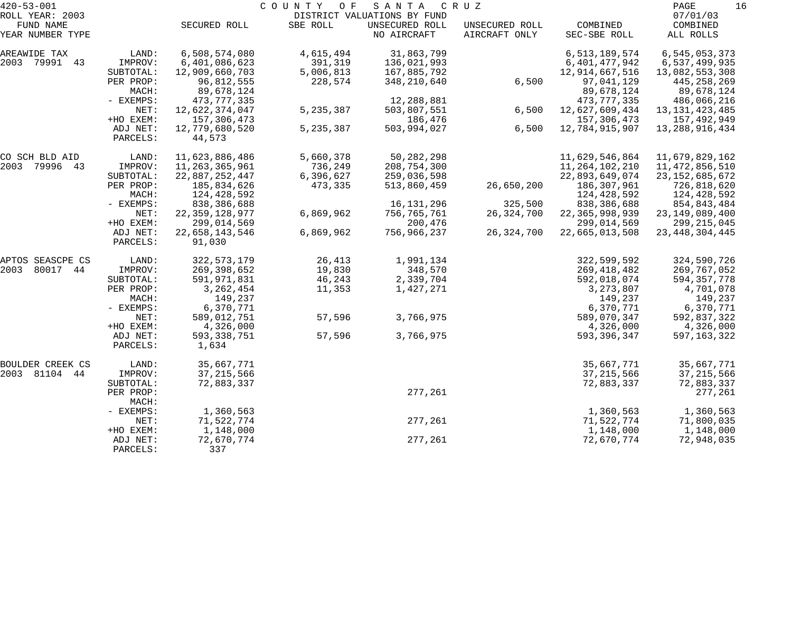| $420 - 53 - 001$              |                      |                          | COUNTY OF   | SANTA                         | C R U Z                         |                          | PAGE<br>16                |
|-------------------------------|----------------------|--------------------------|-------------|-------------------------------|---------------------------------|--------------------------|---------------------------|
| ROLL YEAR: 2003               |                      |                          |             | DISTRICT VALUATIONS BY FUND   |                                 |                          | 07/01/03                  |
| FUND NAME<br>YEAR NUMBER TYPE |                      | SECURED ROLL             | SBE ROLL    | UNSECURED ROLL<br>NO AIRCRAFT | UNSECURED ROLL<br>AIRCRAFT ONLY | COMBINED<br>SEC-SBE ROLL | COMBINED<br>ALL ROLLS     |
| AREAWIDE TAX                  | LAND:                | 6,508,574,080            | 4,615,494   | 31,863,799                    |                                 | 6,513,189,574            | 6,545,053,373             |
| 2003 79991 43                 | IMPROV:              | 6,401,086,623            | 391,319     | 136,021,993                   |                                 | 6,401,477,942            | 6,537,499,935             |
|                               | SUBTOTAL:            | 12,909,660,703           | 5,006,813   | 167,885,792                   |                                 | 12,914,667,516           | 13,082,553,308            |
|                               | PER PROP:<br>MACH:   | 96,812,555<br>89,678,124 | 228,574     | 348,210,640                   | 6,500                           | 97,041,129<br>89,678,124 | 445,258,269<br>89,678,124 |
|                               | - EXEMPS:            | 473,777,335              |             | 12,288,881                    |                                 | 473,777,335              | 486,066,216               |
|                               | NET:                 | 12,622,374,047           | 5, 235, 387 | 503,807,551                   | 6,500                           | 12,627,609,434           | 13, 131, 423, 485         |
|                               | +HO EXEM:            | 157,306,473              |             | 186,476                       |                                 | 157,306,473              | 157,492,949               |
|                               | ADJ NET:<br>PARCELS: | 12,779,680,520<br>44,573 | 5, 235, 387 | 503,994,027                   | 6,500                           | 12,784,915,907           | 13, 288, 916, 434         |
| CO SCH BLD AID                | LAND:                | 11,623,886,486           | 5,660,378   | 50, 282, 298                  |                                 | 11,629,546,864           | 11,679,829,162            |
| 2003 79996 43                 | IMPROV:              | 11,263,365,961           | 736,249     | 208,754,300                   |                                 | 11, 264, 102, 210        | 11,472,856,510            |
|                               | SUBTOTAL:            | 22,887,252,447           | 6,396,627   | 259,036,598                   |                                 | 22,893,649,074           | 23, 152, 685, 672         |
|                               | PER PROP:            | 185,834,626              | 473,335     | 513,860,459                   | 26,650,200                      | 186,307,961              | 726,818,620               |
|                               | MACH:                | 124,428,592              |             |                               |                                 | 124,428,592              | 124,428,592               |
|                               | - EXEMPS:            | 838,386,688              |             | 16, 131, 296                  | 325,500                         | 838,386,688              | 854,843,484               |
|                               | NET:                 | 22, 359, 128, 977        | 6,869,962   | 756,765,761                   | 26, 324, 700                    | 22, 365, 998, 939        | 23, 149, 089, 400         |
|                               | +HO EXEM:            | 299,014,569              |             | 200,476                       |                                 | 299,014,569              | 299, 215, 045             |
|                               | ADJ NET:<br>PARCELS: | 22,658,143,546<br>91,030 | 6,869,962   | 756,966,237                   | 26,324,700                      | 22,665,013,508           | 23, 448, 304, 445         |
| APTOS SEASCPE CS              | LAND:                | 322, 573, 179            | 26,413      | 1,991,134                     |                                 | 322,599,592              | 324,590,726               |
| 80017 44<br>2003              | IMPROV:              | 269,398,652              | 19,830      | 348,570                       |                                 | 269, 418, 482            | 269,767,052               |
|                               | SUBTOTAL:            | 591,971,831              | 46,243      | 2,339,704                     |                                 | 592,018,074              | 594, 357, 778             |
|                               | PER PROP:            | 3, 262, 454              | 11,353      | 1,427,271                     |                                 | 3, 273, 807              | 4,701,078                 |
|                               | MACH:                | 149,237                  |             |                               |                                 | 149,237                  | 149,237                   |
|                               | - EXEMPS:            | 6,370,771                |             |                               |                                 | 6,370,771                | 6,370,771                 |
|                               | NET:                 | 589,012,751              | 57,596      | 3,766,975                     |                                 | 589,070,347              | 592,837,322               |
|                               | +HO EXEM:            | 4,326,000                |             |                               |                                 | 4,326,000                | 4,326,000                 |
|                               | ADJ NET:<br>PARCELS: | 593, 338, 751<br>1,634   | 57,596      | 3,766,975                     |                                 | 593,396,347              | 597, 163, 322             |
| BOULDER CREEK CS              | LAND:                | 35,667,771               |             |                               |                                 | 35,667,771               | 35,667,771                |
| 2003 81104 44                 | IMPROV:              | 37, 215, 566             |             |                               |                                 | 37, 215, 566             | 37, 215, 566              |
|                               | SUBTOTAL:            | 72,883,337               |             |                               |                                 | 72,883,337               | 72,883,337                |
|                               | PER PROP:<br>MACH:   |                          |             | 277,261                       |                                 |                          | 277,261                   |
|                               | - EXEMPS:            | 1,360,563                |             |                               |                                 | 1,360,563                | 1,360,563                 |
|                               | NET:                 | 71,522,774               |             | 277,261                       |                                 | 71,522,774               | 71,800,035                |
|                               | +HO EXEM:            | 1,148,000                |             |                               |                                 | 1,148,000                | 1,148,000                 |
|                               | ADJ NET:<br>PARCELS: | 72,670,774<br>337        |             | 277,261                       |                                 | 72,670,774               | 72,948,035                |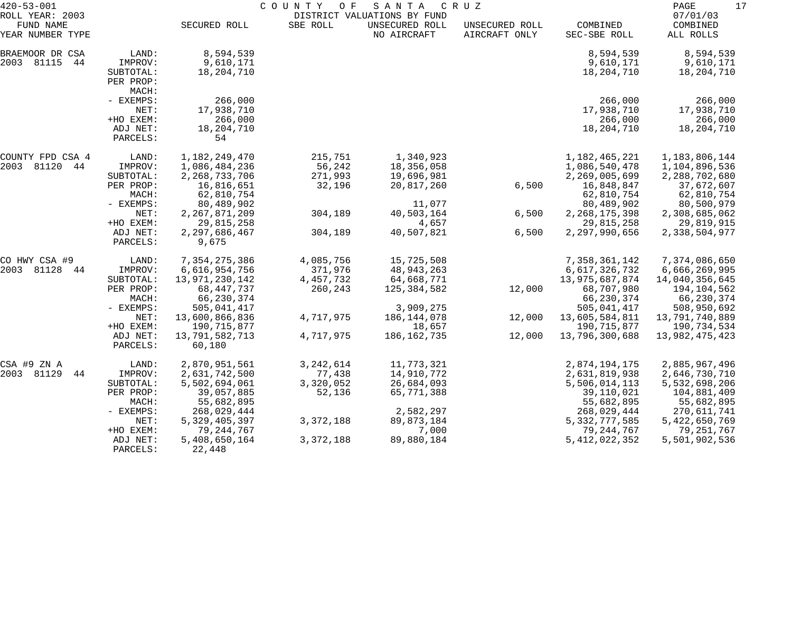| $420 - 53 - 001$                                 |                                                        | COUNTY<br>SANTA<br>CRUZ<br>O F<br>DISTRICT VALUATIONS BY FUND |                                     |                                          |                                 |                                                  |                                                  |
|--------------------------------------------------|--------------------------------------------------------|---------------------------------------------------------------|-------------------------------------|------------------------------------------|---------------------------------|--------------------------------------------------|--------------------------------------------------|
| ROLL YEAR: 2003<br>FUND NAME<br>YEAR NUMBER TYPE |                                                        | SECURED ROLL                                                  | SBE ROLL                            | UNSECURED ROLL<br>NO AIRCRAFT            | UNSECURED ROLL<br>AIRCRAFT ONLY | COMBINED<br>SEC-SBE ROLL                         | 07/01/03<br>COMBINED<br>ALL ROLLS                |
| BRAEMOOR DR CSA<br>2003 81115<br>44              | LAND:<br>IMPROV:<br>SUBTOTAL:<br>PER PROP:<br>MACH:    | 8,594,539<br>9,610,171<br>18,204,710                          |                                     |                                          |                                 | 8,594,539<br>9,610,171<br>18,204,710             | 8,594,539<br>9,610,171<br>18,204,710             |
|                                                  | - EXEMPS:<br>NET:<br>+HO EXEM:<br>ADJ NET:<br>PARCELS: | 266,000<br>17,938,710<br>266,000<br>18,204,710<br>54          |                                     |                                          |                                 | 266,000<br>17,938,710<br>266,000<br>18,204,710   | 266,000<br>17,938,710<br>266,000<br>18,204,710   |
| COUNTY FPD CSA 4<br>2003 81120<br>44             | LAND:<br>IMPROV:<br>SUBTOTAL:                          | 1,182,249,470<br>1,086,484,236<br>2, 268, 733, 706            | 215,751<br>56,242<br>271,993        | 1,340,923<br>18,356,058<br>19,696,981    |                                 | 1,182,465,221<br>1,086,540,478<br>2,269,005,699  | 1,183,806,144<br>1,104,896,536<br>2,288,702,680  |
|                                                  | PER PROP:<br>MACH:<br>- EXEMPS:                        | 16,816,651<br>62,810,754<br>80,489,902                        | 32,196                              | 20,817,260<br>11,077                     | 6,500                           | 16,848,847<br>62,810,754<br>80,489,902           | 37,672,607<br>62,810,754<br>80,500,979           |
|                                                  | NET:<br>+HO EXEM:                                      | 2, 267, 871, 209<br>29,815,258                                | 304,189                             | 40,503,164<br>4,657                      | 6,500                           | 2, 268, 175, 398<br>29,815,258                   | 2,308,685,062<br>29,819,915                      |
|                                                  | ADJ NET:<br>PARCELS:                                   | 2, 297, 686, 467<br>9,675                                     | 304,189                             | 40,507,821                               | 6,500                           | 2,297,990,656                                    | 2,338,504,977                                    |
| CO HWY CSA #9<br>2003 81128<br>44                | LAND:<br>IMPROV:<br>SUBTOTAL:                          | 7, 354, 275, 386<br>6,616,954,756<br>13,971,230,142           | 4,085,756<br>371,976<br>4, 457, 732 | 15,725,508<br>48, 943, 263<br>64,668,771 |                                 | 7,358,361,142<br>6,617,326,732<br>13,975,687,874 | 7,374,086,650<br>6,666,269,995<br>14,040,356,645 |
|                                                  | PER PROP:<br>MACH:<br>- EXEMPS:                        | 68, 447, 737<br>66,230,374<br>505,041,417                     | 260,243                             | 125,384,582<br>3,909,275                 | 12,000                          | 68,707,980<br>66,230,374<br>505,041,417          | 194,104,562<br>66,230,374<br>508,950,692         |
|                                                  | NET:<br>+HO EXEM:                                      | 13,600,866,836<br>190,715,877                                 | 4,717,975                           | 186, 144, 078<br>18,657                  | 12,000                          | 13,605,584,811<br>190,715,877                    | 13,791,740,889<br>190,734,534                    |
|                                                  | ADJ NET:<br>PARCELS:                                   | 13,791,582,713<br>60,180                                      | 4,717,975                           | 186,162,735                              | 12,000                          | 13,796,300,688                                   | 13,982,475,423                                   |
| CSA #9 ZN A<br>2003 81129<br>44                  | LAND:<br>IMPROV:                                       | 2,870,951,561<br>2,631,742,500                                | 3, 242, 614<br>77,438               | 11,773,321<br>14,910,772                 |                                 | 2,874,194,175<br>2,631,819,938                   | 2,885,967,496<br>2,646,730,710                   |
|                                                  | SUBTOTAL:<br>PER PROP:<br>MACH:                        | 5,502,694,061<br>39,057,885<br>55,682,895                     | 3,320,052<br>52,136                 | 26,684,093<br>65,771,388                 |                                 | 5,506,014,113<br>39,110,021<br>55,682,895        | 5,532,698,206<br>104,881,409<br>55,682,895       |
|                                                  | $-$ EXEMPS:<br>NET:<br>+HO EXEM:                       | 268,029,444<br>5, 329, 405, 397<br>79, 244, 767               | 3, 372, 188                         | 2,582,297<br>89,873,184<br>7,000         |                                 | 268,029,444<br>5, 332, 777, 585<br>79, 244, 767  | 270,611,741<br>5, 422, 650, 769<br>79,251,767    |
|                                                  | ADJ NET:<br>PARCELS:                                   | 5,408,650,164<br>22,448                                       | 3, 372, 188                         | 89,880,184                               |                                 | 5, 412, 022, 352                                 | 5,501,902,536                                    |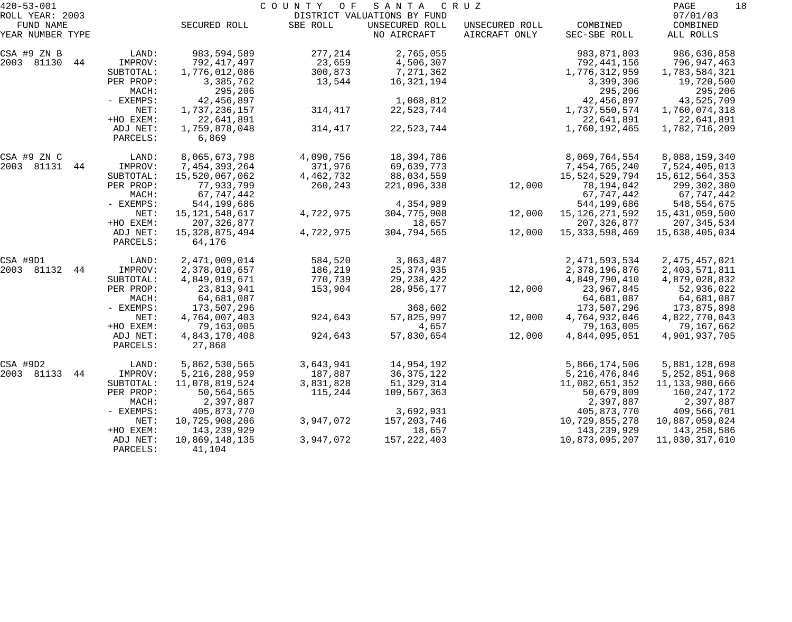| $420 - 53 - 001$             |                      |                         | COUNTY<br>O F | SANTA                                         | C R U Z        |                      | PAGE<br>18            |
|------------------------------|----------------------|-------------------------|---------------|-----------------------------------------------|----------------|----------------------|-----------------------|
| ROLL YEAR: 2003<br>FUND NAME |                      | SECURED ROLL            | SBE ROLL      | DISTRICT VALUATIONS BY FUND<br>UNSECURED ROLL | UNSECURED ROLL | COMBINED             | 07/01/03<br>COMBINED  |
| YEAR NUMBER TYPE             |                      |                         |               | NO AIRCRAFT                                   | AIRCRAFT ONLY  | SEC-SBE ROLL         | ALL ROLLS             |
| CSA #9 ZN B                  | LAND:                | 983,594,589             | 277,214       | 2,765,055                                     |                | 983, 871, 803        | 986,636,858           |
| 2003 81130<br>44             | IMPROV:              | 792,417,497             | 23,659        | 4,506,307                                     |                | 792,441,156          | 796,947,463           |
|                              | SUBTOTAL:            | 1,776,012,086           | 300,873       | 7,271,362                                     |                | 1,776,312,959        | 1,783,584,321         |
|                              | PER PROP:<br>MACH:   | 3,385,762<br>295,206    | 13,544        | 16,321,194                                    |                | 3,399,306<br>295,206 | 19,720,500<br>295,206 |
|                              | - EXEMPS:            | 42, 456, 897            |               | 1,068,812                                     |                | 42,456,897           | 43,525,709            |
|                              | NET:                 | 1,737,236,157           | 314,417       | 22,523,744                                    |                | 1,737,550,574        | 1,760,074,318         |
|                              | +HO EXEM:            | 22,641,891              |               |                                               |                | 22,641,891           | 22,641,891            |
|                              | ADJ NET:<br>PARCELS: | 1,759,878,048<br>6,869  | 314,417       | 22,523,744                                    |                | 1,760,192,465        | 1,782,716,209         |
| CSA #9 ZN C                  | LAND:                | 8,065,673,798           | 4,090,756     | 18,394,786                                    |                | 8,069,764,554        | 8,088,159,340         |
| 2003 81131<br>44             | IMPROV:              | 7,454,393,264           | 371,976       | 69,639,773                                    |                | 7,454,765,240        | 7,524,405,013         |
|                              | SUBTOTAL:            | 15,520,067,062          | 4,462,732     | 88,034,559                                    |                | 15,524,529,794       | 15,612,564,353        |
|                              | PER PROP:            | 77,933,799              | 260,243       | 221,096,338                                   | 12,000         | 78,194,042           | 299,302,380           |
|                              | MACH:                | 67,747,442              |               |                                               |                | 67,747,442           | 67,747,442            |
|                              | - EXEMPS:            | 544,199,686             |               | 4,354,989                                     |                | 544,199,686          | 548,554,675           |
|                              | NET:                 | 15, 121, 548, 617       | 4,722,975     | 304,775,908                                   | 12,000         | 15, 126, 271, 592    | 15,431,059,500        |
|                              | +HO EXEM:            | 207, 326, 877           |               | 18,657                                        |                | 207, 326, 877        | 207,345,534           |
|                              | ADJ NET:             | 15, 328, 875, 494       | 4,722,975     | 304,794,565                                   | 12,000         | 15, 333, 598, 469    | 15,638,405,034        |
|                              | PARCELS:             | 64,176                  |               |                                               |                |                      |                       |
| CSA #9D1                     | LAND:                | 2,471,009,014           | 584,520       | 3,863,487                                     |                | 2, 471, 593, 534     | 2, 475, 457, 021      |
| 2003 81132<br>44             | IMPROV:              | 2,378,010,657           | 186,219       | 25, 374, 935                                  |                | 2,378,196,876        | 2,403,571,811         |
|                              | SUBTOTAL:            | 4,849,019,671           | 770,739       | 29, 238, 422                                  |                | 4,849,790,410        | 4,879,028,832         |
|                              | PER PROP:            | 23,813,941              | 153,904       | 28,956,177                                    | 12,000         | 23,967,845           | 52,936,022            |
|                              | MACH:                | 64,681,087              |               |                                               |                | 64,681,087           | 64,681,087            |
|                              | - EXEMPS:            | 173,507,296             |               | 368,602                                       |                | 173,507,296          | 173,875,898           |
|                              | NET:                 | 4,764,007,403           | 924,643       | 57,825,997                                    | 12,000         | 4,764,932,046        | 4,822,770,043         |
|                              | +HO EXEM:            | 79,163,005              |               | 4,657                                         |                | 79,163,005           | 79,167,662            |
|                              | ADJ NET:<br>PARCELS: | 4,843,170,408<br>27,868 | 924,643       | 57,830,654                                    | 12,000         | 4,844,095,051        | 4,901,937,705         |
| CSA #9D2                     | LAND:                | 5,862,530,565           | 3,643,941     | 14,954,192                                    |                | 5,866,174,506        | 5,881,128,698         |
| 2003 81133<br>44             | IMPROV:              | 5, 216, 288, 959        | 187,887       | 36, 375, 122                                  |                | 5, 216, 476, 846     | 5, 252, 851, 968      |
|                              | SUBTOTAL:            | 11,078,819,524          | 3,831,828     | 51, 329, 314                                  |                | 11,082,651,352       | 11, 133, 980, 666     |
|                              | PER PROP:            | 50,564,565              | 115,244       | 109,567,363                                   |                | 50,679,809           | 160,247,172           |
|                              | MACH:                | 2,397,887               |               |                                               |                | 2,397,887            | 2,397,887             |
|                              | - EXEMPS:            | 405,873,770             |               | 3,692,931                                     |                | 405,873,770          | 409,566,701           |
|                              | NET:                 | 10,725,908,206          | 3,947,072     | 157,203,746                                   |                | 10,729,855,278       | 10,887,059,024        |
|                              | +HO EXEM:            | 143, 239, 929           |               | 18,657                                        |                | 143, 239, 929        | 143,258,586           |
|                              | ADJ NET:             | 10,869,148,135          | 3,947,072     | 157, 222, 403                                 |                | 10,873,095,207       | 11,030,317,610        |
|                              | PARCELS:             | 41,104                  |               |                                               |                |                      |                       |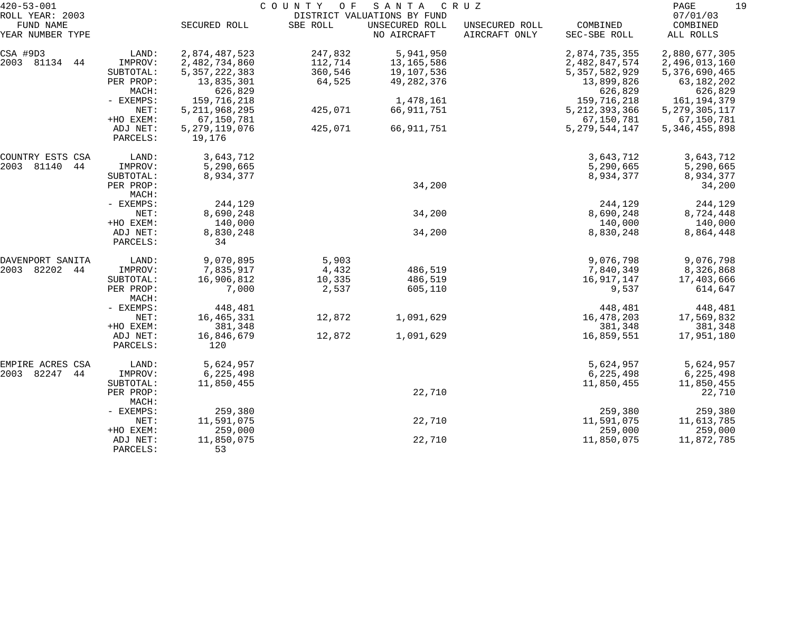| $420 - 53 - 001$    |                    |                  | COUNTY OF | SANTA                       | C R U Z        |                  | 19<br>PAGE       |
|---------------------|--------------------|------------------|-----------|-----------------------------|----------------|------------------|------------------|
| ROLL YEAR: 2003     |                    |                  |           | DISTRICT VALUATIONS BY FUND |                |                  | 07/01/03         |
| FUND NAME           |                    | SECURED ROLL     | SBE ROLL  | UNSECURED ROLL              | UNSECURED ROLL | COMBINED         | COMBINED         |
| YEAR NUMBER TYPE    |                    |                  |           | NO AIRCRAFT                 | AIRCRAFT ONLY  | SEC-SBE ROLL     | ALL ROLLS        |
| CSA #9D3            | LAND:              | 2,874,487,523    | 247,832   | 5,941,950                   |                | 2,874,735,355    | 2,880,677,305    |
| 2003 81134<br>44    | IMPROV:            | 2,482,734,860    | 112,714   | 13,165,586                  |                | 2,482,847,574    | 2,496,013,160    |
|                     | SUBTOTAL:          | 5, 357, 222, 383 | 360,546   | 19,107,536                  |                | 5, 357, 582, 929 | 5,376,690,465    |
|                     | PER PROP:          | 13,835,301       | 64,525    | 49, 282, 376                |                | 13,899,826       | 63,182,202       |
|                     | MACH:              | 626,829          |           |                             |                | 626,829          | 626,829          |
|                     | - EXEMPS:          | 159,716,218      |           | 1,478,161                   |                | 159,716,218      | 161,194,379      |
|                     | NET:               | 5, 211, 968, 295 | 425,071   | 66, 911, 751                |                | 5, 212, 393, 366 | 5, 279, 305, 117 |
|                     | +HO EXEM:          | 67,150,781       |           |                             |                | 67,150,781       | 67,150,781       |
|                     | ADJ NET:           | 5, 279, 119, 076 | 425,071   | 66, 911, 751                |                | 5, 279, 544, 147 | 5, 346, 455, 898 |
|                     | PARCELS:           | 19,176           |           |                             |                |                  |                  |
| COUNTRY ESTS CSA    | LAND:              | 3,643,712        |           |                             |                | 3,643,712        | 3,643,712        |
| 81140<br>44<br>2003 | IMPROV:            | 5,290,665        |           |                             |                | 5,290,665        | 5,290,665        |
|                     | SUBTOTAL:          | 8,934,377        |           |                             |                | 8,934,377        | 8,934,377        |
|                     | PER PROP:          |                  |           | 34,200                      |                |                  | 34,200           |
|                     | MACH:              |                  |           |                             |                |                  |                  |
|                     | - EXEMPS:          | 244,129          |           |                             |                | 244,129          | 244,129          |
|                     | NET:               | 8,690,248        |           | 34,200                      |                | 8,690,248        | 8,724,448        |
|                     | +HO EXEM:          | 140,000          |           |                             |                | 140,000          | 140,000          |
|                     | ADJ NET:           | 8,830,248        |           | 34,200                      |                | 8,830,248        | 8,864,448        |
|                     | PARCELS:           | 34               |           |                             |                |                  |                  |
| DAVENPORT SANITA    | LAND:              | 9,070,895        | 5,903     |                             |                | 9,076,798        | 9,076,798        |
| 82202<br>44<br>2003 | IMPROV:            | 7,835,917        | 4,432     | 486,519                     |                | 7,840,349        | 8,326,868        |
|                     | SUBTOTAL:          | 16,906,812       | 10,335    | 486,519                     |                | 16,917,147       | 17,403,666       |
|                     | PER PROP:<br>MACH: | 7,000            | 2,537     | 605,110                     |                | 9,537            | 614,647          |
|                     | - EXEMPS:          | 448,481          |           |                             |                | 448,481          | 448,481          |
|                     | NET:               | 16,465,331       | 12,872    | 1,091,629                   |                | 16,478,203       | 17,569,832       |
|                     | +HO EXEM:          | 381,348          |           |                             |                | 381,348          | 381,348          |
|                     | ADJ NET:           | 16,846,679       | 12,872    | 1,091,629                   |                | 16,859,551       | 17,951,180       |
|                     | PARCELS:           | 120              |           |                             |                |                  |                  |
| EMPIRE ACRES CSA    | LAND:              | 5,624,957        |           |                             |                | 5,624,957        | 5,624,957        |
| 82247<br>2003<br>44 | IMPROV:            | 6,225,498        |           |                             |                | 6,225,498        | 6, 225, 498      |
|                     | SUBTOTAL:          | 11,850,455       |           |                             |                | 11,850,455       | 11,850,455       |
|                     | PER PROP:<br>MACH: |                  |           | 22,710                      |                |                  | 22,710           |
|                     | - EXEMPS:          | 259,380          |           |                             |                | 259,380          | 259,380          |
|                     | NET:               | 11,591,075       |           | 22,710                      |                | 11,591,075       | 11,613,785       |
|                     | +HO EXEM:          | 259,000          |           |                             |                | 259,000          | 259,000          |
|                     | ADJ NET:           | 11,850,075       |           | 22,710                      |                | 11,850,075       | 11,872,785       |
|                     | PARCELS:           | 53               |           |                             |                |                  |                  |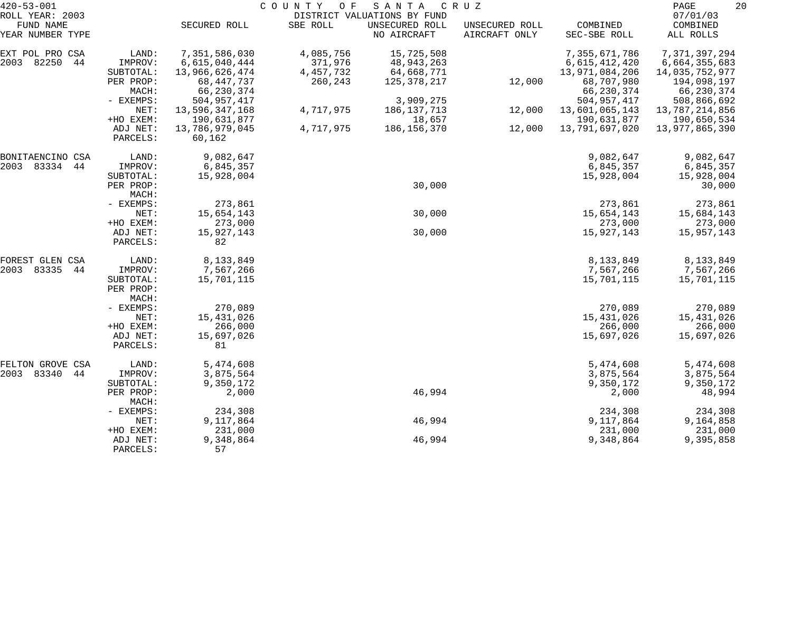| $420 - 53 - 001$    |                                 |                | COUNTY<br>O F | SANTA                       | C R U Z        |                | 20<br>PAGE       |
|---------------------|---------------------------------|----------------|---------------|-----------------------------|----------------|----------------|------------------|
| ROLL YEAR: 2003     |                                 |                |               | DISTRICT VALUATIONS BY FUND |                |                | 07/01/03         |
| FUND NAME           |                                 | SECURED ROLL   | SBE ROLL      | UNSECURED ROLL              | UNSECURED ROLL | COMBINED       | COMBINED         |
| YEAR NUMBER TYPE    |                                 |                |               | NO AIRCRAFT                 | AIRCRAFT ONLY  | SEC-SBE ROLL   | ALL ROLLS        |
| EXT POL PRO CSA     | LAND:                           | 7,351,586,030  | 4,085,756     | 15,725,508                  |                | 7,355,671,786  | 7, 371, 397, 294 |
| 82250<br>2003<br>44 | IMPROV:                         | 6,615,040,444  | 371,976       | 48, 943, 263                |                | 6,615,412,420  | 6,664,355,683    |
|                     | SUBTOTAL:                       | 13,966,626,474 | 4, 457, 732   | 64,668,771                  |                | 13,971,084,206 | 14,035,752,977   |
|                     | PER PROP:                       | 68, 447, 737   | 260,243       | 125,378,217                 | 12,000         | 68,707,980     | 194,098,197      |
|                     | MACH:                           | 66,230,374     |               |                             |                | 66,230,374     | 66,230,374       |
|                     | - EXEMPS:                       | 504, 957, 417  |               | 3,909,275                   |                | 504,957,417    | 508,866,692      |
|                     | NET:                            | 13,596,347,168 | 4,717,975     | 186, 137, 713               | 12,000         | 13,601,065,143 | 13,787,214,856   |
|                     | +HO EXEM:                       | 190,631,877    |               | 18,657                      |                | 190,631,877    | 190,650,534      |
|                     | ADJ NET:                        | 13,786,979,045 | 4,717,975     | 186,156,370                 | 12,000         | 13,791,697,020 | 13,977,865,390   |
|                     | PARCELS:                        | 60,162         |               |                             |                |                |                  |
| BONITAENCINO CSA    | LAND:                           | 9,082,647      |               |                             |                | 9,082,647      | 9,082,647        |
| 83334 44<br>2003    | IMPROV:                         | 6,845,357      |               |                             |                | 6,845,357      | 6,845,357        |
|                     | SUBTOTAL:                       | 15,928,004     |               |                             |                | 15,928,004     | 15,928,004       |
|                     | PER PROP:                       |                |               | 30,000                      |                |                | 30,000           |
|                     | MACH:                           |                |               |                             |                |                |                  |
|                     | - EXEMPS:                       | 273,861        |               |                             |                | 273,861        | 273,861          |
|                     | NET:                            | 15,654,143     |               | 30,000                      |                | 15,654,143     | 15,684,143       |
|                     | +HO EXEM:                       | 273,000        |               |                             |                | 273,000        | 273,000          |
|                     | ADJ NET:                        | 15,927,143     |               | 30,000                      |                | 15,927,143     | 15,957,143       |
|                     | PARCELS:                        | 82             |               |                             |                |                |                  |
| FOREST GLEN CSA     | LAND:                           | 8,133,849      |               |                             |                | 8,133,849      | 8,133,849        |
| 83335<br>2003<br>44 | IMPROV:                         | 7,567,266      |               |                             |                | 7,567,266      | 7,567,266        |
|                     | SUBTOTAL:<br>PER PROP:<br>MACH: | 15,701,115     |               |                             |                | 15,701,115     | 15,701,115       |
|                     | - EXEMPS:                       | 270,089        |               |                             |                | 270,089        | 270,089          |
|                     | NET:                            | 15,431,026     |               |                             |                | 15,431,026     | 15,431,026       |
|                     | +HO EXEM:                       | 266,000        |               |                             |                | 266,000        | 266,000          |
|                     | ADJ NET:                        | 15,697,026     |               |                             |                | 15,697,026     | 15,697,026       |
|                     | PARCELS:                        | 81             |               |                             |                |                |                  |
| FELTON GROVE CSA    | LAND:                           | 5,474,608      |               |                             |                | 5,474,608      | 5,474,608        |
| 2003 83340<br>44    | IMPROV:                         | 3,875,564      |               |                             |                | 3,875,564      | 3,875,564        |
|                     | SUBTOTAL:                       | 9,350,172      |               |                             |                | 9,350,172      | 9,350,172        |
|                     | PER PROP:<br>MACH:              | 2,000          |               | 46,994                      |                | 2,000          | 48,994           |
|                     | - EXEMPS:                       | 234,308        |               |                             |                | 234,308        | 234,308          |
|                     | NET:                            | 9,117,864      |               | 46,994                      |                | 9,117,864      | 9,164,858        |
|                     | +HO EXEM:                       | 231,000        |               |                             |                | 231,000        | 231,000          |
|                     | ADJ NET:                        | 9,348,864      |               | 46,994                      |                | 9,348,864      | 9,395,858        |
|                     | PARCELS:                        | 57             |               |                             |                |                |                  |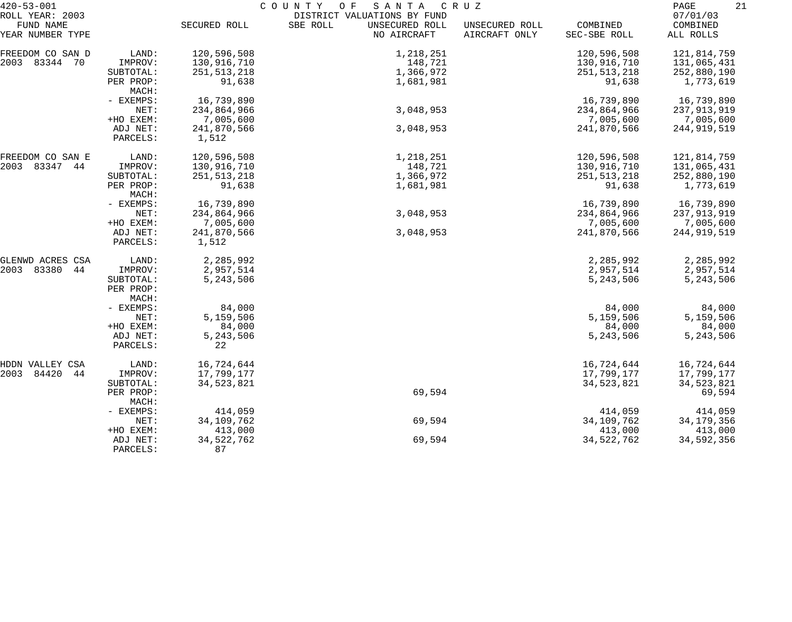| $420 - 53 - 001$              |                        | COUNTY<br>SANTA<br>C R U Z<br>O F |                                           |                                 |                          |                       |  |  |
|-------------------------------|------------------------|-----------------------------------|-------------------------------------------|---------------------------------|--------------------------|-----------------------|--|--|
| ROLL YEAR: 2003               |                        |                                   | DISTRICT VALUATIONS BY FUND               |                                 |                          | 07/01/03              |  |  |
| FUND NAME<br>YEAR NUMBER TYPE |                        | SECURED ROLL                      | SBE ROLL<br>UNSECURED ROLL<br>NO AIRCRAFT | UNSECURED ROLL<br>AIRCRAFT ONLY | COMBINED<br>SEC-SBE ROLL | COMBINED<br>ALL ROLLS |  |  |
| FREEDOM CO SAN D              | LAND:                  | 120,596,508                       | 1,218,251                                 |                                 | 120,596,508              | 121,814,759           |  |  |
| 2003 83344 70                 | IMPROV:                | 130,916,710                       | 148,721                                   |                                 | 130,916,710              | 131,065,431           |  |  |
|                               | SUBTOTAL:              | 251, 513, 218                     | 1,366,972                                 |                                 | 251, 513, 218            | 252,880,190           |  |  |
|                               | PER PROP:              | 91,638                            | 1,681,981                                 |                                 | 91,638                   | 1,773,619             |  |  |
|                               | MACH:                  |                                   |                                           |                                 |                          |                       |  |  |
|                               | - EXEMPS:              | 16,739,890                        |                                           |                                 | 16,739,890               | 16,739,890            |  |  |
|                               | NET:                   | 234,864,966                       | 3,048,953                                 |                                 | 234,864,966              | 237,913,919           |  |  |
|                               | +HO EXEM:              | 7,005,600                         |                                           |                                 | 7,005,600                | 7,005,600             |  |  |
|                               | ADJ NET:               | 241,870,566                       | 3,048,953                                 |                                 | 241,870,566              | 244,919,519           |  |  |
|                               | PARCELS:               | 1,512                             |                                           |                                 |                          |                       |  |  |
| FREEDOM CO SAN E              | LAND:                  | 120,596,508                       | 1,218,251                                 |                                 | 120,596,508              | 121,814,759           |  |  |
| 2003 83347<br>44              | IMPROV:                | 130,916,710                       | 148,721                                   |                                 | 130,916,710              | 131,065,431           |  |  |
|                               | SUBTOTAL:              | 251, 513, 218                     | 1,366,972                                 |                                 | 251, 513, 218            | 252,880,190           |  |  |
|                               | PER PROP:<br>MACH:     | 91,638                            | 1,681,981                                 |                                 | 91,638                   | 1,773,619             |  |  |
|                               | - EXEMPS:              | 16,739,890                        |                                           |                                 | 16,739,890               | 16,739,890            |  |  |
|                               | NET:                   | 234,864,966                       | 3,048,953                                 |                                 | 234,864,966              | 237, 913, 919         |  |  |
|                               | +HO EXEM:              | 7,005,600                         |                                           |                                 | 7,005,600                | 7,005,600             |  |  |
|                               | ADJ NET:<br>PARCELS:   | 241,870,566<br>1,512              | 3,048,953                                 |                                 | 241,870,566              | 244,919,519           |  |  |
| GLENWD ACRES CSA              | LAND:                  | 2,285,992                         |                                           |                                 | 2,285,992                | 2,285,992             |  |  |
| 83380<br>2003<br>44           | IMPROV:                | 2,957,514                         |                                           |                                 | 2,957,514                | 2,957,514             |  |  |
|                               | SUBTOTAL:<br>PER PROP: | 5,243,506                         |                                           |                                 | 5,243,506                | 5,243,506             |  |  |
|                               | MACH:                  |                                   |                                           |                                 |                          |                       |  |  |
|                               | - EXEMPS:              | 84,000                            |                                           |                                 | 84,000                   | 84,000                |  |  |
|                               | NET:<br>+HO EXEM:      | 5,159,506<br>84,000               |                                           |                                 | 5,159,506<br>84,000      | 5,159,506             |  |  |
|                               | ADJ NET:               | 5,243,506                         |                                           |                                 | 5,243,506                | 84,000<br>5,243,506   |  |  |
|                               | PARCELS:               | 22                                |                                           |                                 |                          |                       |  |  |
| HDDN VALLEY CSA               | LAND:                  | 16,724,644                        |                                           |                                 | 16,724,644               | 16,724,644            |  |  |
| 84420<br>44<br>2003           | IMPROV:                | 17,799,177                        |                                           |                                 | 17,799,177               | 17,799,177            |  |  |
|                               | SUBTOTAL:              | 34,523,821                        |                                           |                                 | 34,523,821               | 34,523,821            |  |  |
|                               | PER PROP:<br>MACH:     |                                   | 69,594                                    |                                 |                          | 69,594                |  |  |
|                               | - EXEMPS:              | 414,059                           |                                           |                                 | 414,059                  | 414,059               |  |  |
|                               | NET:                   | 34, 109, 762                      | 69,594                                    |                                 | 34,109,762               | 34, 179, 356          |  |  |
|                               | +HO EXEM:              | 413,000                           |                                           |                                 | 413,000                  | 413,000               |  |  |
|                               | ADJ NET:<br>PARCELS:   | 34, 522, 762<br>87                | 69,594                                    |                                 | 34, 522, 762             | 34,592,356            |  |  |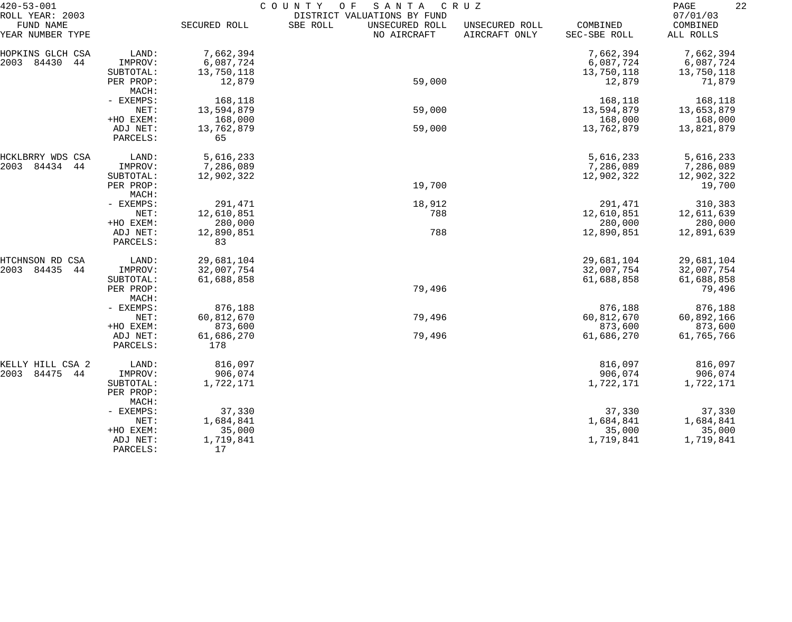| $420 - 53 - 001$                                 |                      | COUNTY<br>SANTA<br>CRUZ<br>O F |                                                                          |                                 |                          |                                   |  |
|--------------------------------------------------|----------------------|--------------------------------|--------------------------------------------------------------------------|---------------------------------|--------------------------|-----------------------------------|--|
| ROLL YEAR: 2003<br>FUND NAME<br>YEAR NUMBER TYPE |                      | SECURED ROLL                   | DISTRICT VALUATIONS BY FUND<br>SBE ROLL<br>UNSECURED ROLL<br>NO AIRCRAFT | UNSECURED ROLL<br>AIRCRAFT ONLY | COMBINED<br>SEC-SBE ROLL | 07/01/03<br>COMBINED<br>ALL ROLLS |  |
| HOPKINS GLCH CSA                                 | LAND:                | 7,662,394                      |                                                                          |                                 | 7,662,394                | 7,662,394                         |  |
| 2003<br>84430<br>44                              | IMPROV:              | 6,087,724                      |                                                                          |                                 | 6,087,724                | 6,087,724                         |  |
|                                                  | SUBTOTAL:            | 13,750,118                     |                                                                          |                                 | 13,750,118               | 13,750,118                        |  |
|                                                  | PER PROP:<br>MACH:   | 12,879                         | 59,000                                                                   |                                 | 12,879                   | 71,879                            |  |
|                                                  | - EXEMPS:            | 168,118                        |                                                                          |                                 | 168,118                  | 168,118                           |  |
|                                                  | NET:                 | 13,594,879                     | 59,000                                                                   |                                 | 13,594,879               | 13,653,879                        |  |
|                                                  | +HO EXEM:            | 168,000                        |                                                                          |                                 | 168,000                  | 168,000                           |  |
|                                                  | ADJ NET:             | 13,762,879                     | 59,000                                                                   |                                 | 13,762,879               | 13,821,879                        |  |
|                                                  | PARCELS:             | 65                             |                                                                          |                                 |                          |                                   |  |
| HCKLBRRY WDS CSA                                 | LAND:                | 5,616,233                      |                                                                          |                                 | 5,616,233                | 5,616,233                         |  |
| 2003<br>84434<br>44                              | IMPROV:              | 7,286,089                      |                                                                          |                                 | 7,286,089                | 7,286,089                         |  |
|                                                  | SUBTOTAL:            | 12,902,322                     |                                                                          |                                 | 12,902,322               | 12,902,322                        |  |
|                                                  | PER PROP:            |                                | 19,700                                                                   |                                 |                          | 19,700                            |  |
|                                                  | MACH:                |                                |                                                                          |                                 |                          |                                   |  |
|                                                  | - EXEMPS:            | 291,471                        | 18,912                                                                   |                                 | 291,471                  | 310,383                           |  |
|                                                  | NET:                 | 12,610,851                     | 788                                                                      |                                 | 12,610,851               | 12,611,639                        |  |
|                                                  | +HO EXEM:            | 280,000                        |                                                                          |                                 | 280,000                  | 280,000                           |  |
|                                                  | ADJ NET:<br>PARCELS: | 12,890,851<br>83               | 788                                                                      |                                 | 12,890,851               | 12,891,639                        |  |
| HTCHNSON RD<br>CSA                               | LAND:                | 29,681,104                     |                                                                          |                                 | 29,681,104               | 29,681,104                        |  |
| 2003<br>84435<br>44                              | IMPROV:              | 32,007,754                     |                                                                          |                                 | 32,007,754               | 32,007,754                        |  |
|                                                  | SUBTOTAL:            | 61,688,858                     |                                                                          |                                 | 61,688,858               | 61,688,858                        |  |
|                                                  | PER PROP:<br>MACH:   |                                | 79,496                                                                   |                                 |                          | 79,496                            |  |
|                                                  | - EXEMPS:            | 876,188                        |                                                                          |                                 | 876,188                  | 876,188                           |  |
|                                                  | NET:                 | 60,812,670                     | 79,496                                                                   |                                 | 60,812,670               | 60,892,166                        |  |
|                                                  | +HO EXEM:            | 873,600                        |                                                                          |                                 | 873,600                  | 873,600                           |  |
|                                                  | ADJ NET:             | 61,686,270                     | 79,496                                                                   |                                 | 61,686,270               | 61,765,766                        |  |
|                                                  | PARCELS:             | 178                            |                                                                          |                                 |                          |                                   |  |
| KELLY HILL CSA 2                                 | LAND:                | 816,097                        |                                                                          |                                 | 816,097                  | 816,097                           |  |
| 84475<br>2003<br>44                              | IMPROV:              | 906,074                        |                                                                          |                                 | 906,074                  | 906,074                           |  |
|                                                  | SUBTOTAL:            | 1,722,171                      |                                                                          |                                 | 1,722,171                | 1,722,171                         |  |
|                                                  | PER PROP:<br>MACH:   |                                |                                                                          |                                 |                          |                                   |  |
|                                                  | - EXEMPS:            | 37,330                         |                                                                          |                                 | 37,330                   | 37,330                            |  |
|                                                  | NET:                 | 1,684,841                      |                                                                          |                                 | 1,684,841                | 1,684,841                         |  |
|                                                  | +HO EXEM:            | 35,000                         |                                                                          |                                 | 35,000                   | 35,000                            |  |
|                                                  | ADJ NET:             | 1,719,841                      |                                                                          |                                 | 1,719,841                | 1,719,841                         |  |
|                                                  | PARCELS:             | 17                             |                                                                          |                                 |                          |                                   |  |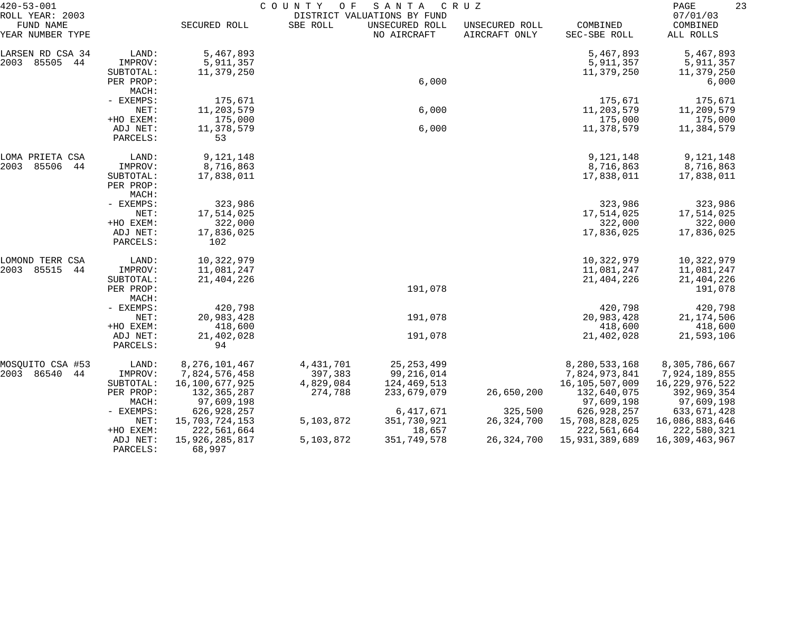| $420 - 53 - 001$                                 |                                            | COUNTY<br>SANTA<br>O F<br>C R U Z<br>DISTRICT VALUATIONS BY FUND |                      |                               |                                 |                                      |                                      |
|--------------------------------------------------|--------------------------------------------|------------------------------------------------------------------|----------------------|-------------------------------|---------------------------------|--------------------------------------|--------------------------------------|
| ROLL YEAR: 2003<br>FUND NAME<br>YEAR NUMBER TYPE |                                            | SECURED ROLL                                                     | SBE ROLL             | UNSECURED ROLL<br>NO AIRCRAFT | UNSECURED ROLL<br>AIRCRAFT ONLY | COMBINED<br>SEC-SBE ROLL             | 07/01/03<br>COMBINED<br>ALL ROLLS    |
| LARSEN RD CSA 34<br>2003 85505 44                | LAND:<br>IMPROV:<br>SUBTOTAL:              | 5,467,893<br>5,911,357<br>11,379,250                             |                      |                               |                                 | 5,467,893<br>5,911,357<br>11,379,250 | 5,467,893<br>5,911,357<br>11,379,250 |
|                                                  | PER PROP:<br>MACH:                         |                                                                  |                      | 6,000                         |                                 |                                      | 6,000                                |
|                                                  | - EXEMPS:<br>NET:                          | 175,671<br>11,203,579                                            |                      | 6,000                         |                                 | 175,671<br>11,203,579                | 175,671<br>11,209,579                |
|                                                  | +HO EXEM:<br>ADJ NET:<br>PARCELS:          | 175,000<br>11,378,579<br>53                                      |                      | 6,000                         |                                 | 175,000<br>11,378,579                | 175,000<br>11,384,579                |
| LOMA PRIETA CSA<br>2003<br>85506<br>44           | LAND:<br>IMPROV:                           | 9,121,148<br>8,716,863                                           |                      |                               |                                 | 9,121,148<br>8,716,863               | 9,121,148<br>8,716,863               |
|                                                  | SUBTOTAL:<br>PER PROP:<br>MACH:            | 17,838,011                                                       |                      |                               |                                 | 17,838,011                           | 17,838,011                           |
|                                                  | - EXEMPS:<br>NET:                          | 323,986<br>17,514,025                                            |                      |                               |                                 | 323,986<br>17,514,025                | 323,986<br>17,514,025                |
|                                                  | +HO EXEM:                                  | 322,000                                                          |                      |                               |                                 | 322,000                              | 322,000                              |
|                                                  | ADJ NET:<br>PARCELS:                       | 17,836,025<br>102                                                |                      |                               |                                 | 17,836,025                           | 17,836,025                           |
| LOMOND TERR CSA                                  | LAND:                                      | 10,322,979                                                       |                      |                               |                                 | 10,322,979                           | 10,322,979                           |
| 2003<br>85515<br>44                              | IMPROV:<br>SUBTOTAL:<br>PER PROP:<br>MACH: | 11,081,247<br>21,404,226                                         |                      | 191,078                       |                                 | 11,081,247<br>21,404,226             | 11,081,247<br>21,404,226<br>191,078  |
|                                                  | - EXEMPS:                                  | 420,798                                                          |                      |                               |                                 | 420,798                              | 420,798                              |
|                                                  | NET:<br>+HO EXEM:                          | 20,983,428<br>418,600                                            |                      | 191,078                       |                                 | 20,983,428<br>418,600                | 21, 174, 506<br>418,600              |
|                                                  | ADJ NET:<br>PARCELS:                       | 21,402,028<br>94                                                 |                      | 191,078                       |                                 | 21,402,028                           | 21,593,106                           |
| MOSQUITO CSA #53                                 | LAND:                                      | 8, 276, 101, 467                                                 | 4,431,701            | 25, 253, 499                  |                                 | 8,280,533,168                        | 8,305,786,667                        |
| 2003 86540<br>44                                 | IMPROV:<br>SUBTOTAL:                       | 7,824,576,458<br>16,100,677,925                                  | 397,383<br>4,829,084 | 99,216,014<br>124,469,513     |                                 | 7,824,973,841<br>16, 105, 507, 009   | 7,924,189,855<br>16,229,976,522      |
|                                                  | PER PROP:<br>MACH:                         | 132,365,287<br>97,609,198                                        | 274,788              | 233,679,079                   | 26,650,200                      | 132,640,075<br>97,609,198            | 392,969,354<br>97,609,198            |
|                                                  | $-$ EXEMPS:                                | 626,928,257                                                      |                      | 6,417,671                     | 325,500                         | 626,928,257                          | 633,671,428                          |
|                                                  | NET:                                       | 15,703,724,153                                                   | 5,103,872            | 351,730,921                   | 26,324,700                      | 15,708,828,025                       | 16,086,883,646                       |
|                                                  | +HO EXEM:<br>ADJ NET:                      | 222,561,664<br>15,926,285,817                                    | 5,103,872            | 18,657<br>351,749,578         | 26, 324, 700                    | 222,561,664<br>15,931,389,689        | 222,580,321<br>16,309,463,967        |
|                                                  | PARCELS:                                   | 68,997                                                           |                      |                               |                                 |                                      |                                      |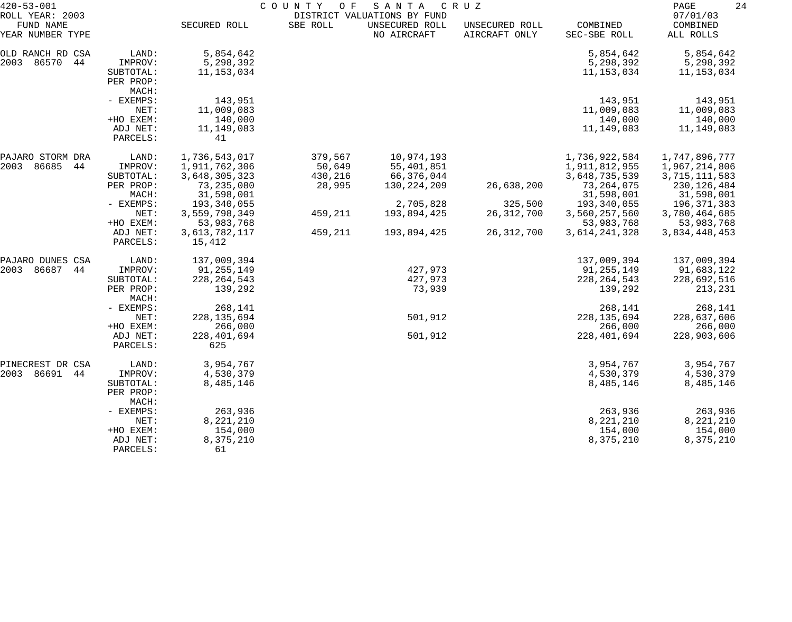| $420 - 53 - 001$                                 |                                                        | COUNTY OF<br>SANTA<br>C R U Z<br>DISTRICT VALUATIONS BY FUND  |                                        |                                                       |                                 |                                                                 |                                                                |
|--------------------------------------------------|--------------------------------------------------------|---------------------------------------------------------------|----------------------------------------|-------------------------------------------------------|---------------------------------|-----------------------------------------------------------------|----------------------------------------------------------------|
| ROLL YEAR: 2003<br>FUND NAME<br>YEAR NUMBER TYPE |                                                        | SECURED ROLL                                                  | SBE ROLL                               | UNSECURED ROLL<br>NO AIRCRAFT                         | UNSECURED ROLL<br>AIRCRAFT ONLY | COMBINED<br>SEC-SBE ROLL                                        | 07/01/03<br>COMBINED<br>ALL ROLLS                              |
| OLD RANCH RD CSA<br>2003 86570<br>44             | LAND:<br>IMPROV:<br>SUBTOTAL:<br>PER PROP:<br>MACH:    | 5,854,642<br>5,298,392<br>11, 153, 034                        |                                        |                                                       |                                 | 5,854,642<br>5,298,392<br>11, 153, 034                          | 5,854,642<br>5,298,392<br>11,153,034                           |
|                                                  | - EXEMPS:<br>NET:<br>+HO EXEM:<br>ADJ NET:<br>PARCELS: | 143,951<br>11,009,083<br>140,000<br>11,149,083<br>41          |                                        |                                                       |                                 | 143,951<br>11,009,083<br>140,000<br>11,149,083                  | 143,951<br>11,009,083<br>140,000<br>11,149,083                 |
| PAJARO STORM DRA<br>2003<br>86685<br>44          | LAND:<br>IMPROV:<br>SUBTOTAL:<br>PER PROP:             | 1,736,543,017<br>1,911,762,306<br>3,648,305,323<br>73,235,080 | 379,567<br>50,649<br>430,216<br>28,995 | 10,974,193<br>55,401,851<br>66,376,044<br>130,224,209 | 26,638,200                      | 1,736,922,584<br>1,911,812,955<br>3,648,735,539<br>73, 264, 075 | 1,747,896,777<br>1,967,214,806<br>3,715,111,583<br>230,126,484 |
|                                                  | MACH:<br>- EXEMPS:<br>NET:<br>+HO EXEM:                | 31,598,001<br>193,340,055<br>3,559,798,349<br>53,983,768      | 459,211                                | 2,705,828<br>193,894,425                              | 325,500<br>26, 312, 700         | 31,598,001<br>193,340,055<br>3,560,257,560<br>53,983,768        | 31,598,001<br>196,371,383<br>3,780,464,685<br>53,983,768       |
|                                                  | ADJ NET:<br>PARCELS:                                   | 3,613,782,117<br>15,412                                       | 459,211                                | 193,894,425                                           | 26, 312, 700                    | 3,614,241,328                                                   | 3,834,448,453                                                  |
| PAJARO DUNES CSA<br>2003<br>86687<br>44          | LAND:<br>IMPROV:<br>SUBTOTAL:<br>PER PROP:<br>MACH:    | 137,009,394<br>91,255,149<br>228, 264, 543<br>139,292         |                                        | 427,973<br>427,973<br>73,939                          |                                 | 137,009,394<br>91,255,149<br>228, 264, 543<br>139,292           | 137,009,394<br>91,683,122<br>228,692,516<br>213,231            |
|                                                  | - EXEMPS:<br>NET:<br>+HO EXEM:<br>ADJ NET:             | 268,141<br>228, 135, 694<br>266,000<br>228, 401, 694          |                                        | 501,912<br>501,912                                    |                                 | 268,141<br>228, 135, 694<br>266,000<br>228, 401, 694            | 268,141<br>228,637,606<br>266,000<br>228,903,606               |
|                                                  | PARCELS:                                               | 625                                                           |                                        |                                                       |                                 |                                                                 |                                                                |
| PINECREST DR CSA<br>2003 86691<br>44             | LAND:<br>IMPROV:<br>SUBTOTAL:<br>PER PROP:<br>MACH:    | 3,954,767<br>4,530,379<br>8,485,146                           |                                        |                                                       |                                 | 3,954,767<br>4,530,379<br>8,485,146                             | 3,954,767<br>4,530,379<br>8,485,146                            |
|                                                  | - EXEMPS:<br>NET:<br>+HO EXEM:<br>ADJ NET:<br>PARCELS: | 263,936<br>8,221,210<br>154,000<br>8,375,210<br>61            |                                        |                                                       |                                 | 263,936<br>8,221,210<br>154,000<br>8,375,210                    | 263,936<br>8,221,210<br>154,000<br>8,375,210                   |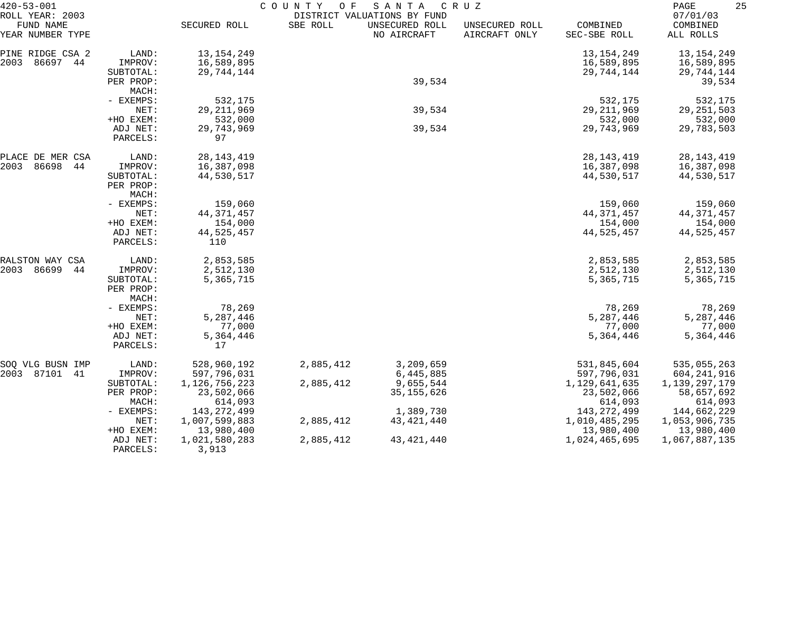| $420 - 53 - 001$                                 |                                            | COUNTY<br>O F<br>SANTA<br>C R U Z<br>DISTRICT VALUATIONS BY FUND |           |                               |                                 |                                        |                                        |
|--------------------------------------------------|--------------------------------------------|------------------------------------------------------------------|-----------|-------------------------------|---------------------------------|----------------------------------------|----------------------------------------|
| ROLL YEAR: 2003<br>FUND NAME<br>YEAR NUMBER TYPE |                                            | SECURED ROLL                                                     | SBE ROLL  | UNSECURED ROLL<br>NO AIRCRAFT | UNSECURED ROLL<br>AIRCRAFT ONLY | COMBINED<br>SEC-SBE ROLL               | 07/01/03<br>COMBINED<br>ALL ROLLS      |
| PINE RIDGE CSA 2<br>2003<br>86697 44             | LAND:<br>IMPROV:                           | 13, 154, 249<br>16,589,895                                       |           |                               |                                 | 13, 154, 249<br>16,589,895             | 13,154,249<br>16,589,895               |
|                                                  | SUBTOTAL:<br>PER PROP:<br>MACH:            | 29,744,144                                                       |           | 39,534                        |                                 | 29,744,144                             | 29,744,144<br>39,534                   |
|                                                  | - EXEMPS:<br>NET:                          | 532,175<br>29, 211, 969                                          |           | 39,534                        |                                 | 532,175<br>29, 211, 969                | 532,175<br>29, 251, 503                |
|                                                  | +HO EXEM:<br>ADJ NET:<br>PARCELS:          | 532,000<br>29,743,969<br>97                                      |           | 39,534                        |                                 | 532,000<br>29,743,969                  | 532,000<br>29,783,503                  |
| PLACE DE MER CSA<br>2003<br>86698<br>44          | LAND:<br>IMPROV:                           | 28, 143, 419<br>16,387,098                                       |           |                               |                                 | 28, 143, 419<br>16,387,098             | 28, 143, 419<br>16,387,098             |
|                                                  | SUBTOTAL:<br>PER PROP:<br>MACH:            | 44,530,517                                                       |           |                               |                                 | 44,530,517                             | 44,530,517                             |
|                                                  | - EXEMPS:<br>NET:                          | 159,060<br>44, 371, 457                                          |           |                               |                                 | 159,060<br>44, 371, 457                | 159,060<br>44, 371, 457                |
|                                                  | +HO EXEM:<br>ADJ NET:<br>PARCELS:          | 154,000<br>44,525,457<br>110                                     |           |                               |                                 | 154,000<br>44,525,457                  | 154,000<br>44,525,457                  |
| RALSTON WAY CSA                                  | LAND:                                      | 2,853,585                                                        |           |                               |                                 | 2,853,585                              | 2,853,585                              |
| 2003<br>86699<br>44                              | IMPROV:<br>SUBTOTAL:<br>PER PROP:<br>MACH: | 2,512,130<br>5,365,715                                           |           |                               |                                 | 2,512,130<br>5,365,715                 | 2,512,130<br>5,365,715                 |
|                                                  | - EXEMPS:<br>NET:                          | 78,269<br>5,287,446                                              |           |                               |                                 | 78,269<br>5,287,446                    | 78,269<br>5,287,446                    |
|                                                  | +HO EXEM:                                  | 77,000                                                           |           |                               |                                 | 77,000                                 | 77,000                                 |
|                                                  | ADJ NET:<br>PARCELS:                       | 5,364,446<br>17                                                  |           |                               |                                 | 5,364,446                              | 5,364,446                              |
| SOQ VLG BUSN IMP<br>2003 87101<br>-41            | LAND:<br>IMPROV:                           | 528,960,192<br>597,796,031                                       | 2,885,412 | 3,209,659<br>6,445,885        |                                 | 531,845,604<br>597,796,031             | 535,055,263<br>604,241,916             |
|                                                  | SUBTOTAL:<br>PER PROP:<br>MACH:            | 1,126,756,223<br>23,502,066<br>614,093                           | 2,885,412 | 9,655,544<br>35, 155, 626     |                                 | 1,129,641,635<br>23,502,066<br>614,093 | 1,139,297,179<br>58,657,692<br>614,093 |
|                                                  | - EXEMPS:<br>NET:                          | 143, 272, 499<br>1,007,599,883                                   | 2,885,412 | 1,389,730<br>43, 421, 440     |                                 | 143, 272, 499<br>1,010,485,295         | 144,662,229<br>1,053,906,735           |
|                                                  | +HO EXEM:<br>ADJ NET:<br>PARCELS:          | 13,980,400<br>1,021,580,283<br>3,913                             | 2,885,412 | 43, 421, 440                  |                                 | 13,980,400<br>1,024,465,695            | 13,980,400<br>1,067,887,135            |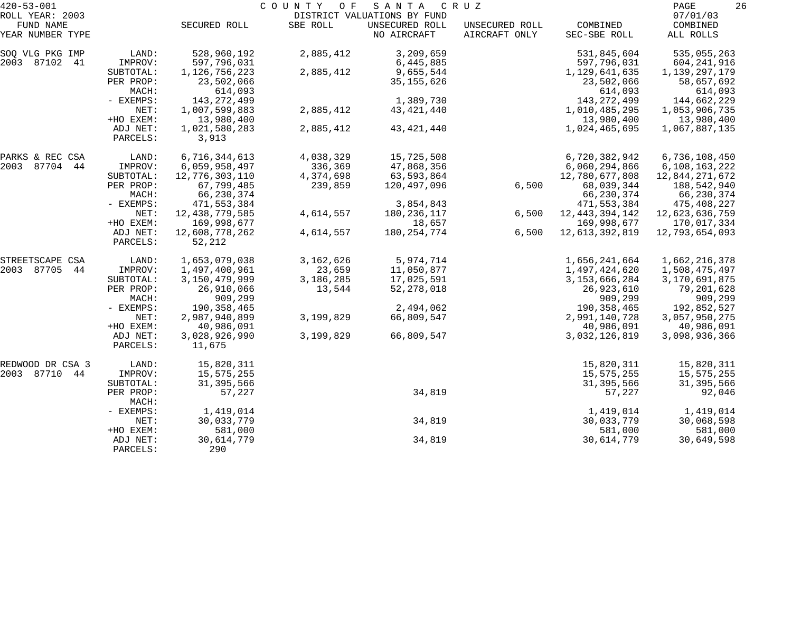| $420 - 53 - 001$              |                      | COUNTY<br>O F<br>SANTA<br>C R U Z |           |                               |                                 |                          |                       |
|-------------------------------|----------------------|-----------------------------------|-----------|-------------------------------|---------------------------------|--------------------------|-----------------------|
| ROLL YEAR: 2003               |                      |                                   |           | DISTRICT VALUATIONS BY FUND   |                                 |                          | 07/01/03              |
| FUND NAME<br>YEAR NUMBER TYPE |                      | SECURED ROLL                      | SBE ROLL  | UNSECURED ROLL<br>NO AIRCRAFT | UNSECURED ROLL<br>AIRCRAFT ONLY | COMBINED<br>SEC-SBE ROLL | COMBINED<br>ALL ROLLS |
| SOQ VLG PKG IMP               | LAND:                | 528,960,192                       | 2,885,412 | 3,209,659                     |                                 | 531,845,604              | 535,055,263           |
| 2003 87102 41                 | IMPROV:              | 597,796,031                       |           | 6,445,885                     |                                 | 597,796,031              | 604,241,916           |
|                               | SUBTOTAL:            | 1, 126, 756, 223                  | 2,885,412 | 9,655,544                     |                                 | 1,129,641,635            | 1,139,297,179         |
|                               | PER PROP:<br>MACH:   | 23,502,066<br>614,093             |           | 35, 155, 626                  |                                 | 23,502,066<br>614,093    | 58,657,692<br>614,093 |
|                               | - EXEMPS:            | 143,272,499                       |           | 1,389,730                     |                                 | 143, 272, 499            | 144,662,229           |
|                               | NET:                 | 1,007,599,883                     | 2,885,412 | 43, 421, 440                  |                                 | 1,010,485,295            | 1,053,906,735         |
|                               | +HO EXEM:            | 13,980,400                        |           |                               |                                 | 13,980,400               | 13,980,400            |
|                               | ADJ NET:<br>PARCELS: | 1,021,580,283<br>3,913            | 2,885,412 | 43, 421, 440                  |                                 | 1,024,465,695            | 1,067,887,135         |
| PARKS & REC CSA               | LAND:                | 6,716,344,613                     | 4,038,329 | 15,725,508                    |                                 | 6,720,382,942            | 6,736,108,450         |
| 2003 87704 44                 | IMPROV:              | 6,059,958,497                     | 336,369   | 47,868,356                    |                                 | 6,060,294,866            | 6,108,163,222         |
|                               | SUBTOTAL:            | 12,776,303,110                    | 4,374,698 | 63,593,864                    |                                 | 12,780,677,808           | 12,844,271,672        |
|                               | PER PROP:            | 67,799,485                        | 239,859   | 120,497,096                   | 6,500                           | 68,039,344               | 188,542,940           |
|                               | MACH:                | 66,230,374                        |           |                               |                                 | 66,230,374               | 66,230,374            |
|                               | - EXEMPS:            | 471,553,384                       |           | 3,854,843                     |                                 | 471,553,384              | 475,408,227           |
|                               | NET:                 | 12, 438, 779, 585                 | 4,614,557 | 180,236,117                   | 6,500                           | 12, 443, 394, 142        | 12,623,636,759        |
|                               | +HO EXEM:            | 169,998,677                       |           | 18,657                        |                                 | 169,998,677              | 170,017,334           |
|                               | ADJ NET:<br>PARCELS: | 12,608,778,262<br>52,212          | 4,614,557 | 180, 254, 774                 | 6,500                           | 12,613,392,819           | 12,793,654,093        |
| STREETSCAPE CSA               | LAND:                | 1,653,079,038                     | 3,162,626 | 5,974,714                     |                                 | 1,656,241,664            | 1,662,216,378         |
| 2003 87705<br>44              | IMPROV:              | 1,497,400,961                     | 23,659    | 11,050,877                    |                                 | 1,497,424,620            | 1,508,475,497         |
|                               | SUBTOTAL:            | 3,150,479,999                     | 3,186,285 | 17,025,591                    |                                 | 3, 153, 666, 284         | 3,170,691,875         |
|                               | PER PROP:            | 26,910,066                        | 13,544    | 52, 278, 018                  |                                 | 26,923,610               | 79,201,628            |
|                               | MACH:                | 909,299                           |           |                               |                                 | 909,299                  | 909,299               |
|                               | - EXEMPS:            | 190,358,465                       |           | 2,494,062                     |                                 | 190, 358, 465            | 192,852,527           |
|                               | NET:                 | 2,987,940,899                     | 3,199,829 | 66,809,547                    |                                 | 2,991,140,728            | 3,057,950,275         |
|                               | +HO EXEM:            | 40,986,091                        |           |                               |                                 | 40,986,091               | 40,986,091            |
|                               | ADJ NET:<br>PARCELS: | 3,028,926,990<br>11,675           | 3,199,829 | 66,809,547                    |                                 | 3,032,126,819            | 3,098,936,366         |
| REDWOOD DR CSA 3              | LAND:                | 15,820,311                        |           |                               |                                 | 15,820,311               | 15,820,311            |
| 2003 87710 44                 | IMPROV:              | 15,575,255                        |           |                               |                                 | 15,575,255               | 15,575,255            |
|                               | SUBTOTAL:            | 31, 395, 566                      |           |                               |                                 | 31,395,566               | 31, 395, 566          |
|                               | PER PROP:<br>MACH:   | 57,227                            |           | 34,819                        |                                 | 57,227                   | 92,046                |
|                               | - EXEMPS:            | 1,419,014                         |           |                               |                                 | 1,419,014                | 1,419,014             |
|                               | NET:                 | 30,033,779                        |           | 34,819                        |                                 | 30,033,779               | 30,068,598            |
|                               | +HO EXEM:            | 581,000                           |           |                               |                                 | 581,000                  | 581,000               |
|                               | ADJ NET:<br>PARCELS: | 30,614,779<br>290                 |           | 34,819                        |                                 | 30,614,779               | 30,649,598            |
|                               |                      |                                   |           |                               |                                 |                          |                       |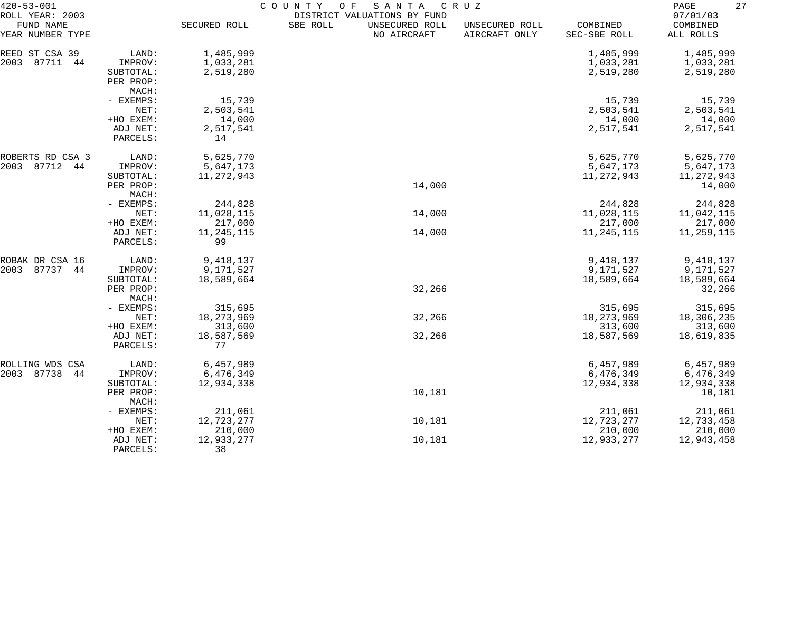| $420 - 53 - 001$              |                    | COUNTY<br>O F<br>SANTA<br>C R U Z |                             |                               |                                 |                          |                       |  |
|-------------------------------|--------------------|-----------------------------------|-----------------------------|-------------------------------|---------------------------------|--------------------------|-----------------------|--|
| ROLL YEAR: 2003               |                    |                                   | DISTRICT VALUATIONS BY FUND |                               |                                 |                          | 07/01/03              |  |
| FUND NAME<br>YEAR NUMBER TYPE |                    | SECURED ROLL                      | SBE ROLL                    | UNSECURED ROLL<br>NO AIRCRAFT | UNSECURED ROLL<br>AIRCRAFT ONLY | COMBINED<br>SEC-SBE ROLL | COMBINED<br>ALL ROLLS |  |
| REED ST CSA 39                | LAND:              | 1,485,999                         |                             |                               |                                 | 1,485,999                | 1,485,999             |  |
| 87711<br>2003<br>44           | IMPROV:            | 1,033,281                         |                             |                               |                                 | 1,033,281                | 1,033,281             |  |
|                               | SUBTOTAL:          | 2,519,280                         |                             |                               |                                 | 2,519,280                | 2,519,280             |  |
|                               | PER PROP:          |                                   |                             |                               |                                 |                          |                       |  |
|                               | MACH:              |                                   |                             |                               |                                 |                          |                       |  |
|                               | - EXEMPS:          | 15,739                            |                             |                               |                                 | 15,739                   | 15,739                |  |
|                               | NET:               | 2,503,541                         |                             |                               |                                 | 2,503,541                | 2,503,541             |  |
|                               | +HO EXEM:          | 14,000                            |                             |                               |                                 | 14,000                   | 14,000                |  |
|                               | ADJ NET:           | 2,517,541                         |                             |                               |                                 | 2,517,541                | 2,517,541             |  |
|                               | PARCELS:           | 14                                |                             |                               |                                 |                          |                       |  |
| ROBERTS RD CSA 3              | LAND:              | 5,625,770                         |                             |                               |                                 | 5,625,770                | 5,625,770             |  |
| 2003<br>87712<br>44           | IMPROV:            | 5,647,173                         |                             |                               |                                 | 5,647,173                | 5,647,173             |  |
|                               | SUBTOTAL:          | 11, 272, 943                      |                             |                               |                                 | 11,272,943               | 11,272,943            |  |
|                               | PER PROP:          |                                   |                             | 14,000                        |                                 |                          | 14,000                |  |
|                               | MACH:              |                                   |                             |                               |                                 |                          |                       |  |
|                               | - EXEMPS:<br>NET:  | 244,828                           |                             | 14,000                        |                                 | 244,828<br>11,028,115    | 244,828               |  |
|                               | +HO EXEM:          | 11,028,115<br>217,000             |                             |                               |                                 | 217,000                  | 11,042,115<br>217,000 |  |
|                               | ADJ NET:           | 11, 245, 115                      |                             | 14,000                        |                                 | 11,245,115               | 11,259,115            |  |
|                               | PARCELS:           | 99                                |                             |                               |                                 |                          |                       |  |
| ROBAK DR CSA 16               | LAND:              | 9,418,137                         |                             |                               |                                 | 9,418,137                | 9,418,137             |  |
| 87737<br>2003<br>44           | IMPROV:            | 9,171,527                         |                             |                               |                                 | 9,171,527                | 9,171,527             |  |
|                               | SUBTOTAL:          | 18,589,664                        |                             |                               |                                 | 18,589,664               | 18,589,664            |  |
|                               | PER PROP:<br>MACH: |                                   |                             | 32,266                        |                                 |                          | 32,266                |  |
|                               | - EXEMPS:          | 315,695                           |                             |                               |                                 | 315,695                  | 315,695               |  |
|                               | NET:               | 18, 273, 969                      |                             | 32,266                        |                                 | 18, 273, 969             | 18,306,235            |  |
|                               | +HO EXEM:          | 313,600                           |                             |                               |                                 | 313,600                  | 313,600               |  |
|                               | ADJ NET:           | 18,587,569                        |                             | 32,266                        |                                 | 18,587,569               | 18,619,835            |  |
|                               | PARCELS:           | 77                                |                             |                               |                                 |                          |                       |  |
| ROLLING WDS CSA               | LAND:              | 6,457,989                         |                             |                               |                                 | 6,457,989                | 6,457,989             |  |
| 2003 87738<br>44              | IMPROV:            | 6,476,349                         |                             |                               |                                 | 6,476,349                | 6,476,349             |  |
|                               | SUBTOTAL:          | 12,934,338                        |                             |                               |                                 | 12,934,338               | 12,934,338            |  |
|                               | PER PROP:<br>MACH: |                                   |                             | 10,181                        |                                 |                          | 10,181                |  |
|                               | - EXEMPS:          | 211,061                           |                             |                               |                                 | 211,061                  | 211,061               |  |
|                               | NET:               | 12,723,277                        |                             | 10,181                        |                                 | 12,723,277               | 12,733,458            |  |
|                               | +HO EXEM:          | 210,000                           |                             |                               |                                 | 210,000                  | 210,000               |  |
|                               | ADJ NET:           | 12,933,277                        |                             | 10,181                        |                                 | 12,933,277               | 12,943,458            |  |
|                               | PARCELS:           | 38                                |                             |                               |                                 |                          |                       |  |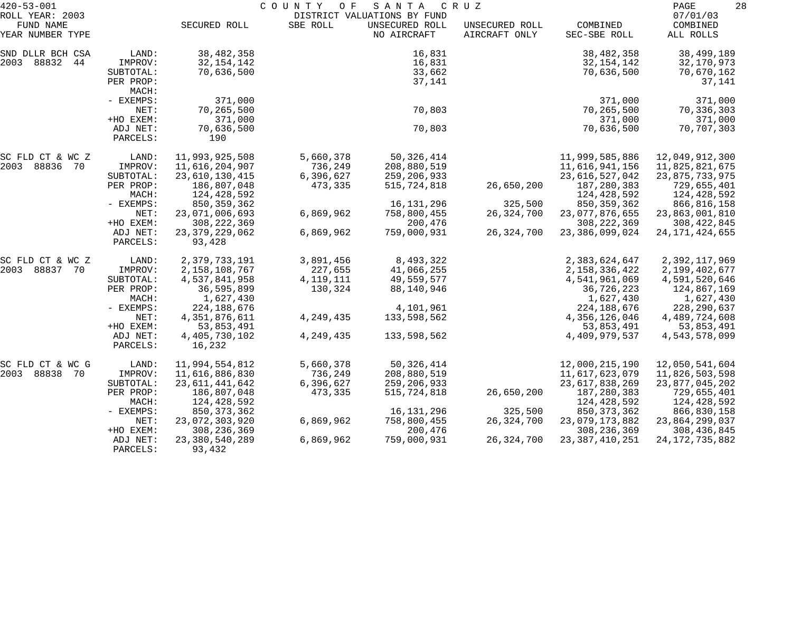| $420 - 53 - 001$             |                      |                            | COUNTY OF   | SANTA                                         | C R U Z        |                       | PAGE<br>28           |
|------------------------------|----------------------|----------------------------|-------------|-----------------------------------------------|----------------|-----------------------|----------------------|
| ROLL YEAR: 2003<br>FUND NAME |                      | SECURED ROLL               | SBE ROLL    | DISTRICT VALUATIONS BY FUND<br>UNSECURED ROLL | UNSECURED ROLL | COMBINED              | 07/01/03<br>COMBINED |
| YEAR NUMBER TYPE             |                      |                            |             | NO AIRCRAFT                                   | AIRCRAFT ONLY  | SEC-SBE ROLL          | ALL ROLLS            |
| SND DLLR BCH CSA             | LAND:                | 38, 482, 358               |             | 16,831                                        |                | 38, 482, 358          | 38,499,189           |
| 2003 88832 44                | IMPROV:              | 32, 154, 142               |             | 16,831                                        |                | 32, 154, 142          | 32,170,973           |
|                              | SUBTOTAL:            | 70,636,500                 |             | 33,662                                        |                | 70,636,500            | 70,670,162           |
|                              | PER PROP:            |                            |             | 37,141                                        |                |                       | 37,141               |
|                              | MACH:                |                            |             |                                               |                |                       |                      |
|                              | - EXEMPS:            | 371,000                    |             |                                               |                | 371,000               | 371,000              |
|                              | NET:                 | 70,265,500                 |             | 70,803                                        |                | 70,265,500<br>371,000 | 70,336,303           |
|                              | +HO EXEM:            | 371,000                    |             | 70,803                                        |                | 70,636,500            | 371,000              |
|                              | ADJ NET:<br>PARCELS: | 70,636,500<br>190          |             |                                               |                |                       | 70,707,303           |
| SC FLD CT & WC Z             | LAND:                | 11,993,925,508             | 5,660,378   | 50,326,414                                    |                | 11,999,585,886        | 12,049,912,300       |
| 2003 88836 70                | IMPROV:              | 11,616,204,907             | 736,249     | 208,880,519                                   |                | 11,616,941,156        | 11,825,821,675       |
|                              | SUBTOTAL:            | 23,610,130,415             | 6,396,627   | 259,206,933                                   |                | 23,616,527,042        | 23, 875, 733, 975    |
|                              | PER PROP:            | 186,807,048                | 473,335     | 515,724,818                                   | 26,650,200     | 187,280,383           | 729,655,401          |
|                              | MACH:                | 124,428,592                |             |                                               |                | 124,428,592           | 124,428,592          |
|                              | - EXEMPS:            | 850, 359, 362              |             | 16,131,296                                    | 325,500        | 850, 359, 362         | 866,816,158          |
|                              | NET:                 | 23,071,006,693             | 6,869,962   | 758,800,455                                   | 26, 324, 700   | 23,077,876,655        | 23,863,001,810       |
|                              | +HO EXEM:            | 308, 222, 369              |             | 200,476                                       |                | 308, 222, 369         | 308, 422, 845        |
|                              | ADJ NET:             | 23, 379, 229, 062          | 6,869,962   | 759,000,931                                   | 26, 324, 700   | 23, 386, 099, 024     | 24, 171, 424, 655    |
|                              | PARCELS:             | 93,428                     |             |                                               |                |                       |                      |
| SC FLD CT & WC Z             | LAND:                | 2,379,733,191              | 3,891,456   | 8,493,322                                     |                | 2,383,624,647         | 2,392,117,969        |
| 2003<br>88837 70             | IMPROV:              | 2, 158, 108, 767           | 227,655     | 41,066,255                                    |                | 2, 158, 336, 422      | 2,199,402,677        |
|                              | SUBTOTAL:            | 4,537,841,958              | 4, 119, 111 | 49,559,577                                    |                | 4,541,961,069         | 4,591,520,646        |
|                              | PER PROP:            | 36,595,899                 | 130,324     | 88,140,946                                    |                | 36,726,223            | 124,867,169          |
|                              | MACH:                | 1,627,430                  |             |                                               |                | 1,627,430             | 1,627,430            |
|                              | - EXEMPS:            | 224,188,676                |             | 4,101,961                                     |                | 224, 188, 676         | 228, 290, 637        |
|                              | NET:                 | 4, 351, 876, 611           | 4, 249, 435 | 133,598,562                                   |                | 4,356,126,046         | 4,489,724,608        |
|                              | +HO EXEM:            | 53,853,491                 |             |                                               |                | 53,853,491            | 53,853,491           |
|                              | ADJ NET:<br>PARCELS: | 4, 405, 730, 102<br>16,232 | 4,249,435   | 133,598,562                                   |                | 4,409,979,537         | 4,543,578,099        |
|                              |                      |                            |             |                                               |                |                       |                      |
| SC FLD CT & WC G             | LAND:                | 11,994,554,812             | 5,660,378   | 50,326,414                                    |                | 12,000,215,190        | 12,050,541,604       |
| 2003 88838<br>- 70           | IMPROV:              | 11,616,886,830             | 736,249     | 208,880,519                                   |                | 11,617,623,079        | 11,826,503,598       |
|                              | SUBTOTAL:            | 23, 611, 441, 642          | 6,396,627   | 259, 206, 933                                 |                | 23,617,838,269        | 23, 877, 045, 202    |
|                              | PER PROP:            | 186,807,048                | 473,335     | 515,724,818                                   | 26,650,200     | 187,280,383           | 729,655,401          |
|                              | MACH:                | 124,428,592                |             |                                               |                | 124,428,592           | 124,428,592          |
|                              | $-$ EXEMPS:          | 850, 373, 362              |             | 16,131,296                                    | 325,500        | 850, 373, 362         | 866,830,158          |
|                              | NET:                 | 23,072,303,920             | 6,869,962   | 758,800,455                                   | 26, 324, 700   | 23,079,173,882        | 23,864,299,037       |
|                              | +HO EXEM:            | 308, 236, 369              |             | 200,476                                       |                | 308, 236, 369         | 308, 436, 845        |
|                              | ADJ NET:             | 23, 380, 540, 289          | 6,869,962   | 759,000,931                                   | 26,324,700     | 23, 387, 410, 251     | 24, 172, 735, 882    |
|                              | PARCELS:             | 93,432                     |             |                                               |                |                       |                      |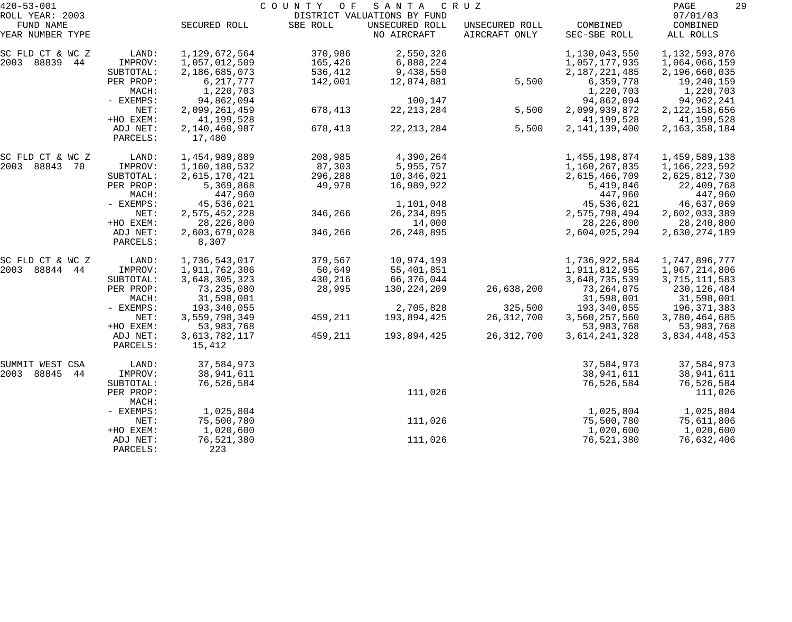| $420 - 53 - 001$              |           |               | COUNTY OF | SANTA                         | C R U Z                         |                          | 29<br>PAGE            |
|-------------------------------|-----------|---------------|-----------|-------------------------------|---------------------------------|--------------------------|-----------------------|
| ROLL YEAR: 2003               |           |               |           | DISTRICT VALUATIONS BY FUND   |                                 |                          | 07/01/03              |
| FUND NAME<br>YEAR NUMBER TYPE |           | SECURED ROLL  | SBE ROLL  | UNSECURED ROLL<br>NO AIRCRAFT | UNSECURED ROLL<br>AIRCRAFT ONLY | COMBINED<br>SEC-SBE ROLL | COMBINED<br>ALL ROLLS |
|                               |           |               |           |                               |                                 |                          |                       |
| SC FLD CT & WC Z              | LAND:     | 1,129,672,564 | 370,986   | 2,550,326                     |                                 | 1,130,043,550            | 1, 132, 593, 876      |
| 2003 88839 44                 | IMPROV:   | 1,057,012,509 | 165,426   | 6,888,224                     |                                 | 1,057,177,935            | 1,064,066,159         |
|                               | SUBTOTAL: | 2,186,685,073 | 536,412   | 9,438,550                     |                                 | 2,187,221,485            | 2,196,660,035         |
|                               | PER PROP: | 6,217,777     | 142,001   | 12,874,881                    | 5,500                           | 6,359,778                | 19,240,159            |
|                               | MACH:     | 1,220,703     |           |                               |                                 | 1,220,703                | 1,220,703             |
|                               | - EXEMPS: | 94,862,094    |           | 100,147                       |                                 | 94,862,094               | 94,962,241            |
|                               | NET:      | 2,099,261,459 | 678,413   | 22, 213, 284                  | 5,500                           | 2,099,939,872            | 2, 122, 158, 656      |
|                               | +HO EXEM: | 41,199,528    |           |                               |                                 | 41,199,528               | 41,199,528            |
|                               | ADJ NET:  | 2,140,460,987 | 678,413   | 22, 213, 284                  | 5,500                           | 2, 141, 139, 400         | 2, 163, 358, 184      |
|                               | PARCELS:  | 17,480        |           |                               |                                 |                          |                       |
|                               |           |               |           |                               |                                 |                          |                       |
| SC FLD CT & WC Z              | LAND:     | 1,454,989,889 | 208,985   | 4,390,264                     |                                 | 1, 455, 198, 874         | 1,459,589,138         |
| 2003 88843<br>70              | IMPROV:   | 1,160,180,532 | 87,303    | 5,955,757                     |                                 | 1,160,267,835            | 1,166,223,592         |
|                               | SUBTOTAL: | 2,615,170,421 | 296,288   | 10,346,021                    |                                 | 2,615,466,709            | 2,625,812,730         |
|                               | PER PROP: | 5,369,868     | 49,978    | 16,989,922                    |                                 | 5,419,846                | 22,409,768            |
|                               | MACH:     | 447,960       |           |                               |                                 | 447,960                  | 447,960               |
|                               | - EXEMPS: | 45,536,021    |           | 1,101,048                     |                                 | 45,536,021               | 46,637,069            |
|                               | NET:      | 2,575,452,228 | 346,266   | 26, 234, 895                  |                                 | 2,575,798,494            | 2,602,033,389         |
|                               | +HO EXEM: | 28, 226, 800  |           | 14,000                        |                                 | 28, 226, 800             | 28, 240, 800          |
|                               | ADJ NET:  | 2,603,679,028 | 346,266   | 26, 248, 895                  |                                 | 2,604,025,294            | 2,630,274,189         |
|                               | PARCELS:  | 8,307         |           |                               |                                 |                          |                       |
| SC FLD CT & WC Z              | LAND:     | 1,736,543,017 | 379,567   | 10,974,193                    |                                 | 1,736,922,584            | 1,747,896,777         |
| 2003 88844 44                 | IMPROV:   | 1,911,762,306 | 50,649    | 55,401,851                    |                                 | 1,911,812,955            | 1,967,214,806         |
|                               | SUBTOTAL: | 3,648,305,323 | 430,216   | 66,376,044                    |                                 | 3,648,735,539            | 3,715,111,583         |
|                               | PER PROP: | 73, 235, 080  | 28,995    | 130,224,209                   | 26,638,200                      | 73, 264, 075             | 230,126,484           |
|                               | MACH:     | 31,598,001    |           |                               |                                 | 31,598,001               | 31,598,001            |
|                               | - EXEMPS: | 193,340,055   |           | 2,705,828                     | 325,500                         | 193,340,055              | 196,371,383           |
|                               | NET:      | 3,559,798,349 | 459,211   | 193,894,425                   | 26, 312, 700                    | 3,560,257,560            | 3,780,464,685         |
|                               | +HO EXEM: | 53,983,768    |           |                               |                                 | 53,983,768               | 53,983,768            |
|                               | ADJ NET:  | 3,613,782,117 | 459,211   | 193,894,425                   | 26, 312, 700                    | 3,614,241,328            | 3,834,448,453         |
|                               | PARCELS:  | 15,412        |           |                               |                                 |                          |                       |
|                               |           |               |           |                               |                                 |                          |                       |
| SUMMIT WEST CSA               | LAND:     | 37,584,973    |           |                               |                                 | 37,584,973               | 37,584,973            |
| 2003<br>88845<br>44           | IMPROV:   | 38,941,611    |           |                               |                                 | 38,941,611               | 38,941,611            |
|                               | SUBTOTAL: | 76,526,584    |           |                               |                                 | 76,526,584               | 76,526,584            |
|                               | PER PROP: |               |           | 111,026                       |                                 |                          | 111,026               |
|                               | MACH:     |               |           |                               |                                 |                          |                       |
|                               | - EXEMPS: | 1,025,804     |           |                               |                                 | 1,025,804                | 1,025,804             |
|                               | NET:      | 75,500,780    |           | 111,026                       |                                 | 75,500,780               | 75,611,806            |
|                               | +HO EXEM: | 1,020,600     |           |                               |                                 | 1,020,600                | 1,020,600             |
|                               | ADJ NET:  | 76,521,380    |           | 111,026                       |                                 | 76,521,380               | 76,632,406            |
|                               | PARCELS:  | 223           |           |                               |                                 |                          |                       |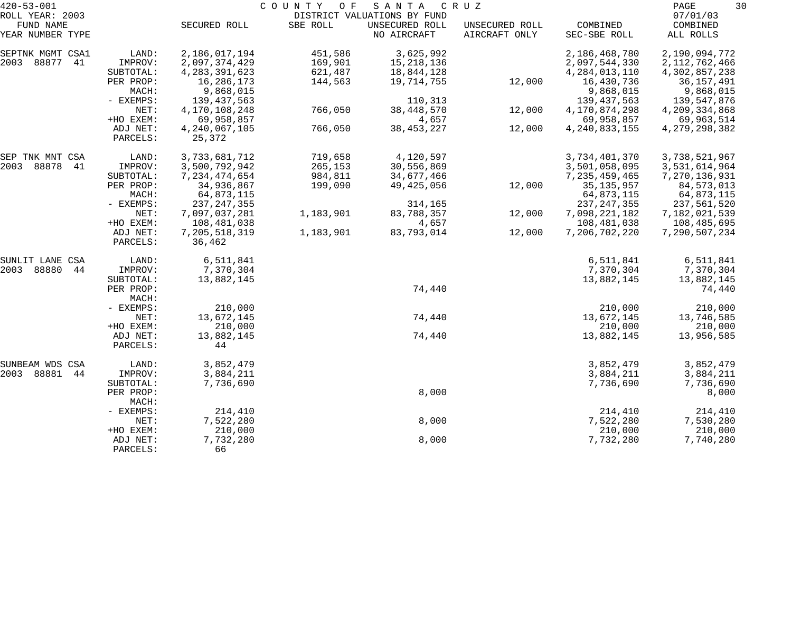| $420 - 53 - 001$    |                      |                         | COUNTY<br>O F | SANTA                       | CRUZ           |                  | 30<br>PAGE       |
|---------------------|----------------------|-------------------------|---------------|-----------------------------|----------------|------------------|------------------|
| ROLL YEAR: 2003     |                      |                         |               | DISTRICT VALUATIONS BY FUND |                |                  | 07/01/03         |
| FUND NAME           |                      | SECURED ROLL            | SBE ROLL      | UNSECURED ROLL              | UNSECURED ROLL | COMBINED         | COMBINED         |
| YEAR NUMBER TYPE    |                      |                         |               | NO AIRCRAFT                 | AIRCRAFT ONLY  | SEC-SBE ROLL     | ALL ROLLS        |
| SEPTNK MGMT CSA1    | LAND:                | 2,186,017,194           | 451,586       | 3,625,992                   |                | 2,186,468,780    | 2,190,094,772    |
| 2003<br>88877<br>41 | IMPROV:              | 2,097,374,429           | 169,901       | 15, 218, 136                |                | 2,097,544,330    | 2, 112, 762, 466 |
|                     | SUBTOTAL:            | 4, 283, 391, 623        | 621,487       | 18,844,128                  |                | 4, 284, 013, 110 | 4,302,857,238    |
|                     | PER PROP:            | 16,286,173              | 144,563       | 19,714,755                  | 12,000         | 16,430,736       | 36,157,491       |
|                     | MACH:                | 9,868,015               |               |                             |                | 9,868,015        | 9,868,015        |
|                     | - EXEMPS:            | 139, 437, 563           |               | 110,313                     |                | 139, 437, 563    | 139,547,876      |
|                     | NET:                 | 4,170,108,248           | 766,050       | 38, 448, 570                | 12,000         | 4,170,874,298    | 4,209,334,868    |
|                     | +HO EXEM:            | 69,958,857              |               | 4,657                       |                | 69,958,857       | 69,963,514       |
|                     | ADJ NET:             | 4, 240, 067, 105        | 766,050       | 38, 453, 227                | 12,000         | 4, 240, 833, 155 | 4, 279, 298, 382 |
|                     | PARCELS:             | 25,372                  |               |                             |                |                  |                  |
| SEP TNK MNT CSA     | LAND:                | 3,733,681,712           | 719,658       | 4,120,597                   |                | 3,734,401,370    | 3,738,521,967    |
| 2003<br>88878<br>41 | IMPROV:              | 3,500,792,942           | 265,153       | 30,556,869                  |                | 3,501,058,095    | 3,531,614,964    |
|                     | SUBTOTAL:            | 7, 234, 474, 654        | 984,811       | 34,677,466                  |                | 7, 235, 459, 465 | 7,270,136,931    |
|                     | PER PROP:            | 34,936,867              | 199,090       | 49,425,056                  | 12,000         | 35, 135, 957     | 84,573,013       |
|                     | MACH:                | 64,873,115              |               |                             |                | 64,873,115       | 64,873,115       |
|                     | - EXEMPS:            | 237, 247, 355           |               | 314,165                     |                | 237, 247, 355    | 237,561,520      |
|                     | NET:                 | 7,097,037,281           | 1,183,901     | 83,788,357                  | 12,000         | 7,098,221,182    | 7,182,021,539    |
|                     | +HO EXEM:            | 108,481,038             |               | 4,657                       |                | 108,481,038      | 108,485,695      |
|                     | ADJ NET:<br>PARCELS: | 7,205,518,319<br>36,462 | 1,183,901     | 83,793,014                  | 12,000         | 7,206,702,220    | 7,290,507,234    |
|                     |                      |                         |               |                             |                |                  |                  |
| SUNLIT LANE CSA     | LAND:                | 6,511,841               |               |                             |                | 6,511,841        | 6,511,841        |
| 2003<br>88880<br>44 | IMPROV:              | 7,370,304               |               |                             |                | 7,370,304        | 7,370,304        |
|                     | SUBTOTAL:            | 13,882,145              |               |                             |                | 13,882,145       | 13,882,145       |
|                     | PER PROP:<br>MACH:   |                         |               | 74,440                      |                |                  | 74,440           |
|                     | - EXEMPS:            | 210,000                 |               |                             |                | 210,000          | 210,000          |
|                     | NET:                 | 13,672,145              |               | 74,440                      |                | 13,672,145       | 13,746,585       |
|                     | +HO EXEM:            | 210,000                 |               |                             |                | 210,000          | 210,000          |
|                     | ADJ NET:             | 13,882,145              |               | 74,440                      |                | 13,882,145       | 13,956,585       |
|                     | PARCELS:             | 44                      |               |                             |                |                  |                  |
| SUNBEAM WDS CSA     | LAND:                | 3,852,479               |               |                             |                | 3,852,479        | 3,852,479        |
| 2003<br>88881<br>44 | IMPROV:              | 3,884,211               |               |                             |                | 3,884,211        | 3,884,211        |
|                     | SUBTOTAL:            | 7,736,690               |               |                             |                | 7,736,690        | 7,736,690        |
|                     | PER PROP:<br>MACH:   |                         |               | 8,000                       |                |                  | 8,000            |
|                     | - EXEMPS:            | 214,410                 |               |                             |                | 214,410          | 214,410          |
|                     | NET:                 | 7,522,280               |               | 8,000                       |                | 7,522,280        | 7,530,280        |
|                     | +HO EXEM:            | 210,000                 |               |                             |                | 210,000          | 210,000          |
|                     | ADJ NET:             | 7,732,280               |               | 8,000                       |                | 7,732,280        | 7,740,280        |
|                     | PARCELS:             | 66                      |               |                             |                |                  |                  |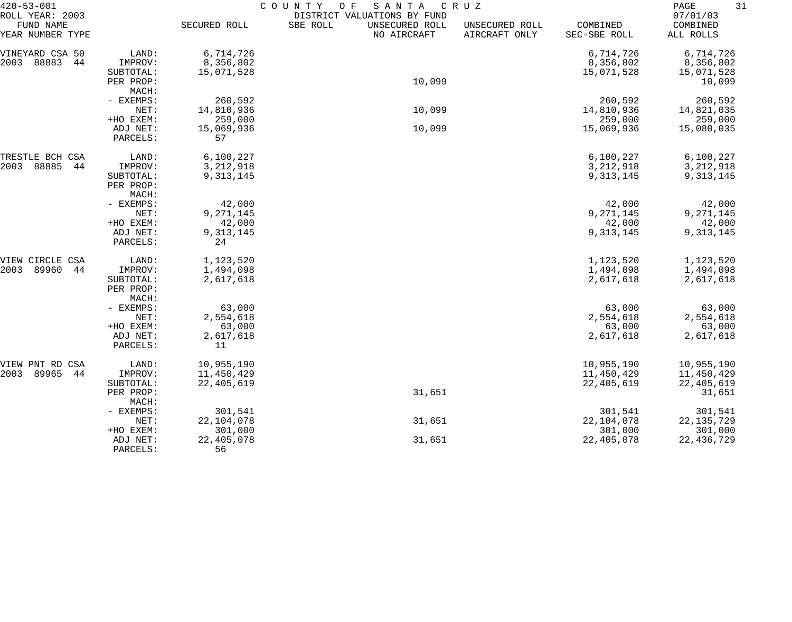| $420 - 53 - 001$                                 |                        |                       | COUNTY<br>SANTA<br>O F                                                   | CRUZ                            |                          | 31<br>PAGE                        |
|--------------------------------------------------|------------------------|-----------------------|--------------------------------------------------------------------------|---------------------------------|--------------------------|-----------------------------------|
| ROLL YEAR: 2003<br>FUND NAME<br>YEAR NUMBER TYPE |                        | SECURED ROLL          | DISTRICT VALUATIONS BY FUND<br>SBE ROLL<br>UNSECURED ROLL<br>NO AIRCRAFT | UNSECURED ROLL<br>AIRCRAFT ONLY | COMBINED<br>SEC-SBE ROLL | 07/01/03<br>COMBINED<br>ALL ROLLS |
| VINEYARD CSA 50                                  | LAND:                  | 6,714,726             |                                                                          |                                 | 6,714,726                | 6,714,726                         |
| 88883<br>2003<br>44                              | IMPROV:                | 8,356,802             |                                                                          |                                 | 8,356,802                | 8,356,802                         |
|                                                  | SUBTOTAL:              | 15,071,528            |                                                                          |                                 | 15,071,528               | 15,071,528                        |
|                                                  | PER PROP:              |                       | 10,099                                                                   |                                 |                          | 10,099                            |
|                                                  | MACH:<br>- EXEMPS:     | 260,592               |                                                                          |                                 | 260,592                  | 260,592                           |
|                                                  | NET:                   | 14,810,936            | 10,099                                                                   |                                 | 14,810,936               | 14,821,035                        |
|                                                  | +HO EXEM:              | 259,000               |                                                                          |                                 | 259,000                  | 259,000                           |
|                                                  | ADJ NET:               | 15,069,936            | 10,099                                                                   |                                 | 15,069,936               | 15,080,035                        |
|                                                  | PARCELS:               | 57                    |                                                                          |                                 |                          |                                   |
| TRESTLE BCH CSA                                  | LAND:                  | 6,100,227             |                                                                          |                                 | 6,100,227                | 6,100,227                         |
| 88885<br>2003<br>44                              | IMPROV:                | 3, 212, 918           |                                                                          |                                 | 3, 212, 918              | 3, 212, 918                       |
|                                                  | SUBTOTAL:<br>PER PROP: | 9,313,145             |                                                                          |                                 | 9,313,145                | 9, 313, 145                       |
|                                                  | MACH:                  |                       |                                                                          |                                 |                          |                                   |
|                                                  | - EXEMPS:              | 42,000                |                                                                          |                                 | 42,000                   | 42,000                            |
|                                                  | NET:                   | 9,271,145             |                                                                          |                                 | 9,271,145                | 9,271,145                         |
|                                                  | +HO EXEM:              | 42,000                |                                                                          |                                 | 42,000                   | 42,000                            |
|                                                  | ADJ NET:<br>PARCELS:   | 9,313,145<br>24       |                                                                          |                                 | 9,313,145                | 9,313,145                         |
| VIEW CIRCLE CSA                                  | LAND:                  | 1,123,520             |                                                                          |                                 | 1,123,520                | 1,123,520                         |
| 89960<br>2003<br>44                              | IMPROV:                | 1,494,098             |                                                                          |                                 | 1,494,098                | 1,494,098                         |
|                                                  | SUBTOTAL:<br>PER PROP: | 2,617,618             |                                                                          |                                 | 2,617,618                | 2,617,618                         |
|                                                  | MACH:<br>- EXEMPS:     | 63,000                |                                                                          |                                 | 63,000                   | 63,000                            |
|                                                  | NET:                   | 2,554,618             |                                                                          |                                 | 2,554,618                | 2,554,618                         |
|                                                  | +HO EXEM:              | 63,000                |                                                                          |                                 | 63,000                   | 63,000                            |
|                                                  | ADJ NET:               | 2,617,618             |                                                                          |                                 | 2,617,618                | 2,617,618                         |
|                                                  | PARCELS:               | 11                    |                                                                          |                                 |                          |                                   |
| VIEW PNT RD CSA                                  | LAND:                  | 10,955,190            |                                                                          |                                 | 10,955,190               | 10,955,190                        |
| 89965<br>2003<br>44                              | IMPROV:                | 11,450,429            |                                                                          |                                 | 11,450,429               | 11,450,429                        |
|                                                  | SUBTOTAL:<br>PER PROP: | 22,405,619            | 31,651                                                                   |                                 | 22,405,619               | 22, 405, 619<br>31,651            |
|                                                  | MACH:                  |                       |                                                                          |                                 |                          |                                   |
|                                                  | - EXEMPS:<br>NET:      | 301,541<br>22,104,078 | 31,651                                                                   |                                 | 301,541<br>22,104,078    | 301,541<br>22, 135, 729           |
|                                                  | +HO EXEM:              | 301,000               |                                                                          |                                 | 301,000                  | 301,000                           |
|                                                  | ADJ NET:               | 22,405,078            | 31,651                                                                   |                                 | 22,405,078               | 22, 436, 729                      |
|                                                  | PARCELS:               | 56                    |                                                                          |                                 |                          |                                   |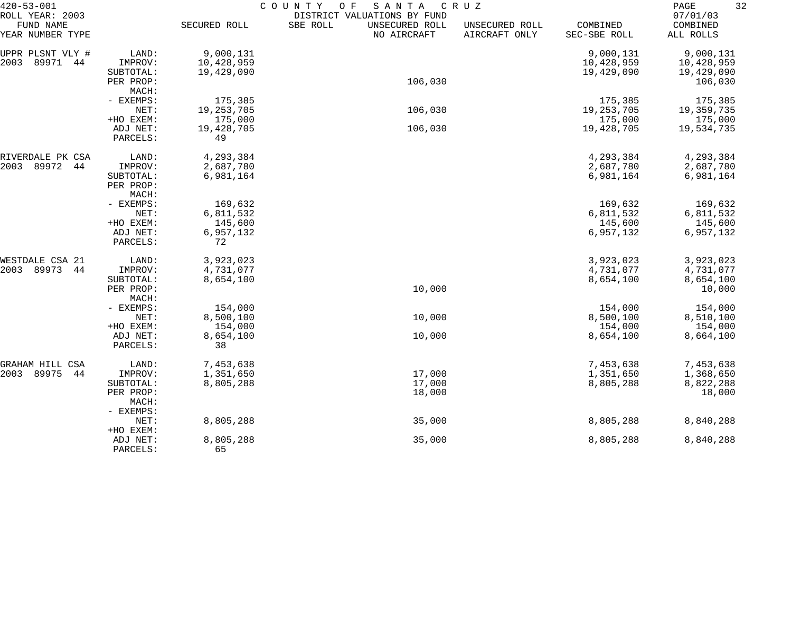| $420 - 53 - 001$                                 |                      | COUNTY<br>SANTA<br>O F<br>C R U Z |                                                                          |                                 |                          |                                   |  |  |
|--------------------------------------------------|----------------------|-----------------------------------|--------------------------------------------------------------------------|---------------------------------|--------------------------|-----------------------------------|--|--|
| ROLL YEAR: 2003<br>FUND NAME<br>YEAR NUMBER TYPE |                      | SECURED ROLL                      | DISTRICT VALUATIONS BY FUND<br>SBE ROLL<br>UNSECURED ROLL<br>NO AIRCRAFT | UNSECURED ROLL<br>AIRCRAFT ONLY | COMBINED<br>SEC-SBE ROLL | 07/01/03<br>COMBINED<br>ALL ROLLS |  |  |
| UPPR PLSNT VLY #                                 | LAND:                | 9,000,131                         |                                                                          |                                 | 9,000,131                | 9,000,131                         |  |  |
| 89971<br>2003<br>44                              | IMPROV:              | 10,428,959                        |                                                                          |                                 | 10,428,959               | 10,428,959                        |  |  |
|                                                  | SUBTOTAL:            | 19,429,090                        |                                                                          |                                 | 19,429,090               | 19,429,090                        |  |  |
|                                                  | PER PROP:            |                                   | 106,030                                                                  |                                 |                          | 106,030                           |  |  |
|                                                  | MACH:                |                                   |                                                                          |                                 |                          |                                   |  |  |
|                                                  | - EXEMPS:            | 175,385                           |                                                                          |                                 | 175,385                  | 175,385                           |  |  |
|                                                  | NET:                 | 19, 253, 705                      | 106,030                                                                  |                                 | 19, 253, 705             | 19,359,735                        |  |  |
|                                                  | +HO EXEM:            | 175,000                           |                                                                          |                                 | 175,000                  | 175,000                           |  |  |
|                                                  | ADJ NET:             | 19,428,705                        | 106,030                                                                  |                                 | 19,428,705               | 19,534,735                        |  |  |
|                                                  | PARCELS:             | 49                                |                                                                          |                                 |                          |                                   |  |  |
| RIVERDALE PK CSA                                 | LAND:                | 4,293,384                         |                                                                          |                                 | 4,293,384                | 4,293,384                         |  |  |
| 89972<br>2003<br>44                              | IMPROV:              | 2,687,780                         |                                                                          |                                 | 2,687,780                | 2,687,780                         |  |  |
|                                                  | SUBTOTAL:            | 6,981,164                         |                                                                          |                                 | 6,981,164                | 6,981,164                         |  |  |
|                                                  | PER PROP:            |                                   |                                                                          |                                 |                          |                                   |  |  |
|                                                  | MACH:                |                                   |                                                                          |                                 |                          |                                   |  |  |
|                                                  | - EXEMPS:<br>NET:    | 169,632                           |                                                                          |                                 | 169,632<br>6,811,532     | 169,632                           |  |  |
|                                                  | +HO EXEM:            | 6,811,532<br>145,600              |                                                                          |                                 | 145,600                  | 6,811,532<br>145,600              |  |  |
|                                                  | ADJ NET:             | 6,957,132                         |                                                                          |                                 | 6,957,132                | 6,957,132                         |  |  |
|                                                  | PARCELS:             | 72                                |                                                                          |                                 |                          |                                   |  |  |
| WESTDALE CSA 21                                  | LAND:                | 3,923,023                         |                                                                          |                                 | 3,923,023                | 3,923,023                         |  |  |
| 89973<br>2003<br>44                              | IMPROV:              | 4,731,077                         |                                                                          |                                 | 4,731,077                | 4,731,077                         |  |  |
|                                                  | SUBTOTAL:            | 8,654,100                         |                                                                          |                                 | 8,654,100                | 8,654,100                         |  |  |
|                                                  | PER PROP:            |                                   | 10,000                                                                   |                                 |                          | 10,000                            |  |  |
|                                                  | MACH:                |                                   |                                                                          |                                 |                          |                                   |  |  |
|                                                  | - EXEMPS:            | 154,000                           |                                                                          |                                 | 154,000                  | 154,000                           |  |  |
|                                                  | NET:                 | 8,500,100                         | 10,000                                                                   |                                 | 8,500,100                | 8,510,100                         |  |  |
|                                                  | +HO EXEM:            | 154,000                           |                                                                          |                                 | 154,000                  | 154,000                           |  |  |
|                                                  | ADJ NET:<br>PARCELS: | 8,654,100<br>38                   | 10,000                                                                   |                                 | 8,654,100                | 8,664,100                         |  |  |
| GRAHAM HILL CSA                                  | LAND:                | 7,453,638                         |                                                                          |                                 | 7,453,638                | 7,453,638                         |  |  |
| 89975<br>2003<br>44                              | IMPROV:              | 1,351,650                         | 17,000                                                                   |                                 | 1,351,650                | 1,368,650                         |  |  |
|                                                  | SUBTOTAL:            | 8,805,288                         | 17,000                                                                   |                                 | 8,805,288                | 8,822,288                         |  |  |
|                                                  | PER PROP:            |                                   | 18,000                                                                   |                                 |                          | 18,000                            |  |  |
|                                                  | MACH:                |                                   |                                                                          |                                 |                          |                                   |  |  |
|                                                  | - EXEMPS:            |                                   |                                                                          |                                 |                          |                                   |  |  |
|                                                  | NET:                 | 8,805,288                         | 35,000                                                                   |                                 | 8,805,288                | 8,840,288                         |  |  |
|                                                  | +HO EXEM:            |                                   |                                                                          |                                 |                          |                                   |  |  |
|                                                  | ADJ NET:             | 8,805,288                         | 35,000                                                                   |                                 | 8,805,288                | 8,840,288                         |  |  |
|                                                  | PARCELS:             | 65                                |                                                                          |                                 |                          |                                   |  |  |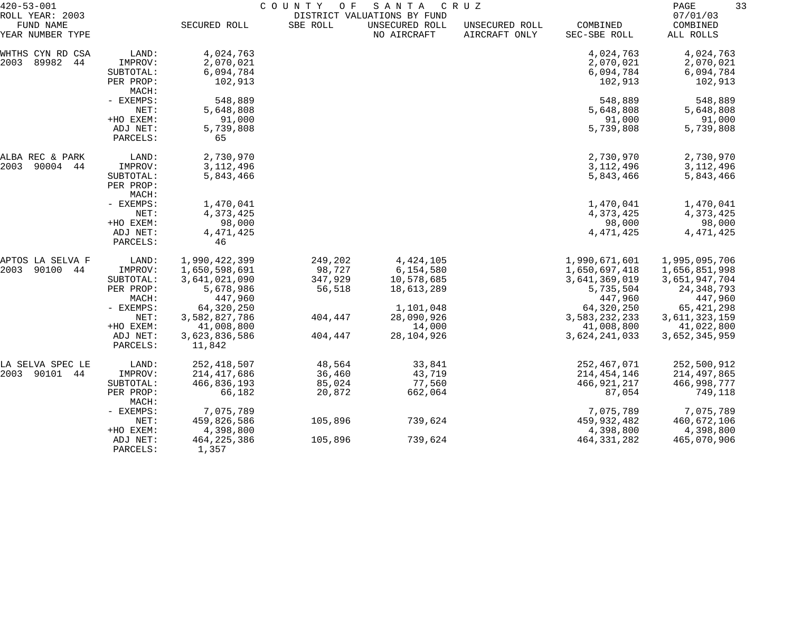| $420 - 53 - 001$                                 |                                                                                                               | C O U N T Y<br>SANTA<br>C R U Z<br>O F<br>DISTRICT VALUATIONS BY FUND                                                                           |                                                              |                                                                                                         |                                 |                                                                                                                                       | 33<br>PAGE                                                                                                                                 |  |
|--------------------------------------------------|---------------------------------------------------------------------------------------------------------------|-------------------------------------------------------------------------------------------------------------------------------------------------|--------------------------------------------------------------|---------------------------------------------------------------------------------------------------------|---------------------------------|---------------------------------------------------------------------------------------------------------------------------------------|--------------------------------------------------------------------------------------------------------------------------------------------|--|
| ROLL YEAR: 2003<br>FUND NAME<br>YEAR NUMBER TYPE |                                                                                                               | SECURED ROLL                                                                                                                                    | SBE ROLL                                                     | UNSECURED ROLL<br>NO AIRCRAFT                                                                           | UNSECURED ROLL<br>AIRCRAFT ONLY | COMBINED<br>SEC-SBE ROLL                                                                                                              | 07/01/03<br>COMBINED<br>ALL ROLLS                                                                                                          |  |
| WHTHS CYN RD CSA<br>2003 89982 44                | LAND:<br>IMPROV:<br>SUBTOTAL:<br>PER PROP:                                                                    | 4,024,763<br>2,070,021<br>6,094,784<br>102,913                                                                                                  |                                                              |                                                                                                         |                                 | 4,024,763<br>2,070,021<br>6,094,784<br>102,913                                                                                        | 4,024,763<br>2,070,021<br>6,094,784<br>102,913                                                                                             |  |
|                                                  | MACH:<br>- EXEMPS:<br>NET:<br>+HO EXEM:<br>ADJ NET:                                                           | 548,889<br>5,648,808<br>91,000<br>5,739,808                                                                                                     |                                                              |                                                                                                         |                                 | 548,889<br>5,648,808<br>91,000<br>5,739,808                                                                                           | 548,889<br>5,648,808<br>91,000<br>5,739,808                                                                                                |  |
|                                                  | PARCELS:                                                                                                      | 65                                                                                                                                              |                                                              |                                                                                                         |                                 |                                                                                                                                       |                                                                                                                                            |  |
| ALBA REC & PARK<br>2003 90004 44                 | LAND:<br>IMPROV:<br>SUBTOTAL:<br>PER PROP:                                                                    | 2,730,970<br>3,112,496<br>5,843,466                                                                                                             |                                                              |                                                                                                         |                                 | 2,730,970<br>3, 112, 496<br>5,843,466                                                                                                 | 2,730,970<br>3, 112, 496<br>5,843,466                                                                                                      |  |
|                                                  | MACH:<br>- EXEMPS:<br>NET:<br>+HO EXEM:<br>ADJ NET:<br>PARCELS:                                               | 1,470,041<br>4,373,425<br>98,000<br>4, 471, 425<br>46                                                                                           |                                                              |                                                                                                         |                                 | 1,470,041<br>4,373,425<br>98,000<br>4, 471, 425                                                                                       | 1,470,041<br>4,373,425<br>98,000<br>4, 471, 425                                                                                            |  |
| APTOS LA SELVA F<br>2003<br>90100 44             | LAND:<br>IMPROV:<br>SUBTOTAL:<br>PER PROP:<br>MACH:<br>- EXEMPS:<br>NET:<br>+HO EXEM:<br>ADJ NET:<br>PARCELS: | 1,990,422,399<br>1,650,598,691<br>3,641,021,090<br>5,678,986<br>447,960<br>64,320,250<br>3,582,827,786<br>41,008,800<br>3,623,836,586<br>11,842 | 249,202<br>98,727<br>347,929<br>56,518<br>404,447<br>404,447 | 4, 424, 105<br>6,154,580<br>10,578,685<br>18,613,289<br>1,101,048<br>28,090,926<br>14,000<br>28,104,926 |                                 | 1,990,671,601<br>1,650,697,418<br>3,641,369,019<br>5,735,504<br>447,960<br>64,320,250<br>3,583,232,233<br>41,008,800<br>3,624,241,033 | 1,995,095,706<br>1,656,851,998<br>3,651,947,704<br>24, 348, 793<br>447,960<br>65, 421, 298<br>3,611,323,159<br>41,022,800<br>3,652,345,959 |  |
| LA SELVA SPEC LE<br>2003 90101 44                | LAND:<br>IMPROV:<br>SUBTOTAL:<br>PER PROP:<br>MACH:<br>- EXEMPS:                                              | 252,418,507<br>214, 417, 686<br>466,836,193<br>66,182<br>7,075,789                                                                              | 48,564<br>36,460<br>85,024<br>20,872                         | 33,841<br>43,719<br>77,560<br>662,064                                                                   |                                 | 252,467,071<br>214, 454, 146<br>466, 921, 217<br>87,054<br>7,075,789                                                                  | 252,500,912<br>214,497,865<br>466,998,777<br>749,118<br>7,075,789                                                                          |  |
|                                                  | NET:<br>+HO EXEM:<br>ADJ NET:<br>PARCELS:                                                                     | 459,826,586<br>4,398,800<br>464, 225, 386<br>1,357                                                                                              | 105,896<br>105,896                                           | 739,624<br>739,624                                                                                      |                                 | 459,932,482<br>4,398,800<br>464, 331, 282                                                                                             | 460,672,106<br>4,398,800<br>465,070,906                                                                                                    |  |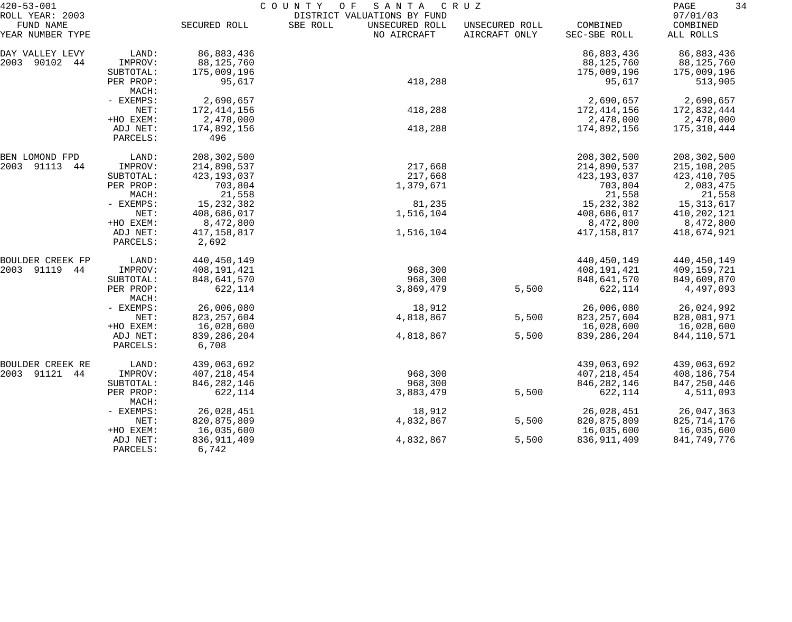| $420 - 53 - 001$             |                      | COUNTY<br>O F<br>SANTA<br>C R U Z |                                                           |                |               |                      |  |
|------------------------------|----------------------|-----------------------------------|-----------------------------------------------------------|----------------|---------------|----------------------|--|
| ROLL YEAR: 2003<br>FUND NAME |                      | SECURED ROLL                      | DISTRICT VALUATIONS BY FUND<br>SBE ROLL<br>UNSECURED ROLL | UNSECURED ROLL | COMBINED      | 07/01/03<br>COMBINED |  |
| YEAR NUMBER TYPE             |                      |                                   | NO AIRCRAFT                                               | AIRCRAFT ONLY  | SEC-SBE ROLL  | ALL ROLLS            |  |
| DAY VALLEY LEVY              | LAND:                | 86,883,436                        |                                                           |                | 86,883,436    | 86,883,436           |  |
| 2003<br>90102<br>44          | IMPROV:              | 88,125,760                        |                                                           |                | 88,125,760    | 88,125,760           |  |
|                              | SUBTOTAL:            | 175,009,196                       |                                                           |                | 175,009,196   | 175,009,196          |  |
|                              | PER PROP:<br>MACH:   | 95,617                            | 418,288                                                   |                | 95,617        | 513,905              |  |
|                              | - EXEMPS:            | 2,690,657                         |                                                           |                | 2,690,657     | 2,690,657            |  |
|                              | NET:                 | 172,414,156                       | 418,288                                                   |                | 172, 414, 156 | 172,832,444          |  |
|                              | +HO EXEM:            | 2,478,000                         |                                                           |                | 2,478,000     | 2,478,000            |  |
|                              | ADJ NET:             | 174,892,156                       | 418,288                                                   |                | 174,892,156   | 175,310,444          |  |
|                              | PARCELS:             | 496                               |                                                           |                |               |                      |  |
| BEN LOMOND FPD               | LAND:                | 208,302,500                       |                                                           |                | 208,302,500   | 208,302,500          |  |
| 2003<br>91113<br>44          | IMPROV:              | 214,890,537                       | 217,668                                                   |                | 214,890,537   | 215,108,205          |  |
|                              | SUBTOTAL:            | 423, 193, 037                     | 217,668                                                   |                | 423, 193, 037 | 423, 410, 705        |  |
|                              | PER PROP:            | 703,804                           | 1,379,671                                                 |                | 703,804       | 2,083,475            |  |
|                              | MACH:                | 21,558                            |                                                           |                | 21,558        | 21,558               |  |
|                              | - EXEMPS:            | 15, 232, 382                      | 81,235                                                    |                | 15, 232, 382  | 15, 313, 617         |  |
|                              | NET:                 | 408,686,017                       | 1,516,104                                                 |                | 408,686,017   | 410, 202, 121        |  |
|                              | +HO EXEM:            | 8,472,800                         |                                                           |                | 8,472,800     | 8,472,800            |  |
|                              | ADJ NET:<br>PARCELS: | 417,158,817<br>2,692              | 1,516,104                                                 |                | 417,158,817   | 418,674,921          |  |
| <b>BOULDER CREEK FP</b>      | LAND:                | 440, 450, 149                     |                                                           |                | 440, 450, 149 | 440, 450, 149        |  |
| 2003 91119<br>44             | IMPROV:              | 408,191,421                       | 968,300                                                   |                | 408,191,421   | 409,159,721          |  |
|                              | SUBTOTAL:            | 848,641,570                       | 968,300                                                   |                | 848,641,570   | 849,609,870          |  |
|                              | PER PROP:<br>MACH:   | 622,114                           | 3,869,479                                                 | 5,500          | 622,114       | 4,497,093            |  |
|                              | - EXEMPS:            | 26,006,080                        | 18,912                                                    |                | 26,006,080    | 26,024,992           |  |
|                              | NET:                 | 823, 257, 604                     | 4,818,867                                                 | 5,500          | 823, 257, 604 | 828,081,971          |  |
|                              | +HO EXEM:            | 16,028,600                        |                                                           |                | 16,028,600    | 16,028,600           |  |
|                              | ADJ NET:             | 839, 286, 204                     | 4,818,867                                                 | 5,500          | 839,286,204   | 844, 110, 571        |  |
|                              | PARCELS:             | 6,708                             |                                                           |                |               |                      |  |
| BOULDER CREEK RE             | LAND:                | 439,063,692                       |                                                           |                | 439,063,692   | 439,063,692          |  |
| 2003 91121 44                | IMPROV:              | 407, 218, 454                     | 968,300                                                   |                | 407, 218, 454 | 408,186,754          |  |
|                              | SUBTOTAL:            | 846, 282, 146                     | 968,300                                                   |                | 846, 282, 146 | 847, 250, 446        |  |
|                              | PER PROP:<br>MACH:   | 622,114                           | 3,883,479                                                 | 5,500          | 622,114       | 4,511,093            |  |
|                              | - EXEMPS:            | 26,028,451                        | 18,912                                                    |                | 26,028,451    | 26,047,363           |  |
|                              | NET:                 | 820, 875, 809                     | 4,832,867                                                 | 5,500          | 820, 875, 809 | 825, 714, 176        |  |
|                              | +HO EXEM:            | 16,035,600                        |                                                           |                | 16,035,600    | 16,035,600           |  |
|                              | ADJ NET:             | 836, 911, 409                     | 4,832,867                                                 | 5,500          | 836, 911, 409 | 841,749,776          |  |
|                              | PARCELS:             | 6,742                             |                                                           |                |               |                      |  |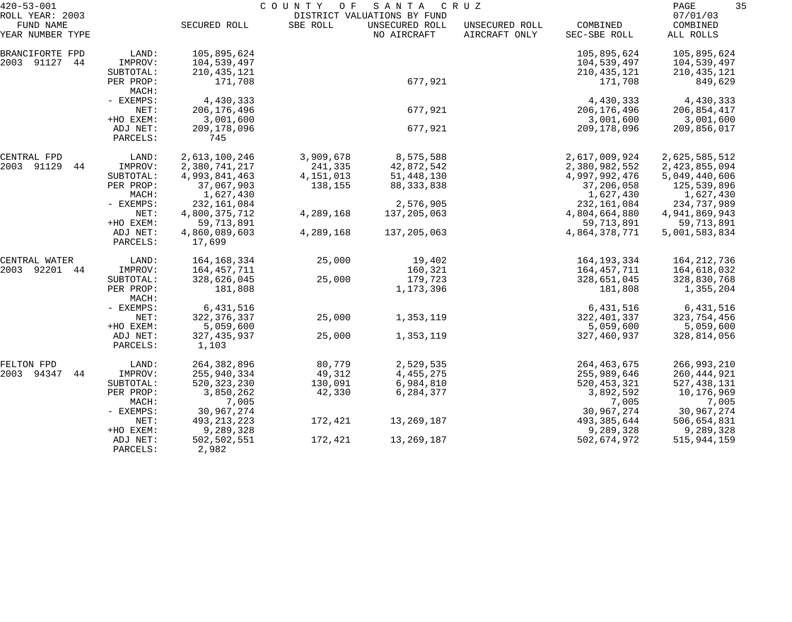| $420 - 53 - 001$                                 |                                 | COUNTY<br>O F<br>SANTA<br>C R U Z<br>DISTRICT VALUATIONS BY FUND |                      |                               |                                 |                                             | 35<br>PAGE                                  |  |
|--------------------------------------------------|---------------------------------|------------------------------------------------------------------|----------------------|-------------------------------|---------------------------------|---------------------------------------------|---------------------------------------------|--|
| ROLL YEAR: 2003<br>FUND NAME<br>YEAR NUMBER TYPE |                                 | SECURED ROLL                                                     | SBE ROLL             | UNSECURED ROLL<br>NO AIRCRAFT | UNSECURED ROLL<br>AIRCRAFT ONLY | COMBINED<br>SEC-SBE ROLL                    | 07/01/03<br>COMBINED<br>ALL ROLLS           |  |
| BRANCIFORTE FPD<br>2003 91127 44                 | LAND:<br>IMPROV:<br>SUBTOTAL:   | 105,895,624<br>104,539,497<br>210, 435, 121                      |                      |                               |                                 | 105,895,624<br>104,539,497<br>210, 435, 121 | 105,895,624<br>104,539,497<br>210, 435, 121 |  |
|                                                  | PER PROP:<br>MACH:              | 171,708                                                          |                      | 677,921                       |                                 | 171,708                                     | 849,629                                     |  |
|                                                  | - EXEMPS:<br>NET:<br>+HO EXEM:  | 4,430,333<br>206, 176, 496<br>3,001,600                          |                      | 677,921                       |                                 | 4,430,333<br>206, 176, 496<br>3,001,600     | 4,430,333<br>206,854,417<br>3,001,600       |  |
|                                                  | ADJ NET:<br>PARCELS:            | 209, 178, 096<br>745                                             |                      | 677,921                       |                                 | 209,178,096                                 | 209,856,017                                 |  |
| CENTRAL FPD                                      | LAND:                           | 2,613,100,246                                                    | 3,909,678            | 8,575,588                     |                                 | 2,617,009,924                               | 2,625,585,512                               |  |
| 2003 91129<br>44                                 | IMPROV:<br>SUBTOTAL:            | 2,380,741,217<br>4,993,841,463                                   | 241,335<br>4,151,013 | 42,872,542<br>51,448,130      |                                 | 2,380,982,552<br>4,997,992,476              | 2,423,855,094<br>5,049,440,606              |  |
|                                                  | PER PROP:                       | 37,067,903                                                       | 138,155              | 88, 333, 838                  |                                 | 37,206,058                                  | 125,539,896                                 |  |
|                                                  | MACH:                           | 1,627,430                                                        |                      |                               |                                 | 1,627,430                                   | 1,627,430                                   |  |
|                                                  | - EXEMPS:                       | 232, 161, 084                                                    |                      | 2,576,905                     |                                 | 232, 161, 084                               | 234,737,989                                 |  |
|                                                  | NET:                            | 4,800,375,712                                                    | 4,289,168            | 137,205,063                   |                                 | 4,804,664,880                               | 4,941,869,943                               |  |
|                                                  | +HO EXEM:                       | 59, 713, 891                                                     |                      |                               |                                 | 59,713,891                                  | 59, 713, 891                                |  |
|                                                  | ADJ NET:<br>PARCELS:            | 4,860,089,603<br>17,699                                          | 4,289,168            | 137,205,063                   |                                 | 4,864,378,771                               | 5,001,583,834                               |  |
| CENTRAL WATER                                    | LAND:                           | 164, 168, 334                                                    | 25,000               | 19,402                        |                                 | 164, 193, 334                               | 164, 212, 736                               |  |
| 2003 92201 44                                    | IMPROV:                         | 164,457,711                                                      |                      | 160,321                       |                                 | 164,457,711                                 | 164,618,032                                 |  |
|                                                  | SUBTOTAL:<br>PER PROP:<br>MACH: | 328,626,045<br>181,808                                           | 25,000               | 179,723<br>1,173,396          |                                 | 328,651,045<br>181,808                      | 328,830,768<br>1,355,204                    |  |
|                                                  | - EXEMPS:                       | 6,431,516                                                        |                      |                               |                                 | 6,431,516                                   | 6,431,516                                   |  |
|                                                  | NET:                            | 322, 376, 337                                                    | 25,000               | 1,353,119                     |                                 | 322, 401, 337                               | 323,754,456                                 |  |
|                                                  | +HO EXEM:                       | 5,059,600                                                        |                      |                               |                                 | 5,059,600                                   | 5,059,600                                   |  |
|                                                  | ADJ NET:<br>PARCELS:            | 327, 435, 937<br>1,103                                           | 25,000               | 1,353,119                     |                                 | 327,460,937                                 | 328,814,056                                 |  |
| FELTON FPD                                       | LAND:                           | 264, 382, 896                                                    | 80,779               | 2,529,535                     |                                 | 264, 463, 675                               | 266,993,210                                 |  |
| 2003 94347<br>44                                 | IMPROV:                         | 255,940,334                                                      | 49,312               | 4, 455, 275                   |                                 | 255,989,646                                 | 260, 444, 921                               |  |
|                                                  | SUBTOTAL:                       | 520, 323, 230                                                    | 130,091              | 6,984,810                     |                                 | 520, 453, 321                               | 527, 438, 131                               |  |
|                                                  | PER PROP:<br>MACH:              | 3,850,262<br>7,005                                               | 42,330               | 6,284,377                     |                                 | 3,892,592<br>7,005                          | 10,176,969<br>7,005                         |  |
|                                                  | - EXEMPS:                       | 30,967,274                                                       |                      |                               |                                 | 30,967,274                                  | 30,967,274                                  |  |
|                                                  | NET:                            | 493, 213, 223                                                    | 172,421              | 13,269,187                    |                                 | 493, 385, 644                               | 506,654,831                                 |  |
|                                                  | +HO EXEM:<br>ADJ NET:           | 9,289,328<br>502,502,551                                         | 172,421              | 13,269,187                    |                                 | 9,289,328<br>502,674,972                    | 9,289,328<br>515,944,159                    |  |
|                                                  | PARCELS:                        | 2,982                                                            |                      |                               |                                 |                                             |                                             |  |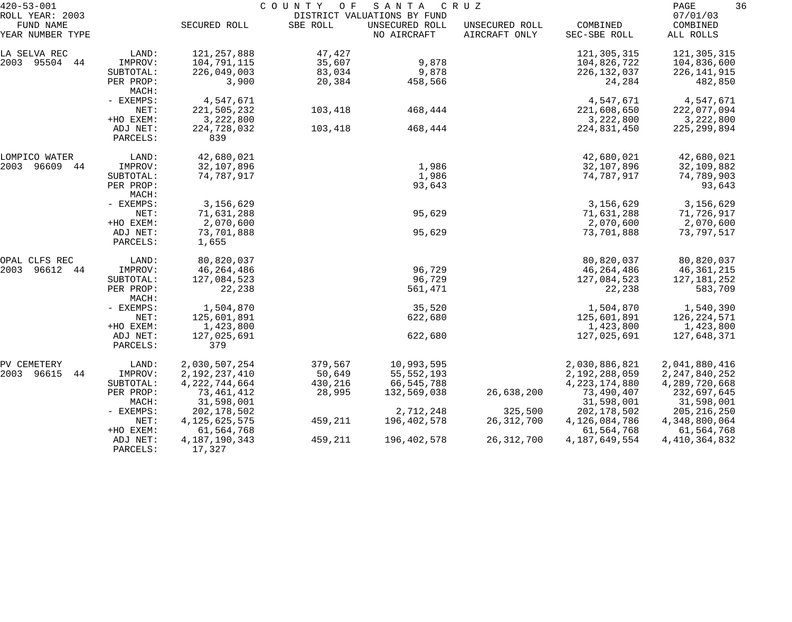| $420 - 53 - 001$                                 |                      |                            | COUNTY OF | SANTA                                                        | C R U Z                         |                          | 36<br>PAGE                        |
|--------------------------------------------------|----------------------|----------------------------|-----------|--------------------------------------------------------------|---------------------------------|--------------------------|-----------------------------------|
| ROLL YEAR: 2003<br>FUND NAME<br>YEAR NUMBER TYPE |                      | SECURED ROLL               | SBE ROLL  | DISTRICT VALUATIONS BY FUND<br>UNSECURED ROLL<br>NO AIRCRAFT | UNSECURED ROLL<br>AIRCRAFT ONLY | COMBINED<br>SEC-SBE ROLL | 07/01/03<br>COMBINED<br>ALL ROLLS |
| LA SELVA REC                                     | LAND:                | 121, 257, 888              | 47,427    |                                                              |                                 | 121,305,315              | 121,305,315                       |
| 2003 95504 44                                    | IMPROV:              | 104,791,115                | 35,607    | 9,878                                                        |                                 | 104,826,722              | 104,836,600                       |
|                                                  | SUBTOTAL:            | 226,049,003                | 83,034    | 9,878                                                        |                                 | 226, 132, 037            | 226,141,915                       |
|                                                  | PER PROP:<br>MACH:   | 3,900                      | 20,384    | 458,566                                                      |                                 | 24,284                   | 482,850                           |
|                                                  | - EXEMPS:            | 4,547,671                  |           |                                                              |                                 | 4,547,671                | 4,547,671                         |
|                                                  | NET:                 | 221,505,232                | 103,418   | 468,444                                                      |                                 | 221,608,650              | 222,077,094                       |
|                                                  | +HO EXEM:            | 3,222,800                  |           |                                                              |                                 | 3,222,800                | 3,222,800                         |
|                                                  | ADJ NET:<br>PARCELS: | 224,728,032<br>839         | 103,418   | 468,444                                                      |                                 | 224,831,450              | 225, 299, 894                     |
| LOMPICO WATER                                    | LAND:                | 42,680,021                 |           |                                                              |                                 | 42,680,021               | 42,680,021                        |
| 2003<br>96609<br>44                              | IMPROV:              | 32,107,896                 |           | 1,986                                                        |                                 | 32,107,896               | 32,109,882                        |
|                                                  | SUBTOTAL:            | 74,787,917                 |           | 1,986                                                        |                                 | 74,787,917               | 74,789,903                        |
|                                                  | PER PROP:<br>MACH:   |                            |           | 93,643                                                       |                                 |                          | 93,643                            |
|                                                  | - EXEMPS:            | 3,156,629                  |           |                                                              |                                 | 3,156,629                | 3,156,629                         |
|                                                  | NET:                 | 71,631,288                 |           | 95,629                                                       |                                 | 71,631,288               | 71,726,917                        |
|                                                  | +HO EXEM:            | 2,070,600                  |           |                                                              |                                 | 2,070,600                | 2,070,600                         |
|                                                  | ADJ NET:<br>PARCELS: | 73,701,888<br>1,655        |           | 95,629                                                       |                                 | 73,701,888               | 73,797,517                        |
| OPAL CLFS REC                                    | LAND:                | 80,820,037                 |           |                                                              |                                 | 80,820,037               | 80,820,037                        |
| 2003<br>96612<br>44                              | IMPROV:              | 46,264,486                 |           | 96,729                                                       |                                 | 46,264,486               | 46,361,215                        |
|                                                  | SUBTOTAL:            | 127,084,523                |           | 96,729                                                       |                                 | 127,084,523              | 127,181,252                       |
|                                                  | PER PROP:<br>MACH:   | 22,238                     |           | 561,471                                                      |                                 | 22,238                   | 583,709                           |
|                                                  | - EXEMPS:            | 1,504,870                  |           | 35,520                                                       |                                 | 1,504,870                | 1,540,390                         |
|                                                  | NET:                 | 125,601,891                |           | 622,680                                                      |                                 | 125,601,891              | 126, 224, 571                     |
|                                                  | +HO EXEM:            | 1,423,800                  |           |                                                              |                                 | 1,423,800                | 1,423,800                         |
|                                                  | ADJ NET:<br>PARCELS: | 127,025,691<br>379         |           | 622,680                                                      |                                 | 127,025,691              | 127,648,371                       |
| PV CEMETERY                                      | LAND:                | 2,030,507,254              | 379,567   | 10,993,595                                                   |                                 | 2,030,886,821            | 2,041,880,416                     |
| 44<br>2003 96615                                 | IMPROV:              | 2, 192, 237, 410           | 50,649    | 55, 552, 193                                                 |                                 | 2,192,288,059            | 2, 247, 840, 252                  |
|                                                  | SUBTOTAL:            | 4, 222, 744, 664           | 430,216   | 66,545,788                                                   |                                 | 4, 223, 174, 880         | 4,289,720,668                     |
|                                                  | PER PROP:            | 73,461,412                 | 28,995    | 132,569,038                                                  | 26,638,200                      | 73,490,407               | 232,697,645                       |
|                                                  | MACH:                | 31,598,001                 |           |                                                              |                                 | 31,598,001               | 31,598,001                        |
|                                                  | $-$ EXEMPS:          | 202,178,502                |           | 2,712,248                                                    | 325,500                         | 202, 178, 502            | 205, 216, 250                     |
|                                                  | NET:                 | 4, 125, 625, 575           | 459,211   | 196,402,578                                                  | 26, 312, 700                    | 4,126,084,786            | 4,348,800,064                     |
|                                                  | +HO EXEM:            | 61,564,768                 |           |                                                              |                                 | 61,564,768               | 61,564,768                        |
|                                                  | ADJ NET:<br>PARCELS: | 4, 187, 190, 343<br>17,327 | 459,211   | 196,402,578                                                  | 26, 312, 700                    | 4, 187, 649, 554         | 4, 410, 364, 832                  |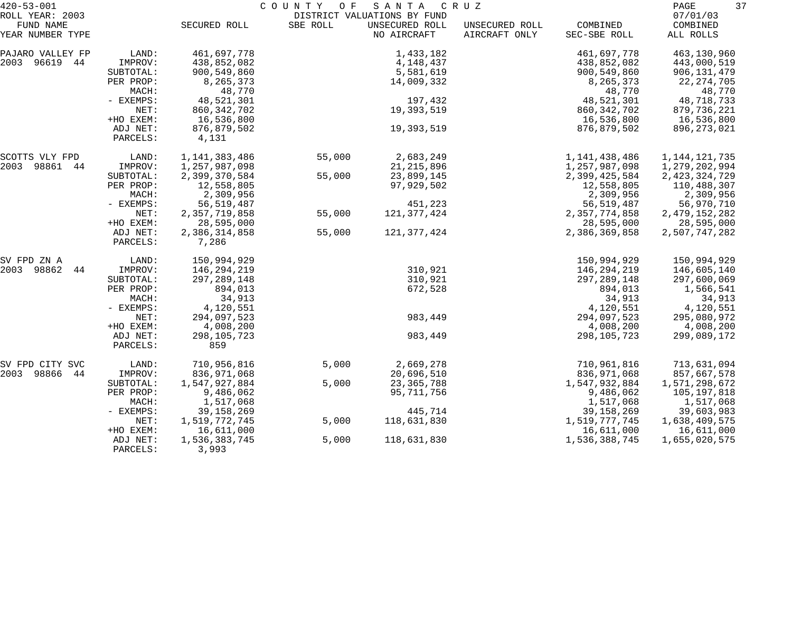| $420 - 53 - 001$                                 |                                                     |                                                                  | COUNTY OF | SANTA                                                        | C R U Z                         |                                                                  | 37<br>PAGE                                                          |
|--------------------------------------------------|-----------------------------------------------------|------------------------------------------------------------------|-----------|--------------------------------------------------------------|---------------------------------|------------------------------------------------------------------|---------------------------------------------------------------------|
| ROLL YEAR: 2003<br>FUND NAME<br>YEAR NUMBER TYPE |                                                     | SECURED ROLL                                                     | SBE ROLL  | DISTRICT VALUATIONS BY FUND<br>UNSECURED ROLL<br>NO AIRCRAFT | UNSECURED ROLL<br>AIRCRAFT ONLY | COMBINED<br>SEC-SBE ROLL                                         | 07/01/03<br>COMBINED<br>ALL ROLLS                                   |
|                                                  |                                                     |                                                                  |           |                                                              |                                 |                                                                  |                                                                     |
| PAJARO VALLEY FP<br>2003 96619 44                | LAND:<br>IMPROV:<br>SUBTOTAL:<br>PER PROP:<br>MACH: | 461,697,778<br>438,852,082<br>900,549,860<br>8,265,373<br>48,770 |           | 1,433,182<br>4,148,437<br>5,581,619<br>14,009,332            |                                 | 461,697,778<br>438,852,082<br>900,549,860<br>8,265,373<br>48,770 | 463,130,960<br>443,000,519<br>906,131,479<br>22, 274, 705<br>48,770 |
|                                                  | - EXEMPS:<br>NET:                                   | 48,521,301<br>860, 342, 702                                      |           | 197,432<br>19,393,519                                        |                                 | 48,521,301<br>860, 342, 702                                      | 48,718,733<br>879,736,221                                           |
|                                                  | +HO EXEM:<br>ADJ NET:<br>PARCELS:                   | 16,536,800<br>876,879,502<br>4,131                               |           | 19,393,519                                                   |                                 | 16,536,800<br>876,879,502                                        | 16,536,800<br>896, 273, 021                                         |
| SCOTTS VLY FPD                                   | LAND:                                               | 1,141,383,486                                                    | 55,000    | 2,683,249                                                    |                                 | 1,141,438,486                                                    | 1, 144, 121, 735                                                    |
| 2003 98861 44                                    | IMPROV:                                             | 1,257,987,098                                                    |           | 21, 215, 896                                                 |                                 | 1,257,987,098                                                    | 1,279,202,994                                                       |
|                                                  | SUBTOTAL:<br>PER PROP:<br>MACH:                     | 2,399,370,584<br>12,558,805<br>2,309,956                         | 55,000    | 23,899,145<br>97,929,502                                     |                                 | 2,399,425,584<br>12,558,805<br>2,309,956                         | 2,423,324,729<br>110,488,307<br>2,309,956                           |
|                                                  | - EXEMPS:                                           | 56, 519, 487                                                     |           | 451,223                                                      |                                 | 56, 519, 487                                                     | 56,970,710                                                          |
|                                                  | NET:<br>+HO EXEM:                                   | 2,357,719,858<br>28,595,000                                      | 55,000    | 121, 377, 424                                                |                                 | 2, 357, 774, 858<br>28,595,000                                   | 2, 479, 152, 282<br>28,595,000                                      |
|                                                  | ADJ NET:<br>PARCELS:                                | 2,386,314,858<br>7,286                                           | 55,000    | 121, 377, 424                                                |                                 | 2,386,369,858                                                    | 2,507,747,282                                                       |
| SV FPD ZN A                                      | LAND:                                               | 150,994,929                                                      |           |                                                              |                                 | 150,994,929                                                      | 150,994,929                                                         |
| 2003<br>98862<br>44                              | IMPROV:                                             | 146,294,219                                                      |           | 310,921                                                      |                                 | 146,294,219                                                      | 146,605,140                                                         |
|                                                  | SUBTOTAL:<br>PER PROP:                              | 297, 289, 148<br>894,013                                         |           | 310,921<br>672,528                                           |                                 | 297, 289, 148<br>894,013                                         | 297,600,069<br>1,566,541                                            |
|                                                  | MACH:                                               | 34,913                                                           |           |                                                              |                                 | 34,913                                                           | 34,913                                                              |
|                                                  | - EXEMPS:                                           | 4,120,551                                                        |           |                                                              |                                 | 4,120,551                                                        | 4,120,551                                                           |
|                                                  | NET:                                                | 294,097,523                                                      |           | 983,449                                                      |                                 | 294,097,523                                                      | 295,080,972                                                         |
|                                                  | +HO EXEM:<br>ADJ NET:                               | 4,008,200<br>298,105,723                                         |           | 983,449                                                      |                                 | 4,008,200<br>298, 105, 723                                       | 4,008,200<br>299,089,172                                            |
|                                                  | PARCELS:                                            | 859                                                              |           |                                                              |                                 |                                                                  |                                                                     |
| SV FPD CITY SVC                                  | LAND:                                               | 710,956,816                                                      | 5,000     | 2,669,278                                                    |                                 | 710,961,816                                                      | 713,631,094                                                         |
| 2003 98866<br>44                                 | IMPROV:                                             | 836,971,068                                                      |           | 20,696,510                                                   |                                 | 836, 971, 068                                                    | 857,667,578                                                         |
|                                                  | SUBTOTAL:<br>PER PROP:                              | 1,547,927,884<br>9,486,062                                       | 5,000     | 23, 365, 788<br>95,711,756                                   |                                 | 1,547,932,884<br>9,486,062                                       | 1,571,298,672<br>105,197,818                                        |
|                                                  | MACH:                                               | 1,517,068                                                        |           |                                                              |                                 | 1,517,068                                                        | 1,517,068                                                           |
|                                                  | - EXEMPS:                                           | 39, 158, 269                                                     |           | 445,714                                                      |                                 | 39, 158, 269                                                     | 39,603,983                                                          |
|                                                  | NET:                                                | 1,519,772,745                                                    | 5,000     | 118,631,830                                                  |                                 | 1,519,777,745                                                    | 1,638,409,575                                                       |
|                                                  | +HO EXEM:                                           | 16,611,000                                                       |           |                                                              |                                 | 16,611,000                                                       | 16,611,000                                                          |
|                                                  | ADJ NET:<br>PARCELS:                                | 1,536,383,745<br>3,993                                           | 5,000     | 118,631,830                                                  |                                 | 1,536,388,745                                                    | 1,655,020,575                                                       |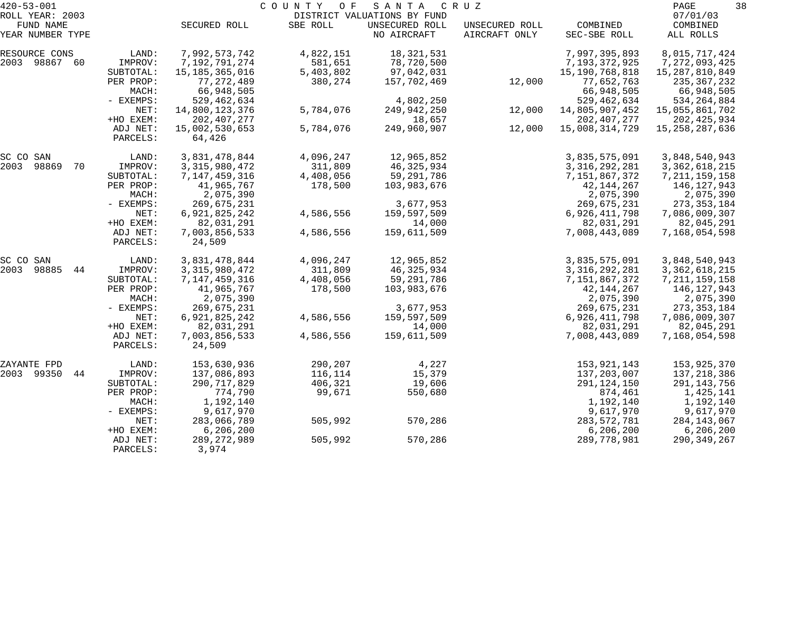| $420 - 53 - 001$             |                      |                          | COUNTY<br>O F | SANTA                                         | C R U Z                         |                  | PAGE<br>38           |  |
|------------------------------|----------------------|--------------------------|---------------|-----------------------------------------------|---------------------------------|------------------|----------------------|--|
| ROLL YEAR: 2003<br>FUND NAME |                      | SECURED ROLL             | SBE ROLL      | DISTRICT VALUATIONS BY FUND<br>UNSECURED ROLL |                                 | COMBINED         | 07/01/03<br>COMBINED |  |
| YEAR NUMBER TYPE             |                      |                          |               | NO AIRCRAFT                                   | UNSECURED ROLL<br>AIRCRAFT ONLY | SEC-SBE ROLL     | ALL ROLLS            |  |
| RESOURCE CONS                | LAND:                | 7,992,573,742            | 4,822,151     | 18,321,531                                    |                                 | 7,997,395,893    | 8,015,717,424        |  |
| 2003 98867<br>-60            | IMPROV:              | 7,192,791,274            | 581,651       | 78,720,500                                    |                                 | 7,193,372,925    | 7, 272, 093, 425     |  |
|                              | SUBTOTAL:            | 15,185,365,016           | 5,403,802     | 97,042,031                                    |                                 | 15,190,768,818   | 15,287,810,849       |  |
|                              | PER PROP:            | 77, 272, 489             | 380,274       | 157,702,469                                   | 12,000                          | 77,652,763       | 235,367,232          |  |
|                              | MACH:                | 66,948,505               |               |                                               |                                 | 66,948,505       | 66,948,505           |  |
|                              | - EXEMPS:            | 529, 462, 634            |               | 4,802,250                                     |                                 | 529, 462, 634    | 534, 264, 884        |  |
|                              | NET:                 | 14,800,123,376           | 5,784,076     | 249,942,250                                   | 12,000                          | 14,805,907,452   | 15,055,861,702       |  |
|                              | +HO EXEM:            | 202, 407, 277            |               | 18,657                                        |                                 | 202, 407, 277    | 202, 425, 934        |  |
|                              | ADJ NET:<br>PARCELS: | 15,002,530,653<br>64,426 | 5,784,076     | 249,960,907                                   | 12,000                          | 15,008,314,729   | 15,258,287,636       |  |
| SC CO SAN                    | LAND:                | 3,831,478,844            | 4,096,247     | 12,965,852                                    |                                 | 3,835,575,091    | 3,848,540,943        |  |
| 2003<br>98869<br>70          | IMPROV:              | 3, 315, 980, 472         | 311,809       | 46,325,934                                    |                                 | 3, 316, 292, 281 | 3, 362, 618, 215     |  |
|                              | SUBTOTAL:            | 7,147,459,316            | 4,408,056     | 59,291,786                                    |                                 | 7,151,867,372    | 7, 211, 159, 158     |  |
|                              | PER PROP:            | 41,965,767               | 178,500       | 103,983,676                                   |                                 | 42,144,267       | 146,127,943          |  |
|                              | MACH:                | 2,075,390                |               |                                               |                                 | 2,075,390        | 2,075,390            |  |
|                              | - EXEMPS:            | 269,675,231              |               | 3,677,953                                     |                                 | 269,675,231      | 273, 353, 184        |  |
|                              | NET:                 | 6,921,825,242            | 4,586,556     | 159,597,509                                   |                                 | 6,926,411,798    | 7,086,009,307        |  |
|                              | +HO EXEM:            | 82,031,291               |               | 14,000                                        |                                 | 82,031,291       | 82,045,291           |  |
|                              | ADJ NET:             | 7,003,856,533            | 4,586,556     | 159,611,509                                   |                                 | 7,008,443,089    | 7,168,054,598        |  |
|                              | PARCELS:             | 24,509                   |               |                                               |                                 |                  |                      |  |
| SC CO SAN                    | LAND:                | 3,831,478,844            | 4,096,247     | 12,965,852                                    |                                 | 3,835,575,091    | 3,848,540,943        |  |
| 2003<br>98885<br>44          | IMPROV:              | 3, 315, 980, 472         | 311,809       | 46,325,934                                    |                                 | 3, 316, 292, 281 | 3, 362, 618, 215     |  |
|                              | SUBTOTAL:            | 7,147,459,316            | 4,408,056     | 59,291,786                                    |                                 | 7,151,867,372    | 7, 211, 159, 158     |  |
|                              | PER PROP:            | 41,965,767               | 178,500       | 103,983,676                                   |                                 | 42,144,267       | 146,127,943          |  |
|                              | MACH:                | 2,075,390                |               |                                               |                                 | 2,075,390        | 2,075,390            |  |
|                              | - EXEMPS:            | 269,675,231              |               | 3,677,953                                     |                                 | 269,675,231      | 273, 353, 184        |  |
|                              | NET:                 | 6,921,825,242            | 4,586,556     | 159,597,509                                   |                                 | 6,926,411,798    | 7,086,009,307        |  |
|                              | +HO EXEM:            | 82,031,291               |               | 14,000                                        |                                 | 82,031,291       | 82,045,291           |  |
|                              | ADJ NET:             | 7,003,856,533            | 4,586,556     | 159,611,509                                   |                                 | 7,008,443,089    | 7,168,054,598        |  |
|                              | PARCELS:             | 24,509                   |               |                                               |                                 |                  |                      |  |
| ZAYANTE FPD                  | LAND:                | 153,630,936              | 290,207       | 4,227                                         |                                 | 153,921,143      | 153,925,370          |  |
| 2003 99350<br>44             | IMPROV:              | 137,086,893              | 116,114       | 15,379                                        |                                 | 137,203,007      | 137,218,386          |  |
|                              | SUBTOTAL:            | 290, 717, 829            | 406,321       | 19,606                                        |                                 | 291, 124, 150    | 291,143,756          |  |
|                              | PER PROP:            | 774,790                  | 99,671        | 550,680                                       |                                 | 874,461          | 1,425,141            |  |
|                              | MACH:                | 1,192,140                |               |                                               |                                 | 1,192,140        | 1,192,140            |  |
|                              | - EXEMPS:            | 9,617,970                |               |                                               |                                 | 9,617,970        | 9,617,970            |  |
|                              | NET:                 | 283,066,789              | 505,992       | 570,286                                       |                                 | 283, 572, 781    | 284,143,067          |  |
|                              | +HO EXEM:            | 6, 206, 200              |               |                                               |                                 | 6, 206, 200      | 6,206,200            |  |
|                              | ADJ NET:             | 289, 272, 989            | 505,992       | 570,286                                       |                                 | 289,778,981      | 290,349,267          |  |
|                              | PARCELS:             | 3,974                    |               |                                               |                                 |                  |                      |  |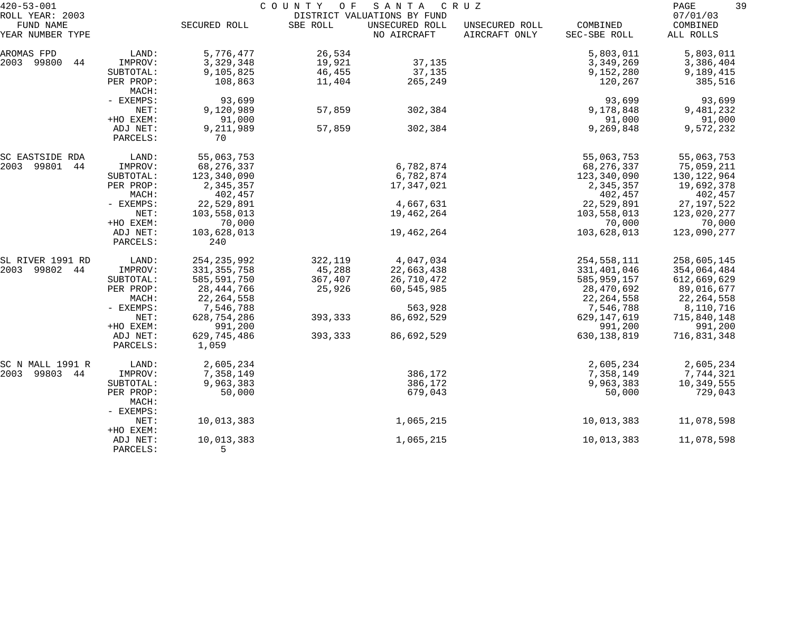| $420 - 53 - 001$              |                      | COUNTY<br>O F<br>SANTA<br>C R U Z |          |                               |                                 |                          |                       |
|-------------------------------|----------------------|-----------------------------------|----------|-------------------------------|---------------------------------|--------------------------|-----------------------|
| ROLL YEAR: 2003               |                      |                                   |          | DISTRICT VALUATIONS BY FUND   |                                 |                          | 07/01/03              |
| FUND NAME<br>YEAR NUMBER TYPE |                      | SECURED ROLL                      | SBE ROLL | UNSECURED ROLL<br>NO AIRCRAFT | UNSECURED ROLL<br>AIRCRAFT ONLY | COMBINED<br>SEC-SBE ROLL | COMBINED<br>ALL ROLLS |
| AROMAS FPD                    | LAND:                | 5,776,477                         | 26,534   |                               |                                 | 5,803,011                | 5,803,011             |
| 2003 99800<br>44              | IMPROV:              | 3,329,348                         | 19,921   | 37,135                        |                                 | 3,349,269                | 3,386,404             |
|                               | SUBTOTAL:            | 9,105,825                         | 46,455   | 37,135                        |                                 | 9,152,280                | 9,189,415             |
|                               | PER PROP:<br>MACH:   | 108,863                           | 11,404   | 265,249                       |                                 | 120,267                  | 385,516               |
|                               | - EXEMPS:            | 93,699                            |          |                               |                                 | 93,699                   | 93,699                |
|                               | NET:                 | 9,120,989                         | 57,859   | 302,384                       |                                 | 9,178,848                | 9,481,232             |
|                               | +HO EXEM:            | 91,000                            |          |                               |                                 | 91,000                   | 91,000                |
|                               | ADJ NET:             | 9,211,989                         | 57,859   | 302,384                       |                                 | 9,269,848                | 9,572,232             |
|                               | PARCELS:             | 70                                |          |                               |                                 |                          |                       |
| SC EASTSIDE RDA               | LAND:                | 55,063,753                        |          |                               |                                 | 55,063,753               | 55,063,753            |
| 2003 99801 44                 | IMPROV:              | 68,276,337                        |          | 6,782,874                     |                                 | 68,276,337               | 75,059,211            |
|                               | SUBTOTAL:            | 123,340,090                       |          | 6,782,874                     |                                 | 123,340,090              | 130,122,964           |
|                               | PER PROP:            | 2,345,357                         |          | 17,347,021                    |                                 | 2,345,357                | 19,692,378            |
|                               | MACH:                | 402,457                           |          |                               |                                 | 402,457                  | 402,457               |
|                               | - EXEMPS:            | 22,529,891                        |          | 4,667,631                     |                                 | 22,529,891               | 27, 197, 522          |
|                               | NET:                 | 103,558,013                       |          | 19,462,264                    |                                 | 103,558,013              | 123,020,277           |
|                               | +HO EXEM:            | 70,000                            |          |                               |                                 | 70,000                   | 70,000                |
|                               | ADJ NET:<br>PARCELS: | 103,628,013<br>240                |          | 19,462,264                    |                                 | 103,628,013              | 123,090,277           |
| SL RIVER 1991 RD              | LAND:                | 254, 235, 992                     | 322,119  | 4,047,034                     |                                 | 254,558,111              | 258,605,145           |
| 2003 99802<br>44              | IMPROV:              | 331, 355, 758                     | 45,288   | 22,663,438                    |                                 | 331,401,046              | 354,064,484           |
|                               | SUBTOTAL:            | 585,591,750                       | 367,407  | 26,710,472                    |                                 | 585,959,157              | 612,669,629           |
|                               | PER PROP:            | 28,444,766                        | 25,926   | 60,545,985                    |                                 | 28,470,692               | 89,016,677            |
|                               | MACH:                | 22, 264, 558                      |          |                               |                                 | 22, 264, 558             | 22, 264, 558          |
|                               | - EXEMPS:            | 7,546,788                         |          | 563,928                       |                                 | 7,546,788                | 8,110,716             |
|                               | NET:                 | 628,754,286                       | 393,333  | 86,692,529                    |                                 | 629, 147, 619            | 715,840,148           |
|                               | +HO EXEM:            | 991,200                           |          |                               |                                 | 991,200                  | 991,200               |
|                               | ADJ NET:             | 629,745,486                       | 393,333  | 86,692,529                    |                                 | 630, 138, 819            | 716,831,348           |
|                               | PARCELS:             | 1,059                             |          |                               |                                 |                          |                       |
| SC N MALL 1991 R              | LAND:                | 2,605,234                         |          |                               |                                 | 2,605,234                | 2,605,234             |
| 2003<br>99803 44              | IMPROV:              | 7,358,149                         |          | 386,172                       |                                 | 7,358,149                | 7,744,321             |
|                               | SUBTOTAL:            | 9,963,383                         |          | 386,172                       |                                 | 9,963,383                | 10,349,555            |
|                               | PER PROP:<br>MACH:   | 50,000                            |          | 679,043                       |                                 | 50,000                   | 729,043               |
|                               | - EXEMPS:<br>NET:    | 10,013,383                        |          | 1,065,215                     |                                 | 10,013,383               | 11,078,598            |
|                               | +HO EXEM:            |                                   |          |                               |                                 |                          |                       |
|                               | ADJ NET:             | 10,013,383                        |          | 1,065,215                     |                                 | 10,013,383               | 11,078,598            |
|                               | PARCELS:             | 5                                 |          |                               |                                 |                          |                       |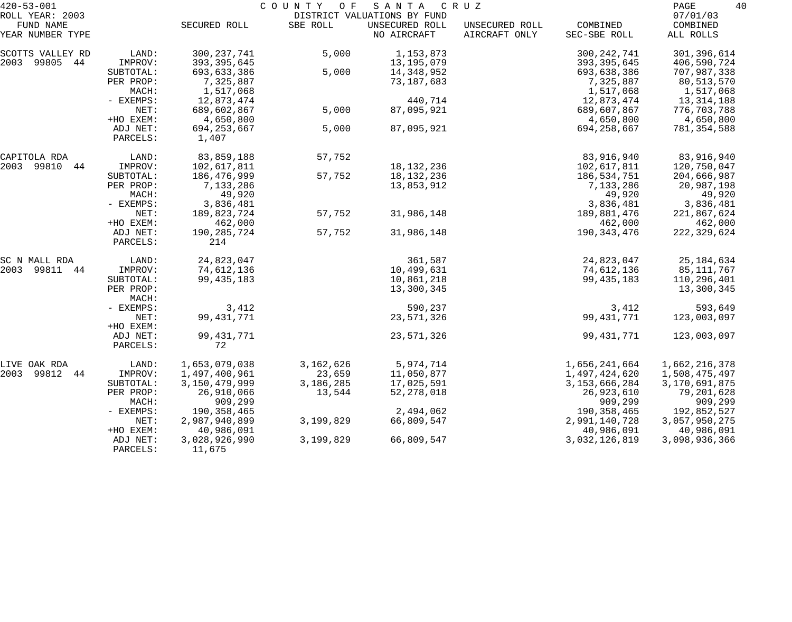| $420 - 53 - 001$                                 |                        |                                | COUNTY OF | SANTA                                                        | C R U Z                         |                                | 40<br>PAGE                        |
|--------------------------------------------------|------------------------|--------------------------------|-----------|--------------------------------------------------------------|---------------------------------|--------------------------------|-----------------------------------|
| ROLL YEAR: 2003<br>FUND NAME<br>YEAR NUMBER TYPE |                        | SECURED ROLL                   | SBE ROLL  | DISTRICT VALUATIONS BY FUND<br>UNSECURED ROLL<br>NO AIRCRAFT | UNSECURED ROLL<br>AIRCRAFT ONLY | COMBINED<br>SEC-SBE ROLL       | 07/01/03<br>COMBINED<br>ALL ROLLS |
|                                                  |                        |                                |           |                                                              |                                 |                                |                                   |
| SCOTTS VALLEY RD<br>2003 99805 44                | LAND:<br>IMPROV:       | 300, 237, 741<br>393, 395, 645 | 5,000     | 1, 153, 873<br>13,195,079                                    |                                 | 300, 242, 741<br>393, 395, 645 | 301,396,614<br>406,590,724        |
|                                                  | SUBTOTAL:              | 693,633,386                    | 5,000     | 14,348,952                                                   |                                 | 693,638,386                    | 707,987,338                       |
|                                                  | PER PROP:              | 7,325,887                      |           | 73, 187, 683                                                 |                                 | 7,325,887                      | 80,513,570                        |
|                                                  | MACH:                  | 1,517,068                      |           |                                                              |                                 | 1,517,068                      | 1,517,068                         |
|                                                  | - EXEMPS:              | 12,873,474                     |           | 440,714                                                      |                                 | 12,873,474                     | 13, 314, 188                      |
|                                                  | NET:                   | 689,602,867                    | 5,000     | 87,095,921                                                   |                                 | 689,607,867                    | 776,703,788                       |
|                                                  | +HO EXEM:<br>ADJ NET:  | 4,650,800<br>694, 253, 667     | 5,000     | 87,095,921                                                   |                                 | 4,650,800<br>694, 258, 667     | 4,650,800<br>781,354,588          |
|                                                  | PARCELS:               | 1,407                          |           |                                                              |                                 |                                |                                   |
| CAPITOLA RDA                                     | LAND:                  | 83,859,188                     | 57,752    |                                                              |                                 | 83,916,940                     | 83,916,940                        |
| 2003 99810<br>44                                 | IMPROV:                | 102,617,811                    |           | 18, 132, 236                                                 |                                 | 102,617,811                    | 120,750,047                       |
|                                                  | SUBTOTAL:              | 186,476,999                    | 57,752    | 18, 132, 236                                                 |                                 | 186,534,751                    | 204,666,987                       |
|                                                  | PER PROP:              | 7,133,286                      |           | 13,853,912                                                   |                                 | 7,133,286                      | 20,987,198                        |
|                                                  | MACH:<br>- EXEMPS:     | 49,920<br>3,836,481            |           |                                                              |                                 | 49,920<br>3,836,481            | 49,920<br>3,836,481               |
|                                                  | NET:                   | 189,823,724                    | 57,752    | 31,986,148                                                   |                                 | 189,881,476                    | 221,867,624                       |
|                                                  | +HO EXEM:              | 462,000                        |           |                                                              |                                 | 462,000                        | 462,000                           |
|                                                  | ADJ NET:<br>PARCELS:   | 190,285,724<br>214             | 57,752    | 31,986,148                                                   |                                 | 190, 343, 476                  | 222,329,624                       |
|                                                  |                        |                                |           |                                                              |                                 |                                |                                   |
| SC N MALL RDA                                    | LAND:                  | 24,823,047                     |           | 361,587                                                      |                                 | 24,823,047                     | 25, 184, 634                      |
| 2003<br>99811 44                                 | IMPROV:                | 74,612,136                     |           | 10,499,631                                                   |                                 | 74,612,136                     | 85,111,767                        |
|                                                  | SUBTOTAL:<br>PER PROP: | 99, 435, 183                   |           | 10,861,218<br>13,300,345                                     |                                 | 99, 435, 183                   | 110,296,401                       |
|                                                  | MACH:                  |                                |           |                                                              |                                 |                                | 13,300,345                        |
|                                                  | - EXEMPS:              | 3,412                          |           | 590,237                                                      |                                 | 3,412                          | 593,649                           |
|                                                  | NET:                   | 99, 431, 771                   |           | 23,571,326                                                   |                                 | 99, 431, 771                   | 123,003,097                       |
|                                                  | +HO EXEM:              |                                |           |                                                              |                                 |                                |                                   |
|                                                  | ADJ NET:<br>PARCELS:   | 99, 431, 771<br>72             |           | 23,571,326                                                   |                                 | 99, 431, 771                   | 123,003,097                       |
| LIVE OAK RDA                                     | LAND:                  | 1,653,079,038                  | 3,162,626 | 5,974,714                                                    |                                 | 1,656,241,664                  | 1,662,216,378                     |
| 2003<br>99812 44                                 | IMPROV:                | 1,497,400,961                  | 23,659    | 11,050,877                                                   |                                 | 1,497,424,620                  | 1,508,475,497                     |
|                                                  | SUBTOTAL:              | 3,150,479,999                  | 3,186,285 | 17,025,591                                                   |                                 | 3, 153, 666, 284               | 3,170,691,875                     |
|                                                  | PER PROP:              | 26,910,066                     | 13,544    | 52, 278, 018                                                 |                                 | 26,923,610                     | 79,201,628                        |
|                                                  | MACH:                  | 909,299                        |           |                                                              |                                 | 909,299                        | 909,299                           |
|                                                  | $-$ EXEMPS:            | 190,358,465                    |           | 2,494,062                                                    |                                 | 190, 358, 465                  | 192,852,527                       |
|                                                  | NET:<br>+HO EXEM:      | 2,987,940,899<br>40,986,091    | 3,199,829 | 66,809,547                                                   |                                 | 2,991,140,728<br>40,986,091    | 3,057,950,275<br>40,986,091       |
|                                                  | ADJ NET:               | 3,028,926,990                  | 3,199,829 | 66,809,547                                                   |                                 | 3,032,126,819                  | 3,098,936,366                     |
|                                                  | PARCELS:               | 11,675                         |           |                                                              |                                 |                                |                                   |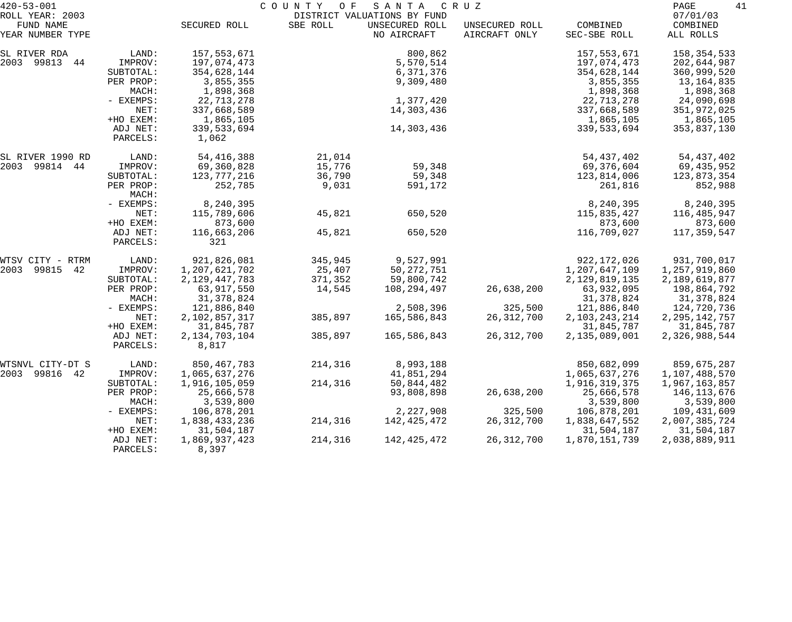| $420 - 53 - 001$<br>ROLL YEAR: 2003 |                      |                           | COUNTY<br>O F | SANTA<br>DISTRICT VALUATIONS BY FUND | C R U Z                         |                          | PAGE<br>41<br>07/01/03  |
|-------------------------------------|----------------------|---------------------------|---------------|--------------------------------------|---------------------------------|--------------------------|-------------------------|
| FUND NAME<br>YEAR NUMBER TYPE       |                      | SECURED ROLL              | SBE ROLL      | UNSECURED ROLL<br>NO AIRCRAFT        | UNSECURED ROLL<br>AIRCRAFT ONLY | COMBINED<br>SEC-SBE ROLL | COMBINED<br>ALL ROLLS   |
| SL RIVER RDA                        | LAND:                | 157,553,671               |               | 800,862                              |                                 | 157,553,671              | 158, 354, 533           |
| 2003 99813 44                       | IMPROV:              | 197,074,473               |               | 5,570,514                            |                                 | 197,074,473              | 202,644,987             |
|                                     | SUBTOTAL:            | 354,628,144               |               | 6,371,376                            |                                 | 354,628,144              | 360,999,520             |
|                                     | PER PROP:            | 3,855,355                 |               | 9,309,480                            |                                 | 3,855,355                | 13,164,835              |
|                                     | MACH:<br>- EXEMPS:   | 1,898,368<br>22,713,278   |               | 1,377,420                            |                                 | 1,898,368<br>22,713,278  | 1,898,368<br>24,090,698 |
|                                     | NET:                 | 337,668,589               |               | 14,303,436                           |                                 | 337,668,589              | 351,972,025             |
|                                     | +HO EXEM:            | 1,865,105                 |               |                                      |                                 | 1,865,105                | 1,865,105               |
|                                     | ADJ NET:<br>PARCELS: | 339,533,694<br>1,062      |               | 14,303,436                           |                                 | 339,533,694              | 353,837,130             |
| SL RIVER 1990 RD                    | LAND:                | 54, 416, 388              | 21,014        |                                      |                                 | 54,437,402               | 54,437,402              |
| 2003 99814 44                       | IMPROV:              | 69,360,828                | 15,776        | 59,348                               |                                 | 69,376,604               | 69,435,952              |
|                                     | SUBTOTAL:            | 123, 777, 216             | 36,790        | 59,348                               |                                 | 123,814,006              | 123,873,354             |
|                                     | PER PROP:<br>MACH:   | 252,785                   | 9,031         | 591,172                              |                                 | 261,816                  | 852,988                 |
|                                     | - EXEMPS:            | 8,240,395                 |               |                                      |                                 | 8,240,395                | 8,240,395               |
|                                     | NET:                 | 115,789,606               | 45,821        | 650,520                              |                                 | 115,835,427              | 116,485,947             |
|                                     | +HO EXEM:            | 873,600                   |               |                                      |                                 | 873,600                  | 873,600                 |
|                                     | ADJ NET:<br>PARCELS: | 116,663,206<br>321        | 45,821        | 650,520                              |                                 | 116,709,027              | 117,359,547             |
| WTSV CITY - RTRM                    | LAND:                | 921,826,081               | 345,945       | 9,527,991                            |                                 | 922, 172, 026            | 931,700,017             |
| 2003 99815<br>42                    | IMPROV:              | 1,207,621,702             | 25,407        | 50, 272, 751                         |                                 | 1,207,647,109            | 1,257,919,860           |
|                                     | SUBTOTAL:            | 2, 129, 447, 783          | 371,352       | 59,800,742                           |                                 | 2, 129, 819, 135         | 2,189,619,877           |
|                                     | PER PROP:            | 63,917,550                | 14,545        | 108,294,497                          | 26,638,200                      | 63,932,095               | 198,864,792             |
|                                     | MACH:                | 31, 378, 824              |               |                                      |                                 | 31,378,824               | 31,378,824              |
|                                     | - EXEMPS:            | 121,886,840               |               | 2,508,396                            | 325,500                         | 121,886,840              | 124,720,736             |
|                                     | NET:                 | 2,102,857,317             | 385,897       | 165,586,843                          | 26, 312, 700                    | 2, 103, 243, 214         | 2, 295, 142, 757        |
|                                     | +HO EXEM:            | 31,845,787                |               |                                      |                                 | 31,845,787               | 31,845,787              |
|                                     | ADJ NET:<br>PARCELS: | 2, 134, 703, 104<br>8,817 | 385,897       | 165,586,843                          | 26, 312, 700                    | 2,135,089,001            | 2,326,988,544           |
| WTSNVL CITY-DT S                    | LAND:                | 850,467,783               | 214,316       | 8,993,188                            |                                 | 850,682,099              | 859,675,287             |
| 2003 99816 42                       | IMPROV:              | 1,065,637,276             |               | 41,851,294                           |                                 | 1,065,637,276            | 1,107,488,570           |
|                                     | SUBTOTAL:            | 1,916,105,059             | 214,316       | 50,844,482                           |                                 | 1,916,319,375            | 1,967,163,857           |
|                                     | PER PROP:            | 25,666,578                |               | 93,808,898                           | 26,638,200                      | 25,666,578               | 146,113,676             |
|                                     | MACH:                | 3,539,800                 |               |                                      |                                 | 3,539,800                | 3,539,800               |
|                                     | $-$ EXEMPS:          | 106,878,201               |               | 2,227,908                            | 325,500                         | 106,878,201              | 109,431,609             |
|                                     | NET:                 | 1,838,433,236             | 214,316       | 142,425,472                          | 26, 312, 700                    | 1,838,647,552            | 2,007,385,724           |
|                                     | +HO EXEM:            | 31,504,187                |               |                                      |                                 | 31,504,187               | 31,504,187              |
|                                     | ADJ NET:<br>PARCELS: | 1,869,937,423<br>8,397    | 214,316       | 142, 425, 472                        | 26, 312, 700                    | 1,870,151,739            | 2,038,889,911           |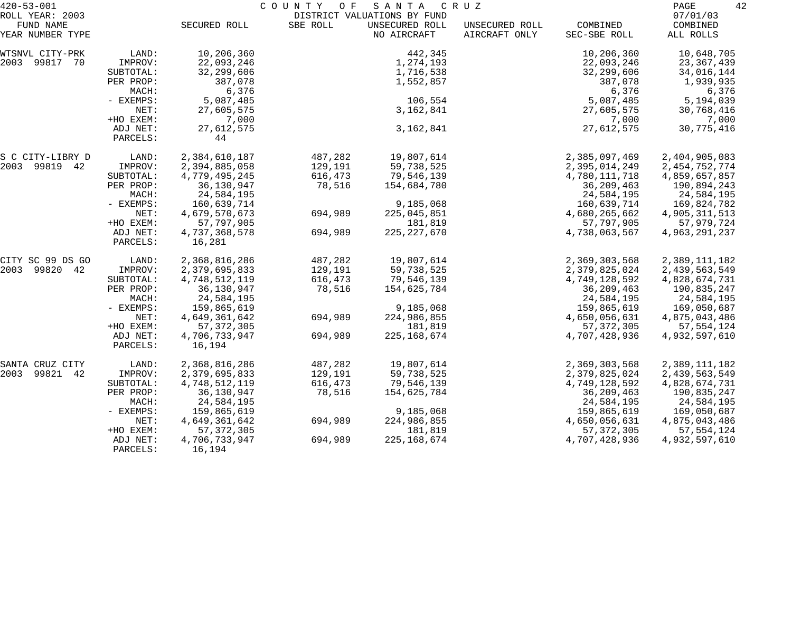| $420 - 53 - 001$                                 |                       | COUNTY<br>SANTA<br>O F<br>C R U Z<br>DISTRICT VALUATIONS BY FUND |          |                               |                                 |                               |                                   |
|--------------------------------------------------|-----------------------|------------------------------------------------------------------|----------|-------------------------------|---------------------------------|-------------------------------|-----------------------------------|
| ROLL YEAR: 2003<br>FUND NAME<br>YEAR NUMBER TYPE |                       | SECURED ROLL                                                     | SBE ROLL | UNSECURED ROLL<br>NO AIRCRAFT | UNSECURED ROLL<br>AIRCRAFT ONLY | COMBINED<br>SEC-SBE ROLL      | 07/01/03<br>COMBINED<br>ALL ROLLS |
|                                                  |                       |                                                                  |          |                               |                                 |                               |                                   |
| WTSNVL CITY-PRK                                  | LAND:                 | 10,206,360                                                       |          | 442,345                       |                                 | 10,206,360                    | 10,648,705                        |
| 2003 99817 70                                    | IMPROV:               | 22,093,246                                                       |          | 1,274,193                     |                                 | 22,093,246                    | 23,367,439                        |
|                                                  | SUBTOTAL:             | 32,299,606                                                       |          | 1,716,538                     |                                 | 32,299,606                    | 34,016,144                        |
|                                                  | PER PROP:             | 387,078                                                          |          | 1,552,857                     |                                 | 387,078                       | 1,939,935                         |
|                                                  | MACH:                 | 6,376                                                            |          | 106,554                       |                                 | 6,376                         | 6,376                             |
|                                                  | - EXEMPS:<br>NET:     | 5,087,485<br>27,605,575                                          |          | 3,162,841                     |                                 | 5,087,485<br>27,605,575       | 5,194,039<br>30,768,416           |
|                                                  | +HO EXEM:             | 7,000                                                            |          |                               |                                 | 7,000                         | 7,000                             |
|                                                  | ADJ NET:              | 27,612,575                                                       |          | 3, 162, 841                   |                                 | 27,612,575                    | 30,775,416                        |
|                                                  | PARCELS:              | 44                                                               |          |                               |                                 |                               |                                   |
| S C CITY-LIBRY D                                 | LAND:                 | 2,384,610,187                                                    | 487,282  | 19,807,614                    |                                 | 2,385,097,469                 | 2,404,905,083                     |
| 2003 99819 42                                    | IMPROV:               | 2,394,885,058                                                    | 129,191  | 59,738,525                    |                                 | 2,395,014,249                 | 2, 454, 752, 774                  |
|                                                  | SUBTOTAL:             | 4,779,495,245                                                    | 616,473  | 79,546,139                    |                                 | 4,780,111,718                 | 4,859,657,857                     |
|                                                  | PER PROP:             | 36,130,947                                                       | 78,516   | 154,684,780                   |                                 | 36,209,463                    | 190,894,243                       |
|                                                  | MACH:                 | 24,584,195                                                       |          |                               |                                 | 24,584,195                    | 24,584,195                        |
|                                                  | - EXEMPS:             | 160,639,714                                                      |          | 9,185,068                     |                                 | 160,639,714                   | 169,824,782                       |
|                                                  | NET:                  | 4,679,570,673                                                    | 694,989  | 225,045,851                   |                                 | 4,680,265,662<br>57,797,905   | 4,905,311,513                     |
|                                                  | +HO EXEM:<br>ADJ NET: | 57,797,905<br>4,737,368,578                                      | 694,989  | 181,819<br>225, 227, 670      |                                 | 4,738,063,567                 | 57,979,724<br>4,963,291,237       |
|                                                  | PARCELS:              | 16,281                                                           |          |                               |                                 |                               |                                   |
| CITY SC 99 DS GO                                 | LAND:                 | 2,368,816,286                                                    | 487,282  | 19,807,614                    |                                 | 2,369,303,568                 | 2,389,111,182                     |
| 2003 99820 42                                    | IMPROV:               | 2,379,695,833                                                    | 129,191  | 59,738,525                    |                                 | 2,379,825,024                 | 2,439,563,549                     |
|                                                  | SUBTOTAL:             | 4,748,512,119                                                    | 616,473  | 79,546,139                    |                                 | 4,749,128,592                 | 4,828,674,731                     |
|                                                  | PER PROP:             | 36,130,947                                                       | 78,516   | 154,625,784                   |                                 | 36,209,463                    | 190,835,247                       |
|                                                  | MACH:                 | 24,584,195                                                       |          |                               |                                 | 24,584,195                    | 24,584,195                        |
|                                                  | - EXEMPS:             | 159,865,619                                                      |          | 9,185,068                     |                                 | 159,865,619                   | 169,050,687                       |
|                                                  | NET:<br>+HO EXEM:     | 4,649,361,642<br>57, 372, 305                                    | 694,989  | 224,986,855                   |                                 | 4,650,056,631                 | 4,875,043,486                     |
|                                                  | ADJ NET:              | 4,706,733,947                                                    | 694,989  | 181,819<br>225, 168, 674      |                                 | 57, 372, 305<br>4,707,428,936 | 57,554,124<br>4,932,597,610       |
|                                                  | PARCELS:              | 16,194                                                           |          |                               |                                 |                               |                                   |
| SANTA CRUZ CITY                                  | LAND:                 | 2,368,816,286                                                    | 487,282  | 19,807,614                    |                                 | 2,369,303,568                 | 2,389,111,182                     |
| 2003 99821 42                                    | IMPROV:               | 2,379,695,833                                                    | 129,191  | 59,738,525                    |                                 | 2,379,825,024                 | 2,439,563,549                     |
|                                                  | SUBTOTAL:             | 4,748,512,119                                                    | 616,473  | 79,546,139                    |                                 | 4,749,128,592                 | 4,828,674,731                     |
|                                                  | PER PROP:             | 36,130,947                                                       | 78,516   | 154,625,784                   |                                 | 36, 209, 463                  | 190,835,247                       |
|                                                  | MACH:                 | 24,584,195                                                       |          |                               |                                 | 24,584,195                    | 24,584,195                        |
|                                                  | - EXEMPS:             | 159,865,619                                                      |          | 9,185,068                     |                                 | 159,865,619                   | 169,050,687                       |
|                                                  | NET:                  | 4,649,361,642                                                    | 694,989  | 224,986,855                   |                                 | 4,650,056,631                 | 4,875,043,486                     |
|                                                  | +HO EXEM:             | 57, 372, 305                                                     |          | 181,819                       |                                 | 57, 372, 305                  | 57, 554, 124                      |
|                                                  | ADJ NET:<br>PARCELS:  | 4,706,733,947<br>16,194                                          | 694,989  | 225, 168, 674                 |                                 | 4,707,428,936                 | 4,932,597,610                     |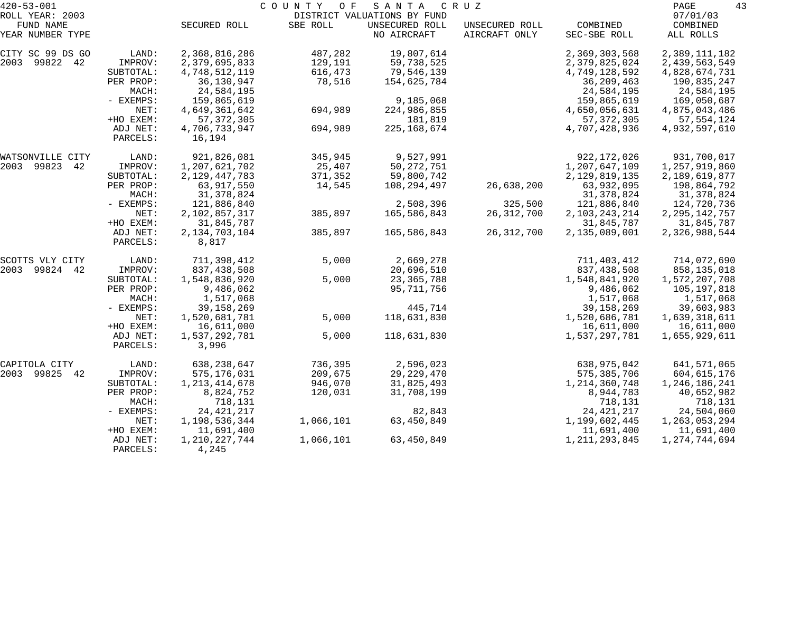| $420 - 53 - 001$              |                      |                           | COUNTY OF | SANTA                         | C R U Z                         |                          | 43<br>PAGE            |
|-------------------------------|----------------------|---------------------------|-----------|-------------------------------|---------------------------------|--------------------------|-----------------------|
| ROLL YEAR: 2003               |                      |                           |           | DISTRICT VALUATIONS BY FUND   |                                 |                          | 07/01/03              |
| FUND NAME<br>YEAR NUMBER TYPE |                      | SECURED ROLL              | SBE ROLL  | UNSECURED ROLL<br>NO AIRCRAFT | UNSECURED ROLL<br>AIRCRAFT ONLY | COMBINED<br>SEC-SBE ROLL | COMBINED<br>ALL ROLLS |
| CITY SC 99 DS GO              | LAND:                | 2,368,816,286             | 487,282   | 19,807,614                    |                                 | 2,369,303,568            | 2,389,111,182         |
| 2003 99822 42                 | IMPROV:              | 2,379,695,833             | 129,191   | 59,738,525                    |                                 | 2,379,825,024            | 2,439,563,549         |
|                               | SUBTOTAL:            | 4,748,512,119             | 616,473   | 79,546,139                    |                                 | 4,749,128,592            | 4,828,674,731         |
|                               | PER PROP:            | 36,130,947                | 78,516    | 154,625,784                   |                                 | 36,209,463               | 190,835,247           |
|                               | MACH:                | 24,584,195                |           |                               |                                 | 24,584,195               | 24,584,195            |
|                               | - EXEMPS:            | 159,865,619               |           | 9,185,068                     |                                 | 159,865,619              | 169,050,687           |
|                               | NET:                 | 4,649,361,642             | 694,989   | 224,986,855                   |                                 | 4,650,056,631            | 4,875,043,486         |
|                               | +HO EXEM:            | 57, 372, 305              |           | 181,819                       |                                 | 57, 372, 305             | 57, 554, 124          |
|                               | ADJ NET:             | 4,706,733,947             | 694,989   | 225, 168, 674                 |                                 | 4,707,428,936            | 4,932,597,610         |
|                               | PARCELS:             | 16,194                    |           |                               |                                 |                          |                       |
| WATSONVILLE CITY              | LAND:                | 921,826,081               | 345,945   | 9,527,991                     |                                 | 922, 172, 026            | 931,700,017           |
| 2003 99823<br>42              | IMPROV:              | 1,207,621,702             | 25,407    | 50, 272, 751                  |                                 | 1,207,647,109            | 1,257,919,860         |
|                               | SUBTOTAL:            | 2, 129, 447, 783          | 371,352   | 59,800,742                    |                                 | 2, 129, 819, 135         | 2,189,619,877         |
|                               | PER PROP:            | 63,917,550                | 14,545    | 108,294,497                   | 26,638,200                      | 63,932,095               | 198,864,792           |
|                               | MACH:                | 31, 378, 824              |           |                               |                                 | 31, 378, 824             | 31,378,824            |
|                               | - EXEMPS:            | 121,886,840               |           | 2,508,396                     | 325,500                         | 121,886,840              | 124,720,736           |
|                               | NET:                 | 2,102,857,317             | 385,897   | 165,586,843                   | 26, 312, 700                    | 2, 103, 243, 214         | 2, 295, 142, 757      |
|                               | +HO EXEM:            | 31,845,787                |           |                               |                                 | 31,845,787               | 31,845,787            |
|                               | ADJ NET:<br>PARCELS: | 2, 134, 703, 104<br>8,817 | 385,897   | 165,586,843                   | 26, 312, 700                    | 2,135,089,001            | 2,326,988,544         |
| SCOTTS VLY CITY               | LAND:                | 711,398,412               | 5,000     | 2,669,278                     |                                 | 711,403,412              | 714,072,690           |
| 99824 42<br>2003              | IMPROV:              | 837, 438, 508             |           | 20,696,510                    |                                 | 837, 438, 508            | 858,135,018           |
|                               | SUBTOTAL:            | 1,548,836,920             | 5,000     | 23, 365, 788                  |                                 | 1,548,841,920            | 1,572,207,708         |
|                               | PER PROP:            | 9,486,062                 |           | 95,711,756                    |                                 | 9,486,062                | 105,197,818           |
|                               | MACH:                | 1,517,068                 |           |                               |                                 | 1,517,068                | 1,517,068             |
|                               | - EXEMPS:            | 39, 158, 269              |           | 445,714                       |                                 | 39, 158, 269             | 39,603,983            |
|                               | NET:                 | 1,520,681,781             | 5,000     | 118,631,830                   |                                 | 1,520,686,781            | 1,639,318,611         |
|                               | +HO EXEM:            | 16,611,000                |           |                               |                                 | 16,611,000               | 16,611,000            |
|                               | ADJ NET:<br>PARCELS: | 1,537,292,781<br>3,996    | 5,000     | 118,631,830                   |                                 | 1,537,297,781            | 1,655,929,611         |
|                               |                      |                           |           |                               |                                 |                          |                       |
| CAPITOLA CITY                 | LAND:                | 638, 238, 647             | 736,395   | 2,596,023                     |                                 | 638,975,042              | 641,571,065           |
| 2003 99825<br>42              | IMPROV:              | 575,176,031               | 209,675   | 29, 229, 470                  |                                 | 575, 385, 706            | 604,615,176           |
|                               | SUBTOTAL:            | 1, 213, 414, 678          | 946,070   | 31,825,493                    |                                 | 1, 214, 360, 748         | 1,246,186,241         |
|                               | PER PROP:            | 8,824,752                 | 120,031   | 31,708,199                    |                                 | 8,944,783                | 40,652,982            |
|                               | MACH:                | 718,131                   |           |                               |                                 | 718,131                  | 718,131               |
|                               | $-$ EXEMPS:          | 24, 421, 217              |           | 82,843                        |                                 | 24, 421, 217             | 24,504,060            |
|                               | NET:                 | 1,198,536,344             | 1,066,101 | 63,450,849                    |                                 | 1,199,602,445            | 1, 263, 053, 294      |
|                               | +HO EXEM:            | 11,691,400                |           |                               |                                 | 11,691,400               | 11,691,400            |
|                               | ADJ NET:<br>PARCELS: | 1, 210, 227, 744<br>4,245 | 1,066,101 | 63,450,849                    |                                 | 1, 211, 293, 845         | 1,274,744,694         |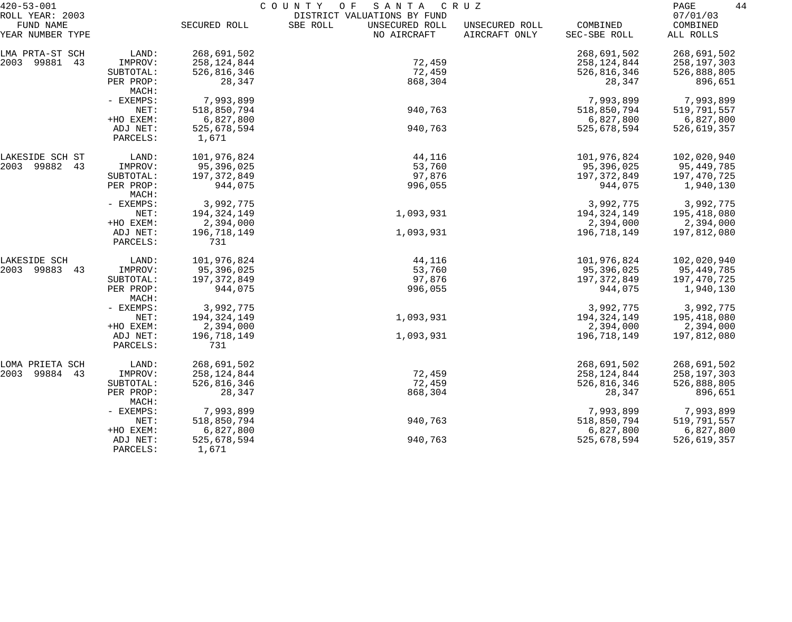| $420 - 53 - 001$                                 |                      | COUNTY OF<br>SANTA<br>C R U Z |                                                                          |                                 |                          |                                   |  |  |
|--------------------------------------------------|----------------------|-------------------------------|--------------------------------------------------------------------------|---------------------------------|--------------------------|-----------------------------------|--|--|
| ROLL YEAR: 2003<br>FUND NAME<br>YEAR NUMBER TYPE |                      | SECURED ROLL                  | DISTRICT VALUATIONS BY FUND<br>SBE ROLL<br>UNSECURED ROLL<br>NO AIRCRAFT | UNSECURED ROLL<br>AIRCRAFT ONLY | COMBINED<br>SEC-SBE ROLL | 07/01/03<br>COMBINED<br>ALL ROLLS |  |  |
| LMA PRTA-ST SCH                                  | LAND:                | 268,691,502                   |                                                                          |                                 | 268,691,502              | 268,691,502                       |  |  |
| 2003 99881<br>43                                 | IMPROV:              | 258,124,844                   | 72,459                                                                   |                                 | 258, 124, 844            | 258,197,303                       |  |  |
|                                                  | SUBTOTAL:            | 526,816,346                   | 72,459                                                                   |                                 | 526,816,346              | 526,888,805                       |  |  |
|                                                  | PER PROP:<br>MACH:   | 28,347                        | 868,304                                                                  |                                 | 28,347                   | 896,651                           |  |  |
|                                                  | - EXEMPS:            | 7,993,899                     |                                                                          |                                 | 7,993,899                | 7,993,899                         |  |  |
|                                                  | NET:                 | 518,850,794                   | 940,763                                                                  |                                 | 518,850,794              | 519,791,557                       |  |  |
|                                                  | +HO EXEM:            | 6,827,800                     |                                                                          |                                 | 6,827,800                | 6,827,800                         |  |  |
|                                                  | ADJ NET:<br>PARCELS: | 525,678,594<br>1,671          | 940,763                                                                  |                                 | 525,678,594              | 526,619,357                       |  |  |
| LAKESIDE SCH ST                                  | LAND:                | 101,976,824                   | 44,116                                                                   |                                 | 101,976,824              | 102,020,940                       |  |  |
| 2003 99882<br>43                                 | IMPROV:              | 95,396,025                    | 53,760                                                                   |                                 | 95,396,025               | 95,449,785                        |  |  |
|                                                  | SUBTOTAL:            | 197, 372, 849                 | 97,876                                                                   |                                 | 197,372,849              | 197,470,725                       |  |  |
|                                                  | PER PROP:<br>MACH:   | 944,075                       | 996,055                                                                  |                                 | 944,075                  | 1,940,130                         |  |  |
|                                                  | - EXEMPS:            | 3,992,775                     |                                                                          |                                 | 3,992,775                | 3,992,775                         |  |  |
|                                                  | NET:                 | 194, 324, 149                 | 1,093,931                                                                |                                 | 194, 324, 149            | 195,418,080                       |  |  |
|                                                  | +HO EXEM:            | 2,394,000                     |                                                                          |                                 | 2,394,000                | 2,394,000                         |  |  |
|                                                  | ADJ NET:<br>PARCELS: | 196,718,149<br>731            | 1,093,931                                                                |                                 | 196,718,149              | 197,812,080                       |  |  |
| LAKESIDE SCH                                     | LAND:                | 101,976,824                   | 44,116                                                                   |                                 | 101,976,824              | 102,020,940                       |  |  |
| 2003 99883<br>43                                 | IMPROV:              | 95,396,025                    | 53,760                                                                   |                                 | 95,396,025               | 95,449,785                        |  |  |
|                                                  | SUBTOTAL:            | 197, 372, 849                 | 97,876                                                                   |                                 | 197,372,849              | 197,470,725                       |  |  |
|                                                  | PER PROP:<br>MACH:   | 944,075                       | 996,055                                                                  |                                 | 944,075                  | 1,940,130                         |  |  |
|                                                  | - EXEMPS:            | 3,992,775                     |                                                                          |                                 | 3,992,775                | 3,992,775                         |  |  |
|                                                  | NET:                 | 194, 324, 149                 | 1,093,931                                                                |                                 | 194, 324, 149            | 195,418,080                       |  |  |
|                                                  | +HO EXEM:            | 2,394,000                     |                                                                          |                                 | 2,394,000                | 2,394,000                         |  |  |
|                                                  | ADJ NET:<br>PARCELS: | 196,718,149<br>731            | 1,093,931                                                                |                                 | 196,718,149              | 197,812,080                       |  |  |
| LOMA PRIETA SCH                                  | LAND:                | 268,691,502                   |                                                                          |                                 | 268,691,502              | 268,691,502                       |  |  |
| 99884<br>2003<br>43                              | IMPROV:              | 258, 124, 844                 | 72,459                                                                   |                                 | 258, 124, 844            | 258,197,303                       |  |  |
|                                                  | SUBTOTAL:            | 526,816,346                   | 72,459                                                                   |                                 | 526,816,346              | 526,888,805                       |  |  |
|                                                  | PER PROP:<br>MACH:   | 28,347                        | 868,304                                                                  |                                 | 28,347                   | 896,651                           |  |  |
|                                                  | - EXEMPS:            | 7,993,899                     |                                                                          |                                 | 7,993,899                | 7,993,899                         |  |  |
|                                                  | NET:                 | 518,850,794                   | 940,763                                                                  |                                 | 518,850,794              | 519,791,557                       |  |  |
|                                                  | +HO EXEM:            | 6,827,800                     |                                                                          |                                 | 6,827,800                | 6,827,800                         |  |  |
|                                                  | ADJ NET:<br>PARCELS: | 525,678,594<br>1,671          | 940,763                                                                  |                                 | 525,678,594              | 526,619,357                       |  |  |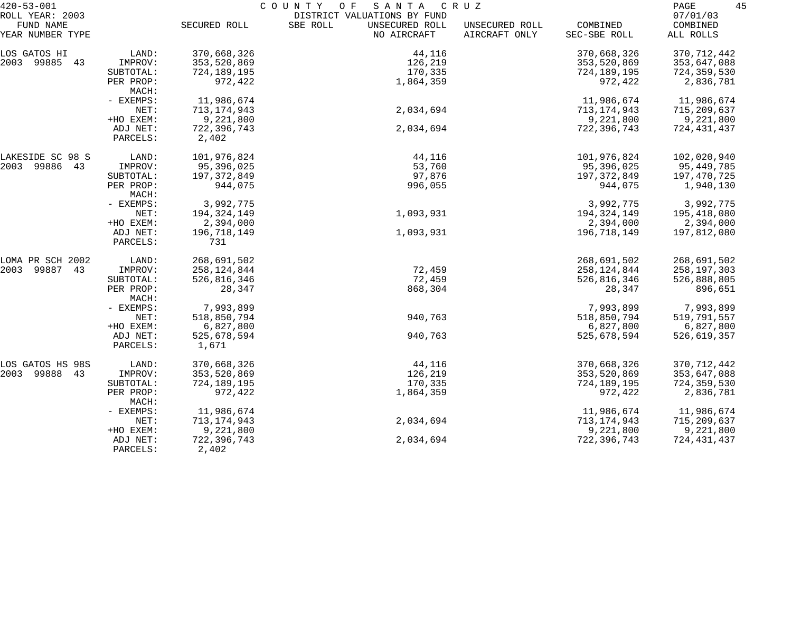| $420 - 53 - 001$              |                      | COUNTY<br>O F<br>SANTA<br>C R U Z |                                           |                                 |                          |                       |  |
|-------------------------------|----------------------|-----------------------------------|-------------------------------------------|---------------------------------|--------------------------|-----------------------|--|
| ROLL YEAR: 2003               |                      |                                   | DISTRICT VALUATIONS BY FUND               |                                 |                          | 07/01/03              |  |
| FUND NAME<br>YEAR NUMBER TYPE |                      | SECURED ROLL                      | SBE ROLL<br>UNSECURED ROLL<br>NO AIRCRAFT | UNSECURED ROLL<br>AIRCRAFT ONLY | COMBINED<br>SEC-SBE ROLL | COMBINED<br>ALL ROLLS |  |
| LOS GATOS HI                  | LAND:                | 370,668,326                       | 44,116                                    |                                 | 370,668,326              | 370, 712, 442         |  |
| 2003 99885 43                 | IMPROV:              | 353,520,869                       | 126,219                                   |                                 | 353,520,869              | 353,647,088           |  |
|                               | SUBTOTAL:            | 724,189,195                       | 170,335                                   |                                 | 724,189,195              | 724,359,530           |  |
|                               | PER PROP:<br>MACH:   | 972,422                           | 1,864,359                                 |                                 | 972,422                  | 2,836,781             |  |
|                               | - EXEMPS:            | 11,986,674                        |                                           |                                 | 11,986,674               | 11,986,674            |  |
|                               | NET:                 | 713, 174, 943                     | 2,034,694                                 |                                 | 713,174,943              | 715,209,637           |  |
|                               | +HO EXEM:            | 9,221,800                         |                                           |                                 | 9,221,800                | 9,221,800             |  |
|                               | ADJ NET:             | 722,396,743                       | 2,034,694                                 |                                 | 722,396,743              | 724,431,437           |  |
|                               | PARCELS:             | 2,402                             |                                           |                                 |                          |                       |  |
| LAKESIDE SC 98 S              | LAND:                | 101,976,824                       | 44,116                                    |                                 | 101,976,824              | 102,020,940           |  |
| 2003 99886 43                 | IMPROV:              | 95,396,025                        | 53,760                                    |                                 | 95,396,025               | 95,449,785            |  |
|                               | SUBTOTAL:            | 197,372,849                       | 97,876                                    |                                 | 197,372,849              | 197,470,725           |  |
|                               | PER PROP:<br>MACH:   | 944,075                           | 996,055                                   |                                 | 944,075                  | 1,940,130             |  |
|                               | - EXEMPS:            | 3,992,775                         |                                           |                                 | 3,992,775                | 3,992,775             |  |
|                               | NET:                 | 194,324,149                       | 1,093,931                                 |                                 | 194,324,149              | 195,418,080           |  |
|                               | +HO EXEM:            | 2,394,000                         |                                           |                                 | 2,394,000                | 2,394,000             |  |
|                               | ADJ NET:<br>PARCELS: | 196,718,149<br>731                | 1,093,931                                 |                                 | 196,718,149              | 197,812,080           |  |
| LOMA PR SCH 2002              | LAND:                | 268,691,502                       |                                           |                                 | 268,691,502              | 268,691,502           |  |
| 2003 99887 43                 | IMPROV:              | 258,124,844                       | 72,459                                    |                                 | 258, 124, 844            | 258, 197, 303         |  |
|                               | SUBTOTAL:            | 526,816,346                       | 72,459                                    |                                 | 526,816,346              | 526,888,805           |  |
|                               | PER PROP:<br>MACH:   | 28,347                            | 868,304                                   |                                 | 28,347                   | 896,651               |  |
|                               | - EXEMPS:            | 7,993,899                         |                                           |                                 | 7,993,899                | 7,993,899             |  |
|                               | NET:                 | 518,850,794                       | 940,763                                   |                                 | 518,850,794              | 519,791,557           |  |
|                               | +HO EXEM:            | 6,827,800                         |                                           |                                 | 6,827,800                | 6,827,800             |  |
|                               | ADJ NET:<br>PARCELS: | 525,678,594<br>1,671              | 940,763                                   |                                 | 525,678,594              | 526,619,357           |  |
| LOS GATOS HS 98S              | LAND:                | 370,668,326                       | 44,116                                    |                                 | 370,668,326              | 370, 712, 442         |  |
| 2003 99888 43                 | IMPROV:              | 353,520,869                       | 126,219                                   |                                 | 353,520,869              | 353,647,088           |  |
|                               | SUBTOTAL:            | 724,189,195                       | 170,335                                   |                                 | 724,189,195              | 724,359,530           |  |
|                               | PER PROP:<br>MACH:   | 972,422                           | 1,864,359                                 |                                 | 972,422                  | 2,836,781             |  |
|                               | - EXEMPS:            | 11,986,674                        |                                           |                                 | 11,986,674               | 11,986,674            |  |
|                               | NET:                 | 713, 174, 943                     | 2,034,694                                 |                                 | 713, 174, 943            | 715,209,637           |  |
|                               | +HO EXEM:            | 9,221,800                         |                                           |                                 | 9,221,800                | 9,221,800             |  |
|                               | ADJ NET:<br>PARCELS: | 722,396,743<br>2,402              | 2,034,694                                 |                                 | 722,396,743              | 724,431,437           |  |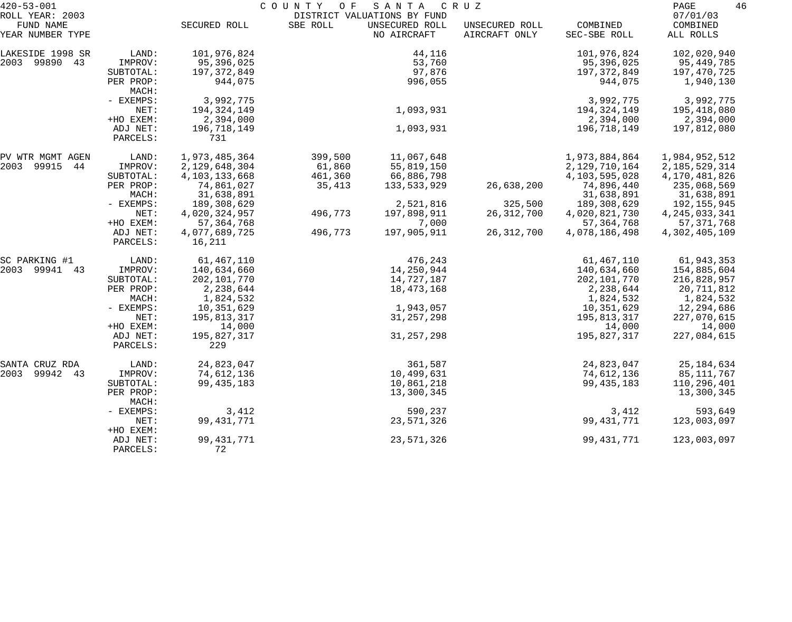| $420 - 53 - 001$              |           |                  | COUNTY OF | SANTA                         | C R U Z                         |                          | 46<br>PAGE            |
|-------------------------------|-----------|------------------|-----------|-------------------------------|---------------------------------|--------------------------|-----------------------|
| ROLL YEAR: 2003               |           |                  |           | DISTRICT VALUATIONS BY FUND   |                                 |                          | 07/01/03              |
| FUND NAME<br>YEAR NUMBER TYPE |           | SECURED ROLL     | SBE ROLL  | UNSECURED ROLL<br>NO AIRCRAFT | UNSECURED ROLL<br>AIRCRAFT ONLY | COMBINED<br>SEC-SBE ROLL | COMBINED<br>ALL ROLLS |
|                               |           |                  |           |                               |                                 |                          |                       |
| LAKESIDE 1998 SR              | LAND:     | 101,976,824      |           | 44,116                        |                                 | 101,976,824              | 102,020,940           |
| 2003 99890 43                 | IMPROV:   | 95,396,025       |           | 53,760                        |                                 | 95,396,025               | 95,449,785            |
|                               | SUBTOTAL: | 197, 372, 849    |           | 97,876                        |                                 | 197, 372, 849            | 197,470,725           |
|                               | PER PROP: | 944,075          |           | 996,055                       |                                 | 944,075                  | 1,940,130             |
|                               | MACH:     |                  |           |                               |                                 |                          |                       |
|                               | - EXEMPS: | 3,992,775        |           |                               |                                 | 3,992,775                | 3,992,775             |
|                               | NET:      | 194, 324, 149    |           | 1,093,931                     |                                 | 194, 324, 149            | 195,418,080           |
|                               | +HO EXEM: | 2,394,000        |           |                               |                                 | 2,394,000                | 2,394,000             |
|                               | ADJ NET:  | 196,718,149      |           | 1,093,931                     |                                 | 196,718,149              | 197,812,080           |
|                               | PARCELS:  | 731              |           |                               |                                 |                          |                       |
| PV WTR MGMT AGEN              | LAND:     | 1,973,485,364    | 399,500   | 11,067,648                    |                                 | 1,973,884,864            | 1,984,952,512         |
| 2003<br>99915<br>44           | IMPROV:   | 2,129,648,304    | 61,860    | 55,819,150                    |                                 | 2,129,710,164            | 2, 185, 529, 314      |
|                               | SUBTOTAL: | 4, 103, 133, 668 | 461,360   | 66,886,798                    |                                 | 4,103,595,028            | 4,170,481,826         |
|                               | PER PROP: | 74,861,027       | 35,413    | 133,533,929                   | 26,638,200                      | 74,896,440               | 235,068,569           |
|                               | MACH:     | 31,638,891       |           |                               |                                 | 31,638,891               | 31,638,891            |
|                               | - EXEMPS: | 189,308,629      |           | 2,521,816                     | 325,500                         | 189,308,629              | 192,155,945           |
|                               | NET:      | 4,020,324,957    | 496,773   | 197,898,911                   | 26, 312, 700                    | 4,020,821,730            | 4, 245, 033, 341      |
|                               | +HO EXEM: | 57, 364, 768     |           | 7,000                         |                                 | 57, 364, 768             | 57, 371, 768          |
|                               | ADJ NET:  | 4,077,689,725    | 496,773   | 197,905,911                   | 26, 312, 700                    | 4,078,186,498            | 4,302,405,109         |
|                               | PARCELS:  | 16,211           |           |                               |                                 |                          |                       |
| SC PARKING #1                 | LAND:     | 61,467,110       |           | 476,243                       |                                 | 61,467,110               | 61,943,353            |
| 2003<br>99941 43              | IMPROV:   | 140,634,660      |           | 14,250,944                    |                                 | 140,634,660              | 154,885,604           |
|                               | SUBTOTAL: | 202,101,770      |           | 14,727,187                    |                                 | 202,101,770              | 216,828,957           |
|                               | PER PROP: | 2,238,644        |           | 18,473,168                    |                                 | 2,238,644                | 20,711,812            |
|                               | MACH:     | 1,824,532        |           |                               |                                 | 1,824,532                | 1,824,532             |
|                               | - EXEMPS: | 10,351,629       |           | 1,943,057                     |                                 | 10,351,629               | 12,294,686            |
|                               | NET:      | 195,813,317      |           | 31, 257, 298                  |                                 | 195,813,317              | 227,070,615           |
|                               | +HO EXEM: | 14,000           |           |                               |                                 | 14,000                   | 14,000                |
|                               | ADJ NET:  | 195,827,317      |           | 31, 257, 298                  |                                 | 195,827,317              | 227,084,615           |
|                               | PARCELS:  | 229              |           |                               |                                 |                          |                       |
| SANTA CRUZ RDA                | LAND:     | 24,823,047       |           | 361,587                       |                                 | 24,823,047               | 25, 184, 634          |
| 2003<br>99942<br>43           | IMPROV:   | 74,612,136       |           | 10,499,631                    |                                 | 74,612,136               | 85,111,767            |
|                               | SUBTOTAL: | 99, 435, 183     |           | 10,861,218                    |                                 | 99, 435, 183             | 110,296,401           |
|                               | PER PROP: |                  |           | 13,300,345                    |                                 |                          | 13,300,345            |
|                               | MACH:     |                  |           |                               |                                 |                          |                       |
|                               | - EXEMPS: | 3,412            |           | 590,237                       |                                 | 3,412                    | 593,649               |
|                               | NET:      | 99, 431, 771     |           | 23,571,326                    |                                 | 99, 431, 771             | 123,003,097           |
|                               | +HO EXEM: |                  |           |                               |                                 |                          |                       |
|                               | ADJ NET:  | 99, 431, 771     |           | 23,571,326                    |                                 | 99, 431, 771             | 123,003,097           |
|                               | PARCELS:  | 72               |           |                               |                                 |                          |                       |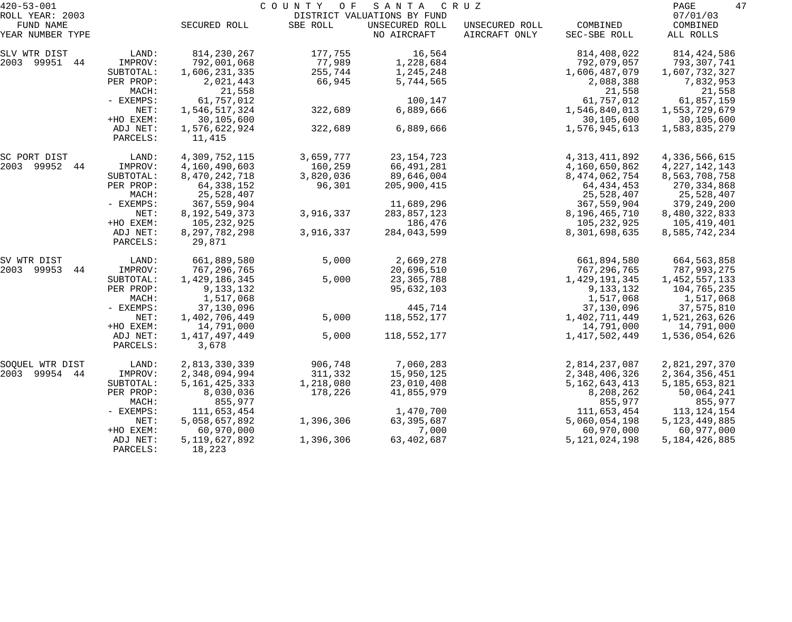| $420 - 53 - 001$              |                      |                            | COUNTY<br>O F | SANTA                         | C R U Z                         |                          | 47<br>PAGE            |
|-------------------------------|----------------------|----------------------------|---------------|-------------------------------|---------------------------------|--------------------------|-----------------------|
| ROLL YEAR: 2003               |                      |                            |               | DISTRICT VALUATIONS BY FUND   |                                 |                          | 07/01/03              |
| FUND NAME<br>YEAR NUMBER TYPE |                      | SECURED ROLL               | SBE ROLL      | UNSECURED ROLL<br>NO AIRCRAFT | UNSECURED ROLL<br>AIRCRAFT ONLY | COMBINED<br>SEC-SBE ROLL | COMBINED<br>ALL ROLLS |
| SLV WTR DIST                  | LAND:                | 814,230,267                | 177,755       | 16,564                        |                                 | 814,408,022              | 814,424,586           |
| 2003 99951 44                 | IMPROV:              | 792,001,068                | 77,989        | 1,228,684                     |                                 | 792,079,057              | 793,307,741           |
|                               | SUBTOTAL:            | 1,606,231,335              | 255,744       | 1,245,248                     |                                 | 1,606,487,079            | 1,607,732,327         |
|                               | PER PROP:<br>MACH:   | 2,021,443<br>21,558        | 66,945        | 5,744,565                     |                                 | 2,088,388<br>21,558      | 7,832,953<br>21,558   |
|                               | - EXEMPS:            | 61,757,012                 |               | 100,147                       |                                 | 61,757,012               | 61,857,159            |
|                               | NET:                 | 1,546,517,324              | 322,689       | 6,889,666                     |                                 | 1,546,840,013            | 1,553,729,679         |
|                               | +HO EXEM:            | 30,105,600                 |               |                               |                                 | 30,105,600               | 30,105,600            |
|                               | ADJ NET:<br>PARCELS: | 1,576,622,924<br>11,415    | 322,689       | 6,889,666                     |                                 | 1,576,945,613            | 1,583,835,279         |
| SC PORT DIST                  | LAND:                | 4,309,752,115              | 3,659,777     | 23, 154, 723                  |                                 | 4, 313, 411, 892         | 4,336,566,615         |
| 2003 99952 44                 | IMPROV:              | 4,160,490,603              | 160,259       | 66,491,281                    |                                 | 4,160,650,862            | 4, 227, 142, 143      |
|                               | SUBTOTAL:            | 8,470,242,718              | 3,820,036     | 89,646,004                    |                                 | 8, 474, 062, 754         | 8,563,708,758         |
|                               | PER PROP:            | 64, 338, 152               | 96,301        | 205,900,415                   |                                 | 64, 434, 453             | 270, 334, 868         |
|                               | MACH:                | 25,528,407                 |               |                               |                                 | 25,528,407               | 25,528,407            |
|                               | - EXEMPS:            | 367,559,904                |               | 11,689,296                    |                                 | 367,559,904              | 379,249,200           |
|                               | NET:                 | 8, 192, 549, 373           | 3,916,337     | 283,857,123                   |                                 | 8,196,465,710            | 8,480,322,833         |
|                               | +HO EXEM:            | 105,232,925                |               | 186,476                       |                                 | 105, 232, 925            | 105,419,401           |
|                               | ADJ NET:<br>PARCELS: | 8, 297, 782, 298<br>29,871 | 3,916,337     | 284,043,599                   |                                 | 8,301,698,635            | 8,585,742,234         |
| SV WTR DIST                   | LAND:                | 661,889,580                | 5,000         | 2,669,278                     |                                 | 661,894,580              | 664,563,858           |
| 2003 99953<br>44              | IMPROV:              | 767,296,765                |               | 20,696,510                    |                                 | 767, 296, 765            | 787,993,275           |
|                               | SUBTOTAL:            | 1,429,186,345              | 5,000         | 23, 365, 788                  |                                 | 1,429,191,345            | 1,452,557,133         |
|                               | PER PROP:            | 9,133,132                  |               | 95,632,103                    |                                 | 9,133,132                | 104,765,235           |
|                               | MACH:                | 1,517,068                  |               |                               |                                 | 1,517,068                | 1,517,068             |
|                               | - EXEMPS:            | 37,130,096                 |               | 445,714                       |                                 | 37,130,096               | 37,575,810            |
|                               | NET:                 | 1,402,706,449              | 5,000         | 118,552,177                   |                                 | 1,402,711,449            | 1,521,263,626         |
|                               | +HO EXEM:            | 14,791,000                 |               |                               |                                 | 14,791,000               | 14,791,000            |
|                               | ADJ NET:<br>PARCELS: | 1, 417, 497, 449<br>3,678  | 5,000         | 118,552,177                   |                                 | 1,417,502,449            | 1,536,054,626         |
| SOQUEL WTR DIST               | LAND:                | 2,813,330,339              | 906,748       | 7,060,283                     |                                 | 2,814,237,087            | 2,821,297,370         |
| 2003 99954 44                 | IMPROV:              | 2,348,094,994              | 311,332       | 15,950,125                    |                                 | 2,348,406,326            | 2,364,356,451         |
|                               | SUBTOTAL:            | 5, 161, 425, 333           | 1,218,080     | 23,010,408                    |                                 | 5, 162, 643, 413         | 5, 185, 653, 821      |
|                               | PER PROP:            | 8,030,036                  | 178,226       | 41,855,979                    |                                 | 8,208,262                | 50,064,241            |
|                               | MACH:                | 855,977                    |               |                               |                                 | 855,977                  | 855,977               |
|                               | - EXEMPS:            | 111,653,454                |               | 1,470,700                     |                                 | 111,653,454              | 113, 124, 154         |
|                               | NET:                 | 5,058,657,892              | 1,396,306     | 63, 395, 687                  |                                 | 5,060,054,198            | 5, 123, 449, 885      |
|                               | +HO EXEM:            | 60,970,000                 |               | 7,000                         |                                 | 60,970,000               | 60,977,000            |
|                               | ADJ NET:<br>PARCELS: | 5, 119, 627, 892<br>18,223 | 1,396,306     | 63, 402, 687                  |                                 | 5, 121, 024, 198         | 5, 184, 426, 885      |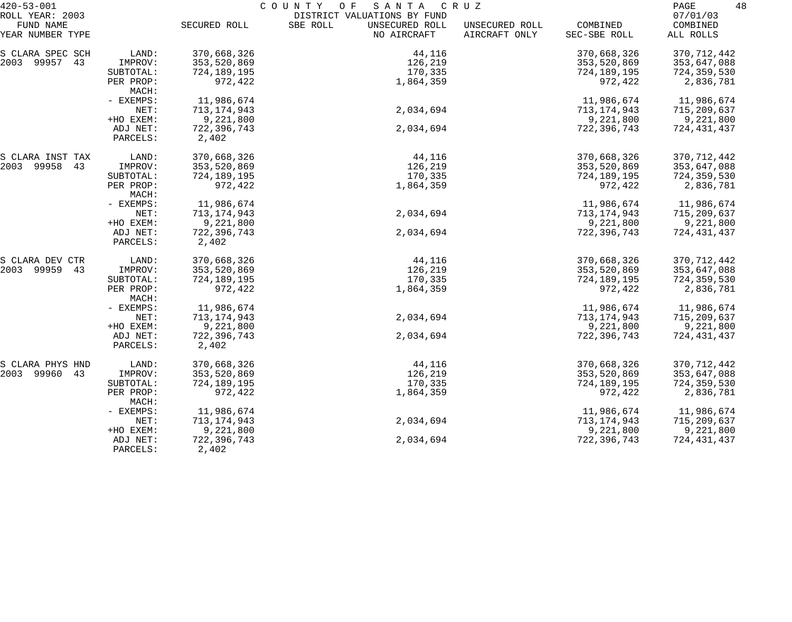| $420 - 53 - 001$              |                      | COUNTY<br>O F<br>S A N T A<br>C R U Z |                                           |                                 |                          |                       |  |  |
|-------------------------------|----------------------|---------------------------------------|-------------------------------------------|---------------------------------|--------------------------|-----------------------|--|--|
| ROLL YEAR: 2003               |                      |                                       | DISTRICT VALUATIONS BY FUND               |                                 |                          | 07/01/03              |  |  |
| FUND NAME<br>YEAR NUMBER TYPE |                      | SECURED ROLL                          | SBE ROLL<br>UNSECURED ROLL<br>NO AIRCRAFT | UNSECURED ROLL<br>AIRCRAFT ONLY | COMBINED<br>SEC-SBE ROLL | COMBINED<br>ALL ROLLS |  |  |
| S CLARA SPEC SCH              | LAND:                | 370,668,326                           | 44,116                                    |                                 | 370,668,326              | 370, 712, 442         |  |  |
| 2003 99957 43                 | IMPROV:              | 353,520,869                           | 126,219                                   |                                 | 353,520,869              | 353,647,088           |  |  |
|                               | SUBTOTAL:            | 724,189,195                           | 170,335                                   |                                 | 724,189,195              | 724,359,530           |  |  |
|                               | PER PROP:<br>MACH:   | 972,422                               | 1,864,359                                 |                                 | 972,422                  | 2,836,781             |  |  |
|                               | - EXEMPS:            | 11,986,674                            |                                           |                                 | 11,986,674               | 11,986,674            |  |  |
|                               | NET:                 | 713, 174, 943                         | 2,034,694                                 |                                 | 713,174,943              | 715,209,637           |  |  |
|                               | +HO EXEM:            | 9,221,800                             |                                           |                                 | 9,221,800                | 9,221,800             |  |  |
|                               | ADJ NET:             | 722,396,743                           | 2,034,694                                 |                                 | 722,396,743              | 724,431,437           |  |  |
|                               | PARCELS:             | 2,402                                 |                                           |                                 |                          |                       |  |  |
| S CLARA INST TAX              | LAND:                | 370,668,326                           | 44,116                                    |                                 | 370,668,326              | 370, 712, 442         |  |  |
| 2003 99958 43                 | IMPROV:              | 353,520,869                           | 126,219                                   |                                 | 353,520,869              | 353,647,088           |  |  |
|                               | SUBTOTAL:            | 724,189,195                           | 170,335                                   |                                 | 724,189,195              | 724,359,530           |  |  |
|                               | PER PROP:<br>MACH:   | 972,422                               | 1,864,359                                 |                                 | 972,422                  | 2,836,781             |  |  |
|                               | - EXEMPS:            | 11,986,674                            |                                           |                                 | 11,986,674               | 11,986,674            |  |  |
|                               | NET:                 | 713, 174, 943                         | 2,034,694                                 |                                 | 713,174,943              | 715,209,637           |  |  |
|                               | +HO EXEM:            | 9,221,800                             |                                           |                                 | 9,221,800                | 9,221,800             |  |  |
|                               | ADJ NET:<br>PARCELS: | 722,396,743<br>2,402                  | 2,034,694                                 |                                 | 722,396,743              | 724,431,437           |  |  |
| S CLARA DEV CTR               | LAND:                | 370,668,326                           | 44,116                                    |                                 | 370,668,326              | 370, 712, 442         |  |  |
| 2003 99959<br>43              | IMPROV:              | 353,520,869                           | 126,219                                   |                                 | 353,520,869              | 353,647,088           |  |  |
|                               | SUBTOTAL:            | 724,189,195                           | 170,335                                   |                                 | 724,189,195              | 724,359,530           |  |  |
|                               | PER PROP:<br>MACH:   | 972,422                               | 1,864,359                                 |                                 | 972,422                  | 2,836,781             |  |  |
|                               | - EXEMPS:            | 11,986,674                            |                                           |                                 | 11,986,674               | 11,986,674            |  |  |
|                               | NET:                 | 713, 174, 943                         | 2,034,694                                 |                                 | 713, 174, 943            | 715,209,637           |  |  |
|                               | +HO EXEM:            | 9,221,800                             |                                           |                                 | 9,221,800                | 9,221,800             |  |  |
|                               | ADJ NET:             | 722,396,743                           | 2,034,694                                 |                                 | 722,396,743              | 724,431,437           |  |  |
|                               | PARCELS:             | 2,402                                 |                                           |                                 |                          |                       |  |  |
| S CLARA PHYS HND              | LAND:                | 370,668,326                           | 44,116                                    |                                 | 370,668,326              | 370, 712, 442         |  |  |
| 2003 99960<br>43              | IMPROV:              | 353,520,869                           | 126,219                                   |                                 | 353,520,869              | 353,647,088           |  |  |
|                               | SUBTOTAL:            | 724,189,195                           | 170,335                                   |                                 | 724,189,195              | 724,359,530           |  |  |
|                               | PER PROP:<br>MACH:   | 972,422                               | 1,864,359                                 |                                 | 972,422                  | 2,836,781             |  |  |
|                               | - EXEMPS:            | 11,986,674                            |                                           |                                 | 11,986,674               | 11,986,674            |  |  |
|                               | NET:                 | 713, 174, 943                         | 2,034,694                                 |                                 | 713, 174, 943            | 715,209,637           |  |  |
|                               | +HO EXEM:            | 9,221,800                             |                                           |                                 | 9,221,800                | 9,221,800             |  |  |
|                               | ADJ NET:<br>PARCELS: | 722,396,743<br>2,402                  | 2,034,694                                 |                                 | 722,396,743              | 724,431,437           |  |  |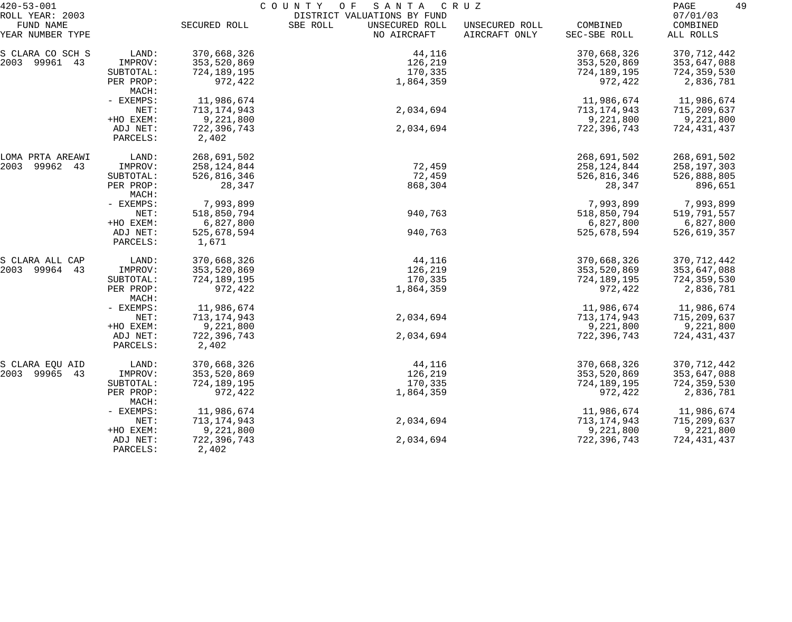| $420 - 53 - 001$              | C O U N T Y<br>O F<br>SANTA<br>C R U Z |                        |                                           |                                 |                          | 49<br>PAGE            |
|-------------------------------|----------------------------------------|------------------------|-------------------------------------------|---------------------------------|--------------------------|-----------------------|
| ROLL YEAR: 2003               |                                        |                        | DISTRICT VALUATIONS BY FUND               |                                 |                          | 07/01/03              |
| FUND NAME<br>YEAR NUMBER TYPE |                                        | SECURED ROLL           | SBE ROLL<br>UNSECURED ROLL<br>NO AIRCRAFT | UNSECURED ROLL<br>AIRCRAFT ONLY | COMBINED<br>SEC-SBE ROLL | COMBINED<br>ALL ROLLS |
| S CLARA CO SCH S              | LAND:                                  | 370,668,326            | 44,116                                    |                                 | 370,668,326              | 370, 712, 442         |
| 2003 99961 43                 | IMPROV:                                | 353,520,869            | 126,219                                   |                                 | 353,520,869              | 353,647,088           |
|                               | SUBTOTAL:                              | 724,189,195            | 170,335                                   |                                 | 724,189,195              | 724,359,530           |
|                               | PER PROP:<br>MACH:                     | 972,422                | 1,864,359                                 |                                 | 972,422                  | 2,836,781             |
|                               | - EXEMPS:                              | 11,986,674             |                                           |                                 | 11,986,674               | 11,986,674            |
|                               | NET:                                   | 713, 174, 943          | 2,034,694                                 |                                 | 713, 174, 943            | 715,209,637           |
|                               | +HO EXEM:                              | 9,221,800              |                                           |                                 | 9,221,800                | 9,221,800             |
|                               | ADJ NET:<br>PARCELS:                   | 722,396,743<br>2,402   | 2,034,694                                 |                                 | 722,396,743              | 724,431,437           |
| LOMA PRTA AREAWI              | LAND:                                  | 268,691,502            |                                           |                                 | 268,691,502              | 268,691,502           |
| 2003<br>99962 43              | IMPROV:                                | 258, 124, 844          | 72,459                                    |                                 | 258,124,844              | 258, 197, 303         |
|                               | SUBTOTAL:                              | 526,816,346            | 72,459                                    |                                 | 526,816,346              | 526,888,805           |
|                               | PER PROP:<br>MACH:                     | 28,347                 | 868,304                                   |                                 | 28,347                   | 896,651               |
|                               | - EXEMPS:                              | 7,993,899              |                                           |                                 | 7,993,899                | 7,993,899             |
|                               | NET:                                   | 518,850,794            | 940,763                                   |                                 | 518,850,794              | 519,791,557           |
|                               | +HO EXEM:                              | 6,827,800              |                                           |                                 | 6,827,800                | 6,827,800             |
|                               | ADJ NET:<br>PARCELS:                   | 525,678,594<br>1,671   | 940,763                                   |                                 | 525,678,594              | 526,619,357           |
| S CLARA ALL CAP               | LAND:                                  | 370,668,326            | 44,116                                    |                                 | 370,668,326              | 370, 712, 442         |
| 2003 99964 43                 | IMPROV:                                | 353,520,869            | 126,219                                   |                                 | 353,520,869              | 353,647,088           |
|                               | SUBTOTAL:                              | 724,189,195            | 170,335                                   |                                 | 724,189,195              | 724,359,530           |
|                               | PER PROP:<br>MACH:                     | 972,422                | 1,864,359                                 |                                 | 972,422                  | 2,836,781             |
|                               | - EXEMPS:                              | 11,986,674             |                                           |                                 | 11,986,674               | 11,986,674            |
|                               | NET:                                   | 713, 174, 943          | 2,034,694                                 |                                 | 713,174,943              | 715,209,637           |
|                               | +HO EXEM:                              | 9,221,800              |                                           |                                 | 9,221,800                | 9,221,800             |
|                               | ADJ NET:<br>PARCELS:                   | 722, 396, 743<br>2,402 | 2,034,694                                 |                                 | 722,396,743              | 724,431,437           |
| S CLARA EQU AID               | LAND:                                  | 370,668,326            | 44,116                                    |                                 | 370,668,326              | 370, 712, 442         |
| 2003 99965<br>43              | IMPROV:                                | 353,520,869            | 126,219                                   |                                 | 353,520,869              | 353,647,088           |
|                               | SUBTOTAL:                              | 724,189,195            | 170,335                                   |                                 | 724,189,195              | 724,359,530           |
|                               | PER PROP:<br>MACH:                     | 972,422                | 1,864,359                                 |                                 | 972,422                  | 2,836,781             |
|                               | - EXEMPS:                              | 11,986,674             |                                           |                                 | 11,986,674               | 11,986,674            |
|                               | NET:                                   | 713, 174, 943          | 2,034,694                                 |                                 | 713, 174, 943            | 715,209,637           |
|                               | +HO EXEM:                              | 9,221,800              |                                           |                                 | 9,221,800                | 9,221,800             |
|                               | ADJ NET:<br>PARCELS:                   | 722,396,743<br>2,402   | 2,034,694                                 |                                 | 722,396,743              | 724,431,437           |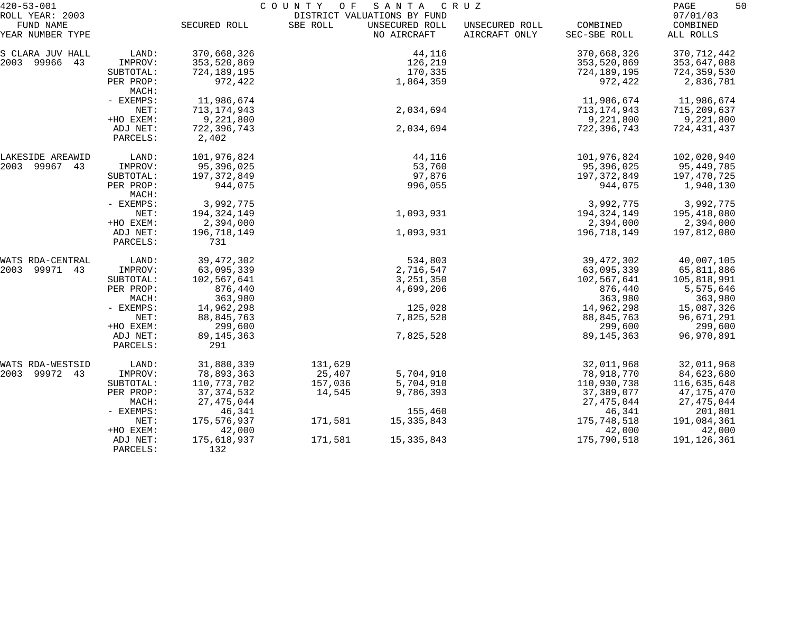| $420 - 53 - 001$                                 | COUNTY OF<br>SANTA<br>C R U Z |                     |          |                                                              |                                 | 50<br>PAGE               |                                   |
|--------------------------------------------------|-------------------------------|---------------------|----------|--------------------------------------------------------------|---------------------------------|--------------------------|-----------------------------------|
| ROLL YEAR: 2003<br>FUND NAME<br>YEAR NUMBER TYPE |                               | SECURED ROLL        | SBE ROLL | DISTRICT VALUATIONS BY FUND<br>UNSECURED ROLL<br>NO AIRCRAFT | UNSECURED ROLL<br>AIRCRAFT ONLY | COMBINED<br>SEC-SBE ROLL | 07/01/03<br>COMBINED<br>ALL ROLLS |
| S CLARA JUV HALL                                 | LAND:                         | 370,668,326         |          | 44,116                                                       |                                 | 370,668,326              | 370, 712, 442                     |
| 2003 99966<br>43                                 | IMPROV:                       | 353,520,869         |          | 126,219                                                      |                                 | 353,520,869              | 353,647,088                       |
|                                                  | SUBTOTAL:                     | 724,189,195         |          | 170,335                                                      |                                 | 724,189,195              | 724,359,530                       |
|                                                  | PER PROP:<br>MACH:            | 972,422             |          | 1,864,359                                                    |                                 | 972,422                  | 2,836,781                         |
|                                                  | - EXEMPS:                     | 11,986,674          |          |                                                              |                                 | 11,986,674               | 11,986,674                        |
|                                                  | NET:                          | 713, 174, 943       |          | 2,034,694                                                    |                                 | 713, 174, 943            | 715,209,637                       |
|                                                  | +HO EXEM:                     | 9,221,800           |          |                                                              |                                 | 9,221,800                | 9,221,800                         |
|                                                  | ADJ NET:                      | 722, 396, 743       |          | 2,034,694                                                    |                                 | 722,396,743              | 724,431,437                       |
|                                                  | PARCELS:                      | 2,402               |          |                                                              |                                 |                          |                                   |
| LAKESIDE AREAWID                                 | LAND:                         | 101,976,824         |          | 44,116                                                       |                                 | 101,976,824              | 102,020,940                       |
| 2003 99967 43                                    | IMPROV:                       | 95,396,025          |          | 53,760                                                       |                                 | 95,396,025               | 95,449,785                        |
|                                                  | SUBTOTAL:                     | 197, 372, 849       |          | 97,876                                                       |                                 | 197,372,849              | 197,470,725                       |
|                                                  | PER PROP:<br>MACH:            | 944,075             |          | 996,055                                                      |                                 | 944,075                  | 1,940,130                         |
|                                                  | - EXEMPS:                     | 3,992,775           |          |                                                              |                                 | 3,992,775                | 3,992,775                         |
|                                                  | NET:                          | 194, 324, 149       |          | 1,093,931                                                    |                                 | 194, 324, 149            | 195,418,080                       |
|                                                  | +HO EXEM:                     | 2,394,000           |          |                                                              |                                 | 2,394,000                | 2,394,000                         |
|                                                  | ADJ NET:<br>PARCELS:          | 196,718,149<br>731  |          | 1,093,931                                                    |                                 | 196,718,149              | 197,812,080                       |
| WATS RDA-CENTRAL                                 | LAND:                         | 39, 472, 302        |          | 534,803                                                      |                                 | 39, 472, 302             | 40,007,105                        |
| 2003<br>99971 43                                 | IMPROV:                       | 63,095,339          |          | 2,716,547                                                    |                                 | 63,095,339               | 65,811,886                        |
|                                                  | SUBTOTAL:                     | 102,567,641         |          | 3, 251, 350                                                  |                                 | 102,567,641              | 105,818,991                       |
|                                                  | PER PROP:                     | 876,440             |          | 4,699,206                                                    |                                 | 876,440                  | 5,575,646                         |
|                                                  | MACH:                         | 363,980             |          |                                                              |                                 | 363,980                  | 363,980                           |
|                                                  | - EXEMPS:                     | 14,962,298          |          | 125,028                                                      |                                 | 14,962,298               | 15,087,326                        |
|                                                  | NET:                          | 88, 845, 763        |          | 7,825,528                                                    |                                 | 88,845,763               | 96,671,291                        |
|                                                  | +HO EXEM:                     | 299,600             |          |                                                              |                                 | 299,600                  | 299,600                           |
|                                                  | ADJ NET:<br>PARCELS:          | 89, 145, 363<br>291 |          | 7,825,528                                                    |                                 | 89, 145, 363             | 96,970,891                        |
| WATS RDA-WESTSID                                 | LAND:                         | 31,880,339          | 131,629  |                                                              |                                 | 32,011,968               | 32,011,968                        |
| 2003 99972 43                                    | IMPROV:                       | 78,893,363          | 25,407   | 5,704,910                                                    |                                 | 78,918,770               | 84,623,680                        |
|                                                  | SUBTOTAL:                     | 110, 773, 702       | 157,036  | 5,704,910                                                    |                                 | 110,930,738              | 116,635,648                       |
|                                                  | PER PROP:                     | 37, 374, 532        | 14,545   | 9,786,393                                                    |                                 | 37,389,077               | 47, 175, 470                      |
|                                                  | MACH:                         | 27, 475, 044        |          |                                                              |                                 | 27, 475, 044             | 27, 475, 044                      |
|                                                  | - EXEMPS:                     | 46,341              |          | 155,460                                                      |                                 | 46,341                   | 201,801                           |
|                                                  | NET:                          | 175,576,937         | 171,581  | 15, 335, 843                                                 |                                 | 175,748,518              | 191,084,361                       |
|                                                  | +HO EXEM:                     | 42,000              |          |                                                              |                                 | 42,000                   | 42,000                            |
|                                                  | ADJ NET:<br>PARCELS:          | 175,618,937<br>132  | 171,581  | 15, 335, 843                                                 |                                 | 175,790,518              | 191,126,361                       |